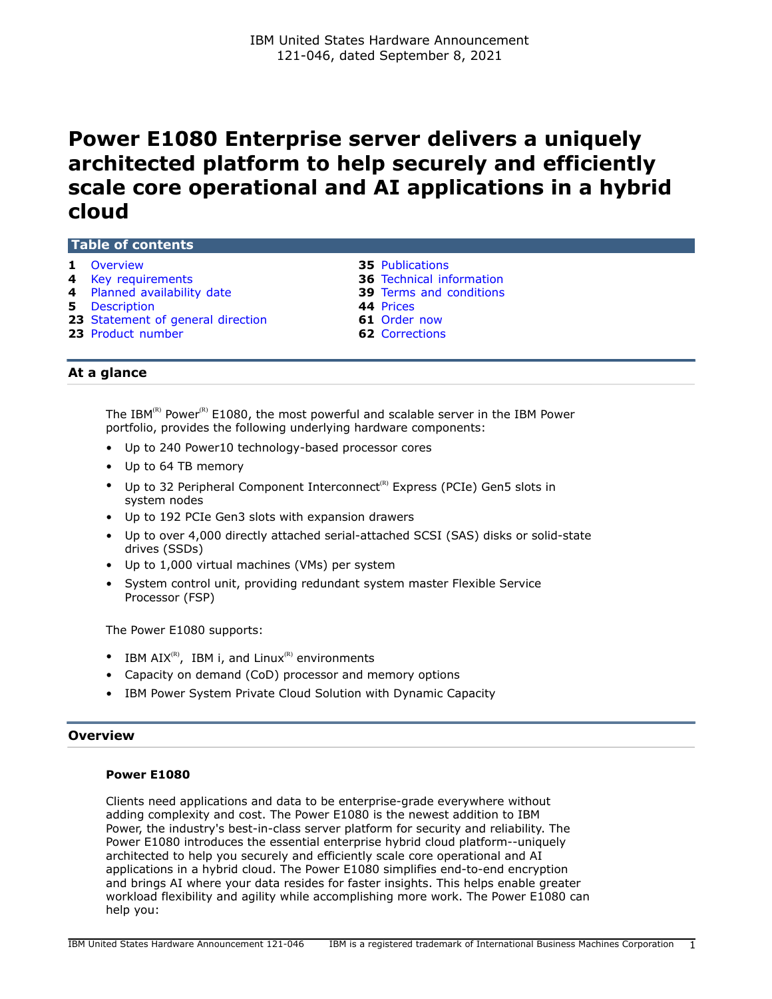# <span id="page-0-1"></span>**Power E1080 Enterprise server delivers a uniquely architected platform to help securely and efficiently scale core operational and AI applications in a hybrid cloud**

# **Table of contents**

- 
- **1** [Overview](#page-0-0) **35** [Publications](#page-34-0)<br> **4** Key requirements **36** Technical inf
- 
- **5** [Description](#page-4-0) **44** [Prices](#page-43-0)
- **23** [Statement of general direction](#page-22-0) **61** [Order now](#page-60-0)
- **23** [Product number](#page-22-1) **62** [Corrections](#page-61-0)
- 
- **36** [Technical information](#page-35-0)
- **4** [Planned availability date](#page-3-1) **39** [Terms and conditions](#page-38-0)
	-
	-
	-

# **At a glance**

The IBM<sup>(R)</sup> Power<sup>(R)</sup> E1080, the most powerful and scalable server in the IBM Power portfolio, provides the following underlying hardware components:

- Up to 240 Power10 technology-based processor cores
- Up to 64 TB memory
- Up to 32 Peripheral Component Interconnect<sup>(R)</sup> Express (PCIe) Gen5 slots in system nodes
- Up to 192 PCIe Gen3 slots with expansion drawers
- Up to over 4,000 directly attached serial-attached SCSI (SAS) disks or solid-state drives (SSDs)
- Up to 1,000 virtual machines (VMs) per system
- System control unit, providing redundant system master Flexible Service Processor (FSP)

The Power E1080 supports:

- IBM  $AIX^{(R)}$ , IBM i, and Linux<sup>(R)</sup> environments
- Capacity on demand (CoD) processor and memory options
- IBM Power System Private Cloud Solution with Dynamic Capacity

### <span id="page-0-0"></span>**Overview**

### **Power E1080**

Clients need applications and data to be enterprise-grade everywhere without adding complexity and cost. The Power E1080 is the newest addition to IBM Power, the industry's best-in-class server platform for security and reliability. The Power E1080 introduces the essential enterprise hybrid cloud platform--uniquely architected to help you securely and efficiently scale core operational and AI applications in a hybrid cloud. The Power E1080 simplifies end-to-end encryption and brings AI where your data resides for faster insights. This helps enable greater workload flexibility and agility while accomplishing more work. The Power E1080 can help you: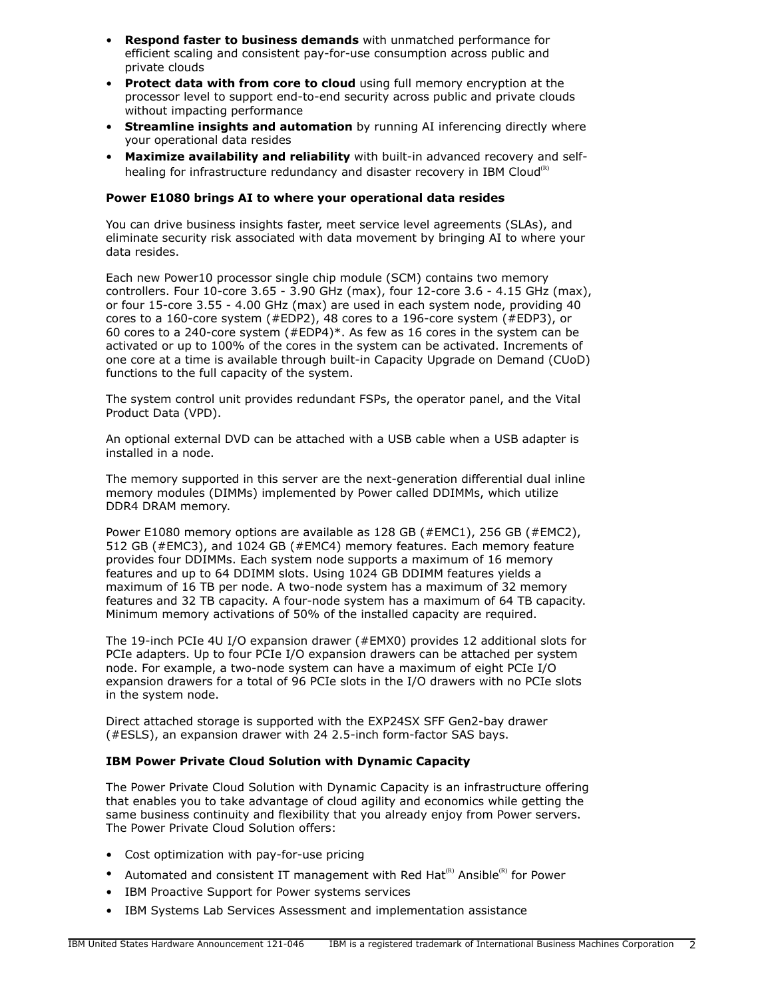- **Respond faster to business demands** with unmatched performance for efficient scaling and consistent pay-for-use consumption across public and private clouds
- **Protect data with from core to cloud** using full memory encryption at the processor level to support end-to-end security across public and private clouds without impacting performance
- **Streamline insights and automation** by running AI inferencing directly where your operational data resides
- **Maximize availability and reliability** with built-in advanced recovery and selfhealing for infrastructure redundancy and disaster recovery in IBM Cloud<sup>(R)</sup>

# **Power E1080 brings AI to where your operational data resides**

You can drive business insights faster, meet service level agreements (SLAs), and eliminate security risk associated with data movement by bringing AI to where your data resides.

Each new Power10 processor single chip module (SCM) contains two memory controllers. Four 10-core 3.65 - 3.90 GHz (max), four 12-core 3.6 - 4.15 GHz (max), or four 15-core 3.55 - 4.00 GHz (max) are used in each system node, providing 40 cores to a 160-core system (#EDP2), 48 cores to a 196-core system (#EDP3), or 60 cores to a 240-core system (#EDP4)\*. As few as 16 cores in the system can be activated or up to 100% of the cores in the system can be activated. Increments of one core at a time is available through built-in Capacity Upgrade on Demand (CUoD) functions to the full capacity of the system.

The system control unit provides redundant FSPs, the operator panel, and the Vital Product Data (VPD).

An optional external DVD can be attached with a USB cable when a USB adapter is installed in a node.

The memory supported in this server are the next-generation differential dual inline memory modules (DIMMs) implemented by Power called DDIMMs, which utilize DDR4 DRAM memory.

Power E1080 memory options are available as 128 GB (#EMC1), 256 GB (#EMC2), 512 GB (#EMC3), and 1024 GB (#EMC4) memory features. Each memory feature provides four DDIMMs. Each system node supports a maximum of 16 memory features and up to 64 DDIMM slots. Using 1024 GB DDIMM features yields a maximum of 16 TB per node. A two-node system has a maximum of 32 memory features and 32 TB capacity. A four-node system has a maximum of 64 TB capacity. Minimum memory activations of 50% of the installed capacity are required.

The 19-inch PCIe 4U I/O expansion drawer (#EMX0) provides 12 additional slots for PCIe adapters. Up to four PCIe I/O expansion drawers can be attached per system node. For example, a two-node system can have a maximum of eight PCIe I/O expansion drawers for a total of 96 PCIe slots in the I/O drawers with no PCIe slots in the system node.

Direct attached storage is supported with the EXP24SX SFF Gen2-bay drawer (#ESLS), an expansion drawer with 24 2.5-inch form-factor SAS bays.

# **IBM Power Private Cloud Solution with Dynamic Capacity**

The Power Private Cloud Solution with Dynamic Capacity is an infrastructure offering that enables you to take advantage of cloud agility and economics while getting the same business continuity and flexibility that you already enjoy from Power servers. The Power Private Cloud Solution offers:

- Cost optimization with pay-for-use pricing
- Automated and consistent IT management with Red Hat<sup>(R)</sup> Ansible<sup>(R)</sup> for Power
- IBM Proactive Support for Power systems services
- IBM Systems Lab Services Assessment and implementation assistance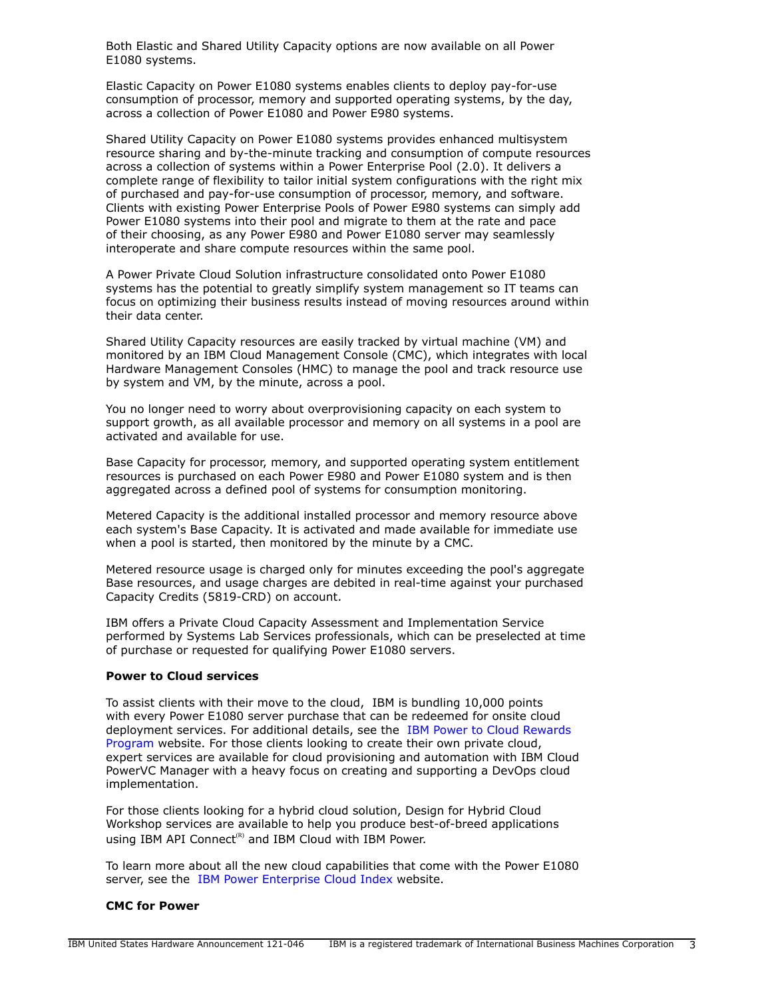Both Elastic and Shared Utility Capacity options are now available on all Power E1080 systems.

Elastic Capacity on Power E1080 systems enables clients to deploy pay-for-use consumption of processor, memory and supported operating systems, by the day, across a collection of Power E1080 and Power E980 systems.

Shared Utility Capacity on Power E1080 systems provides enhanced multisystem resource sharing and by-the-minute tracking and consumption of compute resources across a collection of systems within a Power Enterprise Pool (2.0). It delivers a complete range of flexibility to tailor initial system configurations with the right mix of purchased and pay-for-use consumption of processor, memory, and software. Clients with existing Power Enterprise Pools of Power E980 systems can simply add Power E1080 systems into their pool and migrate to them at the rate and pace of their choosing, as any Power E980 and Power E1080 server may seamlessly interoperate and share compute resources within the same pool.

A Power Private Cloud Solution infrastructure consolidated onto Power E1080 systems has the potential to greatly simplify system management so IT teams can focus on optimizing their business results instead of moving resources around within their data center.

Shared Utility Capacity resources are easily tracked by virtual machine (VM) and monitored by an IBM Cloud Management Console (CMC), which integrates with local Hardware Management Consoles (HMC) to manage the pool and track resource use by system and VM, by the minute, across a pool.

You no longer need to worry about overprovisioning capacity on each system to support growth, as all available processor and memory on all systems in a pool are activated and available for use.

Base Capacity for processor, memory, and supported operating system entitlement resources is purchased on each Power E980 and Power E1080 system and is then aggregated across a defined pool of systems for consumption monitoring.

Metered Capacity is the additional installed processor and memory resource above each system's Base Capacity. It is activated and made available for immediate use when a pool is started, then monitored by the minute by a CMC.

Metered resource usage is charged only for minutes exceeding the pool's aggregate Base resources, and usage charges are debited in real-time against your purchased Capacity Credits (5819-CRD) on account.

IBM offers a Private Cloud Capacity Assessment and Implementation Service performed by Systems Lab Services professionals, which can be preselected at time of purchase or requested for qualifying Power E1080 servers.

### **Power to Cloud services**

To assist clients with their move to the cloud, IBM is bundling 10,000 points with every Power E1080 server purchase that can be redeemed for onsite cloud deployment services. For additional details, see the [IBM Power to Cloud Rewards](https://www.ibm.com/it-infrastructure/power/resources/power-to-cloud) [Program](https://www.ibm.com/it-infrastructure/power/resources/power-to-cloud) website. For those clients looking to create their own private cloud, expert services are available for cloud provisioning and automation with IBM Cloud PowerVC Manager with a heavy focus on creating and supporting a DevOps cloud implementation.

For those clients looking for a hybrid cloud solution, Design for Hybrid Cloud Workshop services are available to help you produce best-of-breed applications using IBM API Connect<sup>(R)</sup> and IBM Cloud with IBM Power.

To learn more about all the new cloud capabilities that come with the Power E1080 server, see the [IBM Power Enterprise Cloud Index](http://www-03.ibm.com/systems/power/hardware/enterprise-cloud/index) website.

### **CMC for Power**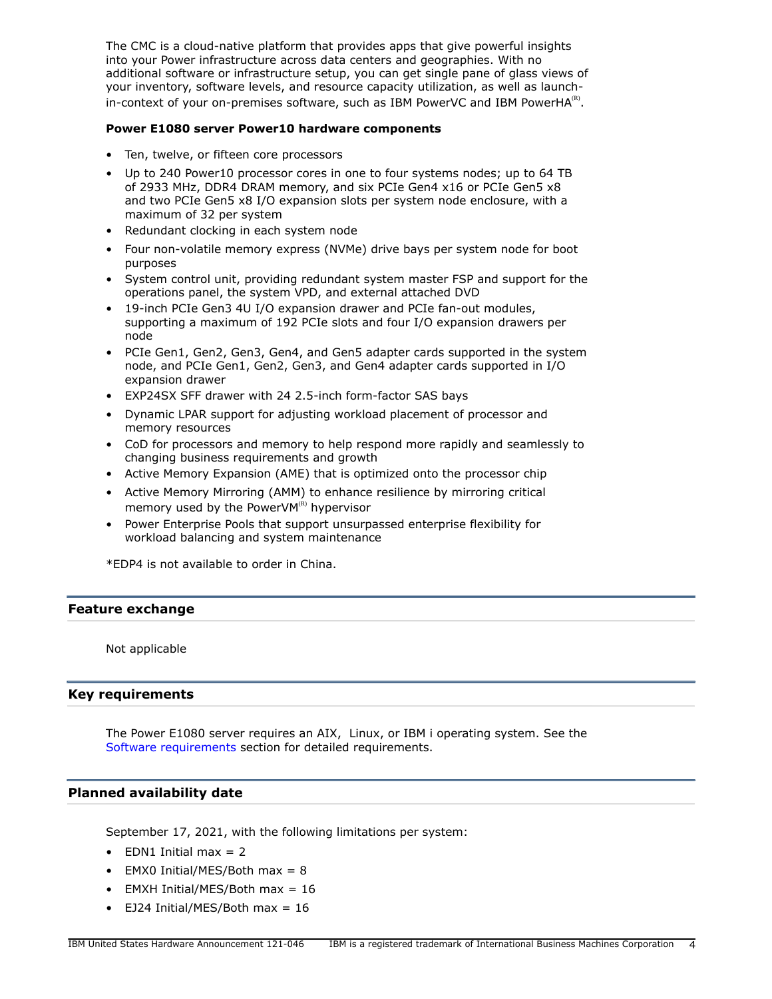The CMC is a cloud-native platform that provides apps that give powerful insights into your Power infrastructure across data centers and geographies. With no additional software or infrastructure setup, you can get single pane of glass views of your inventory, software levels, and resource capacity utilization, as well as launchin-context of your on-premises software, such as IBM PowerVC and IBM PowerHA $\text{^{(R)}}$ .

### **Power E1080 server Power10 hardware components**

- Ten, twelve, or fifteen core processors
- Up to 240 Power10 processor cores in one to four systems nodes; up to 64 TB of 2933 MHz, DDR4 DRAM memory, and six PCIe Gen4 x16 or PCIe Gen5 x8 and two PCIe Gen5 x8 I/O expansion slots per system node enclosure, with a maximum of 32 per system
- Redundant clocking in each system node
- Four non-volatile memory express (NVMe) drive bays per system node for boot purposes
- System control unit, providing redundant system master FSP and support for the operations panel, the system VPD, and external attached DVD
- 19-inch PCIe Gen3 4U I/O expansion drawer and PCIe fan-out modules, supporting a maximum of 192 PCIe slots and four I/O expansion drawers per node
- PCIe Gen1, Gen2, Gen3, Gen4, and Gen5 adapter cards supported in the system node, and PCIe Gen1, Gen2, Gen3, and Gen4 adapter cards supported in I/O expansion drawer
- EXP24SX SFF drawer with 24 2.5-inch form-factor SAS bays
- Dynamic LPAR support for adjusting workload placement of processor and memory resources
- CoD for processors and memory to help respond more rapidly and seamlessly to changing business requirements and growth
- Active Memory Expansion (AME) that is optimized onto the processor chip
- Active Memory Mirroring (AMM) to enhance resilience by mirroring critical memory used by the PowerV $M^{(R)}$  hypervisor
- Power Enterprise Pools that support unsurpassed enterprise flexibility for workload balancing and system maintenance

\*EDP4 is not available to order in China.

# **Feature exchange**

Not applicable

# <span id="page-3-0"></span>**Key requirements**

The Power E1080 server requires an AIX, Linux, or IBM i operating system. See the [Software requirements](#page-36-0) section for detailed requirements.

# <span id="page-3-1"></span>**Planned availability date**

September 17, 2021, with the following limitations per system:

- EDN1 Initial max  $= 2$
- EMX0 Initial/MES/Both max = 8
- EMXH Initial/MES/Both max  $= 16$
- EJ24 Initial/MES/Both max =  $16$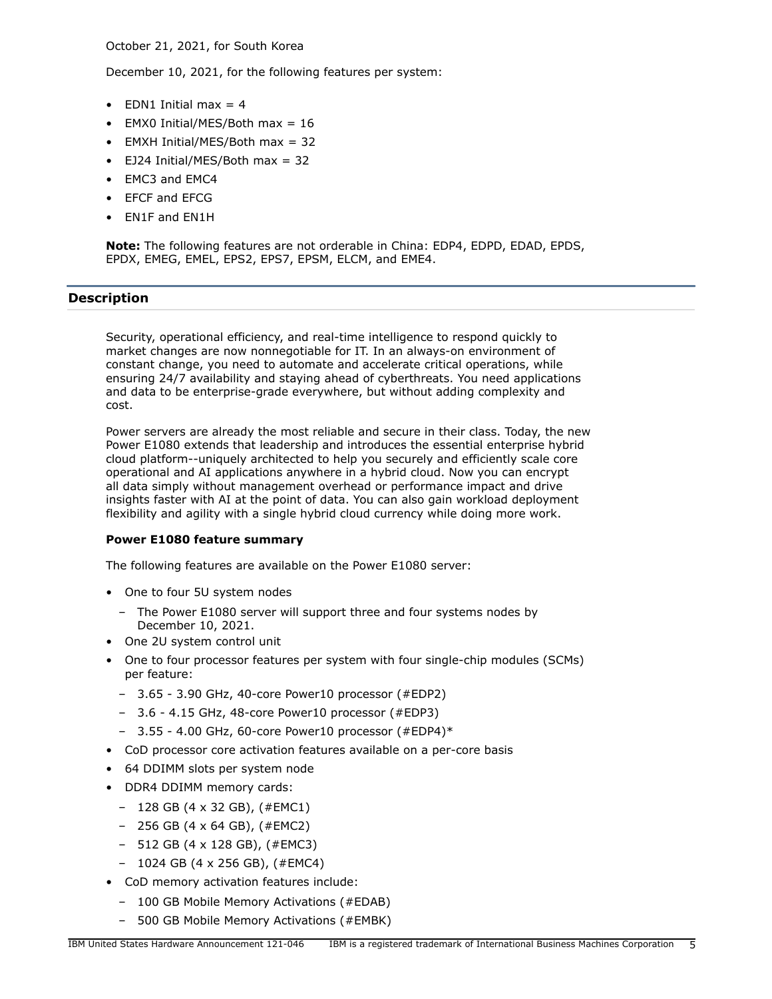October 21, 2021, for South Korea

December 10, 2021, for the following features per system:

- EDN1 Initial max  $= 4$
- EMX0 Initial/MES/Both max = 16
- EMXH Initial/MES/Both max = 32
- EJ24 Initial/MES/Both max = 32
- EMC3 and EMC4
- EFCF and EFCG
- EN1F and EN1H

**Note:** The following features are not orderable in China: EDP4, EDPD, EDAD, EPDS, EPDX, EMEG, EMEL, EPS2, EPS7, EPSM, ELCM, and EME4.

# <span id="page-4-0"></span>**Description**

Security, operational efficiency, and real-time intelligence to respond quickly to market changes are now nonnegotiable for IT. In an always-on environment of constant change, you need to automate and accelerate critical operations, while ensuring 24/7 availability and staying ahead of cyberthreats. You need applications and data to be enterprise-grade everywhere, but without adding complexity and cost.

Power servers are already the most reliable and secure in their class. Today, the new Power E1080 extends that leadership and introduces the essential enterprise hybrid cloud platform--uniquely architected to help you securely and efficiently scale core operational and AI applications anywhere in a hybrid cloud. Now you can encrypt all data simply without management overhead or performance impact and drive insights faster with AI at the point of data. You can also gain workload deployment flexibility and agility with a single hybrid cloud currency while doing more work.

# **Power E1080 feature summary**

The following features are available on the Power E1080 server:

- One to four 5U system nodes
	- The Power E1080 server will support three and four systems nodes by December 10, 2021.
- One 2U system control unit
- One to four processor features per system with four single-chip modules (SCMs) per feature:
	- 3.65 3.90 GHz, 40-core Power10 processor (#EDP2)
	- 3.6 4.15 GHz, 48-core Power10 processor (#EDP3)
	- 3.55 4.00 GHz, 60-core Power10 processor (#EDP4)\*
- CoD processor core activation features available on a per-core basis
- 64 DDIMM slots per system node
- DDR4 DDIMM memory cards:
	- 128 GB (4 x 32 GB), (#EMC1)
	- 256 GB (4 x 64 GB), (#EMC2)
	- 512 GB (4 x 128 GB), (#EMC3)
	- 1024 GB (4 x 256 GB), (#EMC4)
- CoD memory activation features include:
	- 100 GB Mobile Memory Activations (#EDAB)
	- 500 GB Mobile Memory Activations (#EMBK)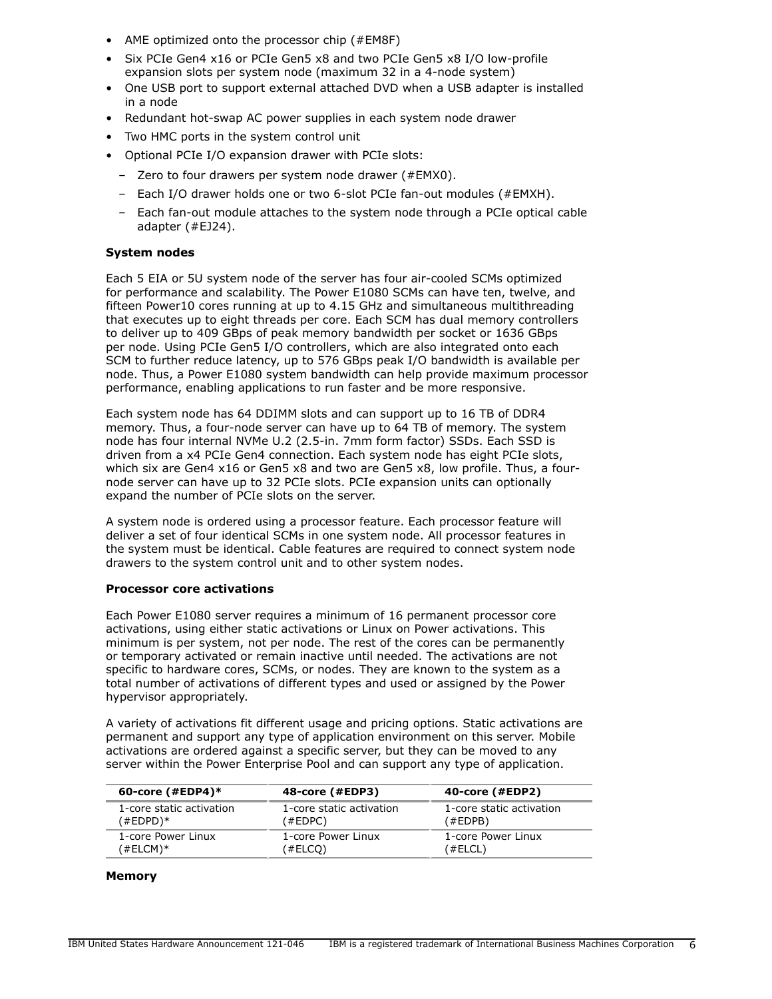- AME optimized onto the processor chip (#EM8F)
- Six PCIe Gen4 x16 or PCIe Gen5 x8 and two PCIe Gen5 x8 I/O low-profile expansion slots per system node (maximum 32 in a 4-node system)
- One USB port to support external attached DVD when a USB adapter is installed in a node
- Redundant hot-swap AC power supplies in each system node drawer
- Two HMC ports in the system control unit
- Optional PCIe I/O expansion drawer with PCIe slots:
	- Zero to four drawers per system node drawer (#EMX0).
	- Each I/O drawer holds one or two 6-slot PCIe fan-out modules (#EMXH).
	- Each fan-out module attaches to the system node through a PCIe optical cable adapter (#EJ24).

### **System nodes**

Each 5 EIA or 5U system node of the server has four air-cooled SCMs optimized for performance and scalability. The Power E1080 SCMs can have ten, twelve, and fifteen Power10 cores running at up to 4.15 GHz and simultaneous multithreading that executes up to eight threads per core. Each SCM has dual memory controllers to deliver up to 409 GBps of peak memory bandwidth per socket or 1636 GBps per node. Using PCIe Gen5 I/O controllers, which are also integrated onto each SCM to further reduce latency, up to 576 GBps peak I/O bandwidth is available per node. Thus, a Power E1080 system bandwidth can help provide maximum processor performance, enabling applications to run faster and be more responsive.

Each system node has 64 DDIMM slots and can support up to 16 TB of DDR4 memory. Thus, a four-node server can have up to 64 TB of memory. The system node has four internal NVMe U.2 (2.5-in. 7mm form factor) SSDs. Each SSD is driven from a x4 PCIe Gen4 connection. Each system node has eight PCIe slots, which six are Gen4 x16 or Gen5 x8 and two are Gen5 x8, low profile. Thus, a fournode server can have up to 32 PCIe slots. PCIe expansion units can optionally expand the number of PCIe slots on the server.

A system node is ordered using a processor feature. Each processor feature will deliver a set of four identical SCMs in one system node. All processor features in the system must be identical. Cable features are required to connect system node drawers to the system control unit and to other system nodes.

#### **Processor core activations**

Each Power E1080 server requires a minimum of 16 permanent processor core activations, using either static activations or Linux on Power activations. This minimum is per system, not per node. The rest of the cores can be permanently or temporary activated or remain inactive until needed. The activations are not specific to hardware cores, SCMs, or nodes. They are known to the system as a total number of activations of different types and used or assigned by the Power hypervisor appropriately.

A variety of activations fit different usage and pricing options. Static activations are permanent and support any type of application environment on this server. Mobile activations are ordered against a specific server, but they can be moved to any server within the Power Enterprise Pool and can support any type of application.

| 60-core $(\#EDP4)*$      | 48-core (#EDP3)          | 40-core (#EDP2)          |
|--------------------------|--------------------------|--------------------------|
| 1-core static activation | 1-core static activation | 1-core static activation |
| (#EDPD)*                 | (#EDPC)                  | (#EDPB)                  |
| 1-core Power Linux       | 1-core Power Linux       | 1-core Power Linux       |
| (#ELCM)*                 | (#ELCO)                  | (#ELCL)                  |

#### **Memory**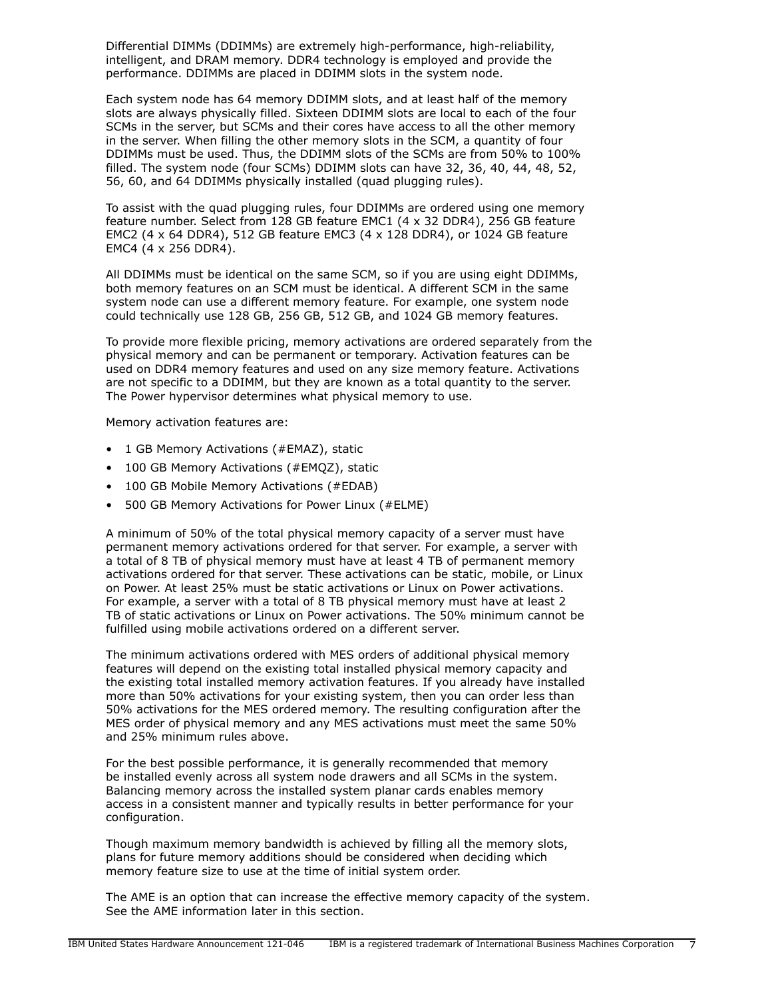Differential DIMMs (DDIMMs) are extremely high-performance, high-reliability, intelligent, and DRAM memory. DDR4 technology is employed and provide the performance. DDIMMs are placed in DDIMM slots in the system node.

Each system node has 64 memory DDIMM slots, and at least half of the memory slots are always physically filled. Sixteen DDIMM slots are local to each of the four SCMs in the server, but SCMs and their cores have access to all the other memory in the server. When filling the other memory slots in the SCM, a quantity of four DDIMMs must be used. Thus, the DDIMM slots of the SCMs are from 50% to 100% filled. The system node (four SCMs) DDIMM slots can have 32, 36, 40, 44, 48, 52, 56, 60, and 64 DDIMMs physically installed (quad plugging rules).

To assist with the quad plugging rules, four DDIMMs are ordered using one memory feature number. Select from 128 GB feature EMC1 (4 x 32 DDR4), 256 GB feature EMC2 (4 x 64 DDR4), 512 GB feature EMC3 (4 x 128 DDR4), or 1024 GB feature EMC4 (4 x 256 DDR4).

All DDIMMs must be identical on the same SCM, so if you are using eight DDIMMs, both memory features on an SCM must be identical. A different SCM in the same system node can use a different memory feature. For example, one system node could technically use 128 GB, 256 GB, 512 GB, and 1024 GB memory features.

To provide more flexible pricing, memory activations are ordered separately from the physical memory and can be permanent or temporary. Activation features can be used on DDR4 memory features and used on any size memory feature. Activations are not specific to a DDIMM, but they are known as a total quantity to the server. The Power hypervisor determines what physical memory to use.

Memory activation features are:

- 1 GB Memory Activations (#EMAZ), static
- 100 GB Memory Activations (#EMQZ), static
- 100 GB Mobile Memory Activations (#EDAB)
- 500 GB Memory Activations for Power Linux (#ELME)

A minimum of 50% of the total physical memory capacity of a server must have permanent memory activations ordered for that server. For example, a server with a total of 8 TB of physical memory must have at least 4 TB of permanent memory activations ordered for that server. These activations can be static, mobile, or Linux on Power. At least 25% must be static activations or Linux on Power activations. For example, a server with a total of 8 TB physical memory must have at least 2 TB of static activations or Linux on Power activations. The 50% minimum cannot be fulfilled using mobile activations ordered on a different server.

The minimum activations ordered with MES orders of additional physical memory features will depend on the existing total installed physical memory capacity and the existing total installed memory activation features. If you already have installed more than 50% activations for your existing system, then you can order less than 50% activations for the MES ordered memory. The resulting configuration after the MES order of physical memory and any MES activations must meet the same 50% and 25% minimum rules above.

For the best possible performance, it is generally recommended that memory be installed evenly across all system node drawers and all SCMs in the system. Balancing memory across the installed system planar cards enables memory access in a consistent manner and typically results in better performance for your configuration.

Though maximum memory bandwidth is achieved by filling all the memory slots, plans for future memory additions should be considered when deciding which memory feature size to use at the time of initial system order.

The AME is an option that can increase the effective memory capacity of the system. See the AME information later in this section.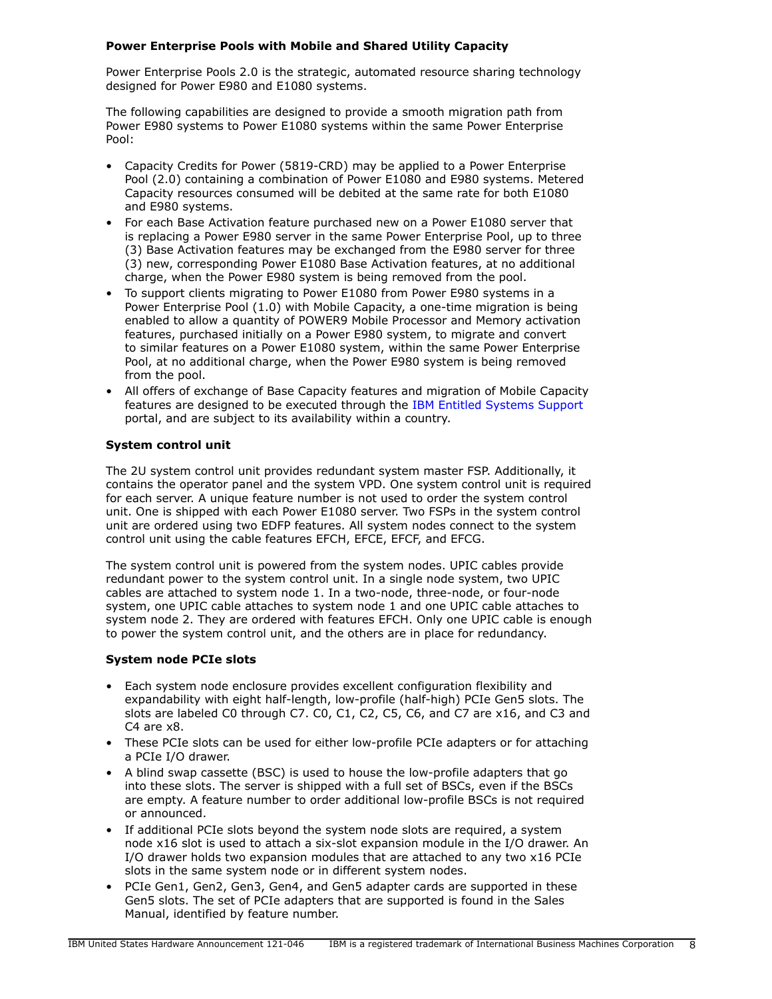# **Power Enterprise Pools with Mobile and Shared Utility Capacity**

Power Enterprise Pools 2.0 is the strategic, automated resource sharing technology designed for Power E980 and E1080 systems.

The following capabilities are designed to provide a smooth migration path from Power E980 systems to Power E1080 systems within the same Power Enterprise Pool:

- Capacity Credits for Power (5819-CRD) may be applied to a Power Enterprise Pool (2.0) containing a combination of Power E1080 and E980 systems. Metered Capacity resources consumed will be debited at the same rate for both E1080 and E980 systems.
- For each Base Activation feature purchased new on a Power E1080 server that is replacing a Power E980 server in the same Power Enterprise Pool, up to three (3) Base Activation features may be exchanged from the E980 server for three (3) new, corresponding Power E1080 Base Activation features, at no additional charge, when the Power E980 system is being removed from the pool.
- To support clients migrating to Power E1080 from Power E980 systems in a Power Enterprise Pool (1.0) with Mobile Capacity, a one-time migration is being enabled to allow a quantity of POWER9 Mobile Processor and Memory activation features, purchased initially on a Power E980 system, to migrate and convert to similar features on a Power E1080 system, within the same Power Enterprise Pool, at no additional charge, when the Power E980 system is being removed from the pool.
- All offers of exchange of Base Capacity features and migration of Mobile Capacity features are designed to be executed through the [IBM Entitled Systems Support](https://www.ibm.com/servers/eserver/ess/index.wss) portal, and are subject to its availability within a country.

# **System control unit**

The 2U system control unit provides redundant system master FSP. Additionally, it contains the operator panel and the system VPD. One system control unit is required for each server. A unique feature number is not used to order the system control unit. One is shipped with each Power E1080 server. Two FSPs in the system control unit are ordered using two EDFP features. All system nodes connect to the system control unit using the cable features EFCH, EFCE, EFCF, and EFCG.

The system control unit is powered from the system nodes. UPIC cables provide redundant power to the system control unit. In a single node system, two UPIC cables are attached to system node 1. In a two-node, three-node, or four-node system, one UPIC cable attaches to system node 1 and one UPIC cable attaches to system node 2. They are ordered with features EFCH. Only one UPIC cable is enough to power the system control unit, and the others are in place for redundancy.

# **System node PCIe slots**

- Each system node enclosure provides excellent configuration flexibility and expandability with eight half-length, low-profile (half-high) PCIe Gen5 slots. The slots are labeled C0 through C7. C0, C1, C2, C5, C6, and C7 are x16, and C3 and C4 are x8.
- These PCIe slots can be used for either low-profile PCIe adapters or for attaching a PCIe I/O drawer.
- A blind swap cassette (BSC) is used to house the low-profile adapters that go into these slots. The server is shipped with a full set of BSCs, even if the BSCs are empty. A feature number to order additional low-profile BSCs is not required or announced.
- If additional PCIe slots beyond the system node slots are required, a system node x16 slot is used to attach a six-slot expansion module in the I/O drawer. An I/O drawer holds two expansion modules that are attached to any two x16 PCIe slots in the same system node or in different system nodes.
- PCIe Gen1, Gen2, Gen3, Gen4, and Gen5 adapter cards are supported in these Gen5 slots. The set of PCIe adapters that are supported is found in the Sales Manual, identified by feature number.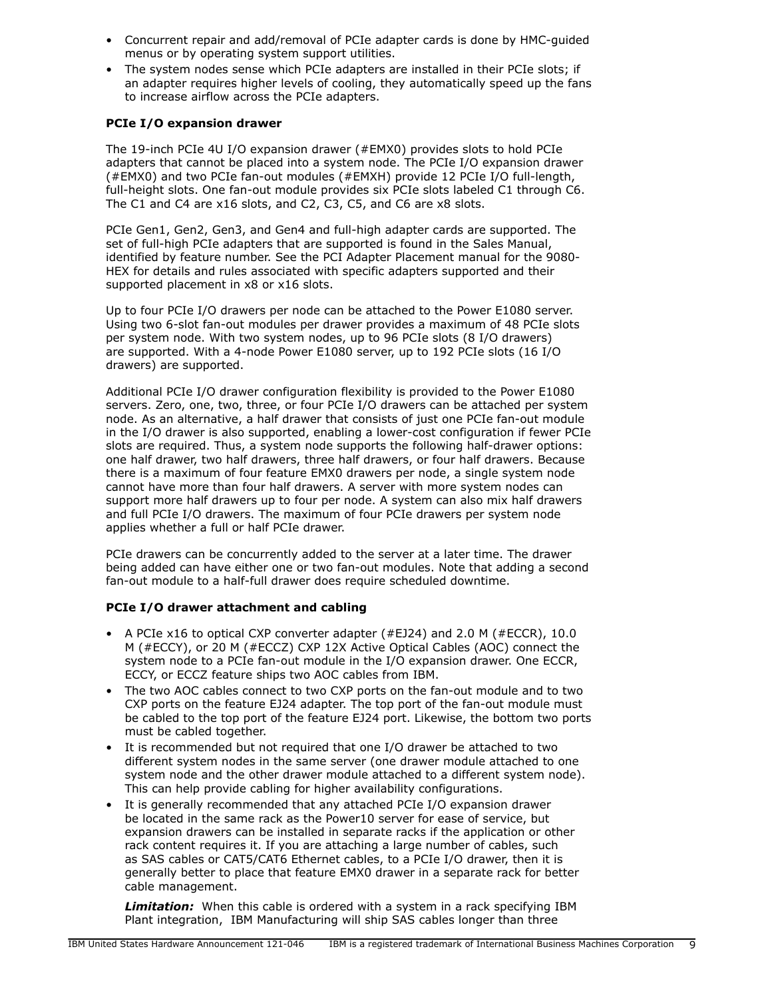- Concurrent repair and add/removal of PCIe adapter cards is done by HMC-guided menus or by operating system support utilities.
- The system nodes sense which PCIe adapters are installed in their PCIe slots; if an adapter requires higher levels of cooling, they automatically speed up the fans to increase airflow across the PCIe adapters.

# **PCIe I/O expansion drawer**

The 19-inch PCIe 4U I/O expansion drawer (#EMX0) provides slots to hold PCIe adapters that cannot be placed into a system node. The PCIe I/O expansion drawer (#EMX0) and two PCIe fan-out modules (#EMXH) provide 12 PCIe I/O full-length, full-height slots. One fan-out module provides six PCIe slots labeled C1 through C6. The C1 and C4 are x16 slots, and C2, C3, C5, and C6 are x8 slots.

PCIe Gen1, Gen2, Gen3, and Gen4 and full-high adapter cards are supported. The set of full-high PCIe adapters that are supported is found in the Sales Manual, identified by feature number. See the PCI Adapter Placement manual for the 9080- HEX for details and rules associated with specific adapters supported and their supported placement in x8 or x16 slots.

Up to four PCIe I/O drawers per node can be attached to the Power E1080 server. Using two 6-slot fan-out modules per drawer provides a maximum of 48 PCIe slots per system node. With two system nodes, up to 96 PCIe slots (8 I/O drawers) are supported. With a 4-node Power E1080 server, up to 192 PCIe slots (16 I/O drawers) are supported.

Additional PCIe I/O drawer configuration flexibility is provided to the Power E1080 servers. Zero, one, two, three, or four PCIe I/O drawers can be attached per system node. As an alternative, a half drawer that consists of just one PCIe fan-out module in the I/O drawer is also supported, enabling a lower-cost configuration if fewer PCIe slots are required. Thus, a system node supports the following half-drawer options: one half drawer, two half drawers, three half drawers, or four half drawers. Because there is a maximum of four feature EMX0 drawers per node, a single system node cannot have more than four half drawers. A server with more system nodes can support more half drawers up to four per node. A system can also mix half drawers and full PCIe I/O drawers. The maximum of four PCIe drawers per system node applies whether a full or half PCIe drawer.

PCIe drawers can be concurrently added to the server at a later time. The drawer being added can have either one or two fan-out modules. Note that adding a second fan-out module to a half-full drawer does require scheduled downtime.

# **PCIe I/O drawer attachment and cabling**

- A PCIe x16 to optical CXP converter adapter (#EJ24) and 2.0 M (#ECCR), 10.0 M (#ECCY), or 20 M (#ECCZ) CXP 12X Active Optical Cables (AOC) connect the system node to a PCIe fan-out module in the I/O expansion drawer. One ECCR, ECCY, or ECCZ feature ships two AOC cables from IBM.
- The two AOC cables connect to two CXP ports on the fan-out module and to two CXP ports on the feature EJ24 adapter. The top port of the fan-out module must be cabled to the top port of the feature EJ24 port. Likewise, the bottom two ports must be cabled together.
- It is recommended but not required that one I/O drawer be attached to two different system nodes in the same server (one drawer module attached to one system node and the other drawer module attached to a different system node). This can help provide cabling for higher availability configurations.
- It is generally recommended that any attached PCIe I/O expansion drawer be located in the same rack as the Power10 server for ease of service, but expansion drawers can be installed in separate racks if the application or other rack content requires it. If you are attaching a large number of cables, such as SAS cables or CAT5/CAT6 Ethernet cables, to a PCIe I/O drawer, then it is generally better to place that feature EMX0 drawer in a separate rack for better cable management.

*Limitation:* When this cable is ordered with a system in a rack specifying IBM Plant integration, IBM Manufacturing will ship SAS cables longer than three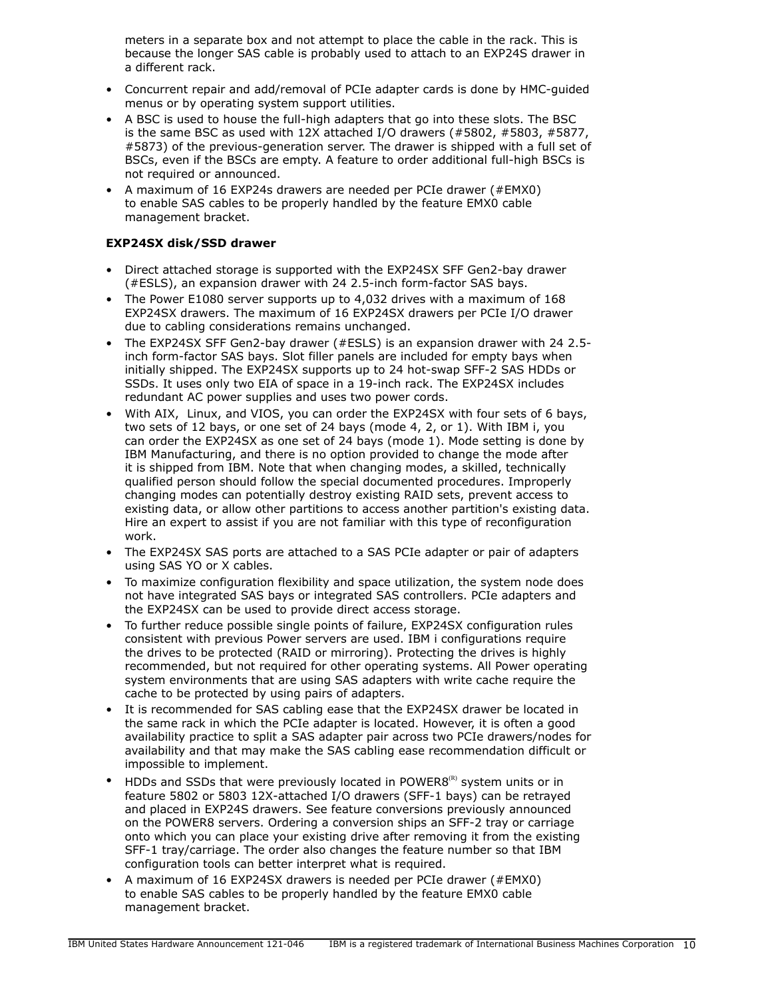meters in a separate box and not attempt to place the cable in the rack. This is because the longer SAS cable is probably used to attach to an EXP24S drawer in a different rack.

- Concurrent repair and add/removal of PCIe adapter cards is done by HMC-guided menus or by operating system support utilities.
- A BSC is used to house the full-high adapters that go into these slots. The BSC is the same BSC as used with 12X attached I/O drawers (#5802, #5803, #5877, #5873) of the previous-generation server. The drawer is shipped with a full set of BSCs, even if the BSCs are empty. A feature to order additional full-high BSCs is not required or announced.
- A maximum of 16 EXP24s drawers are needed per PCIe drawer (#EMX0) to enable SAS cables to be properly handled by the feature EMX0 cable management bracket.

# **EXP24SX disk/SSD drawer**

- Direct attached storage is supported with the EXP24SX SFF Gen2-bay drawer (#ESLS), an expansion drawer with 24 2.5-inch form-factor SAS bays.
- The Power E1080 server supports up to 4,032 drives with a maximum of 168 EXP24SX drawers. The maximum of 16 EXP24SX drawers per PCIe I/O drawer due to cabling considerations remains unchanged.
- The EXP24SX SFF Gen2-bay drawer (#ESLS) is an expansion drawer with 24 2.5 inch form-factor SAS bays. Slot filler panels are included for empty bays when initially shipped. The EXP24SX supports up to 24 hot-swap SFF-2 SAS HDDs or SSDs. It uses only two EIA of space in a 19-inch rack. The EXP24SX includes redundant AC power supplies and uses two power cords.
- With AIX, Linux, and VIOS, you can order the EXP24SX with four sets of 6 bays, two sets of 12 bays, or one set of 24 bays (mode 4, 2, or 1). With IBM i, you can order the EXP24SX as one set of 24 bays (mode 1). Mode setting is done by IBM Manufacturing, and there is no option provided to change the mode after it is shipped from IBM. Note that when changing modes, a skilled, technically qualified person should follow the special documented procedures. Improperly changing modes can potentially destroy existing RAID sets, prevent access to existing data, or allow other partitions to access another partition's existing data. Hire an expert to assist if you are not familiar with this type of reconfiguration work.
- The EXP24SX SAS ports are attached to a SAS PCIe adapter or pair of adapters using SAS YO or X cables.
- To maximize configuration flexibility and space utilization, the system node does not have integrated SAS bays or integrated SAS controllers. PCIe adapters and the EXP24SX can be used to provide direct access storage.
- To further reduce possible single points of failure, EXP24SX configuration rules consistent with previous Power servers are used. IBM i configurations require the drives to be protected (RAID or mirroring). Protecting the drives is highly recommended, but not required for other operating systems. All Power operating system environments that are using SAS adapters with write cache require the cache to be protected by using pairs of adapters.
- It is recommended for SAS cabling ease that the EXP24SX drawer be located in the same rack in which the PCIe adapter is located. However, it is often a good availability practice to split a SAS adapter pair across two PCIe drawers/nodes for availability and that may make the SAS cabling ease recommendation difficult or impossible to implement.
- HDDs and SSDs that were previously located in POWER8 $(P)$  system units or in feature 5802 or 5803 12X-attached I/O drawers (SFF-1 bays) can be retrayed and placed in EXP24S drawers. See feature conversions previously announced on the POWER8 servers. Ordering a conversion ships an SFF-2 tray or carriage onto which you can place your existing drive after removing it from the existing SFF-1 tray/carriage. The order also changes the feature number so that IBM configuration tools can better interpret what is required.
- A maximum of 16 EXP24SX drawers is needed per PCIe drawer (#EMX0) to enable SAS cables to be properly handled by the feature EMX0 cable management bracket.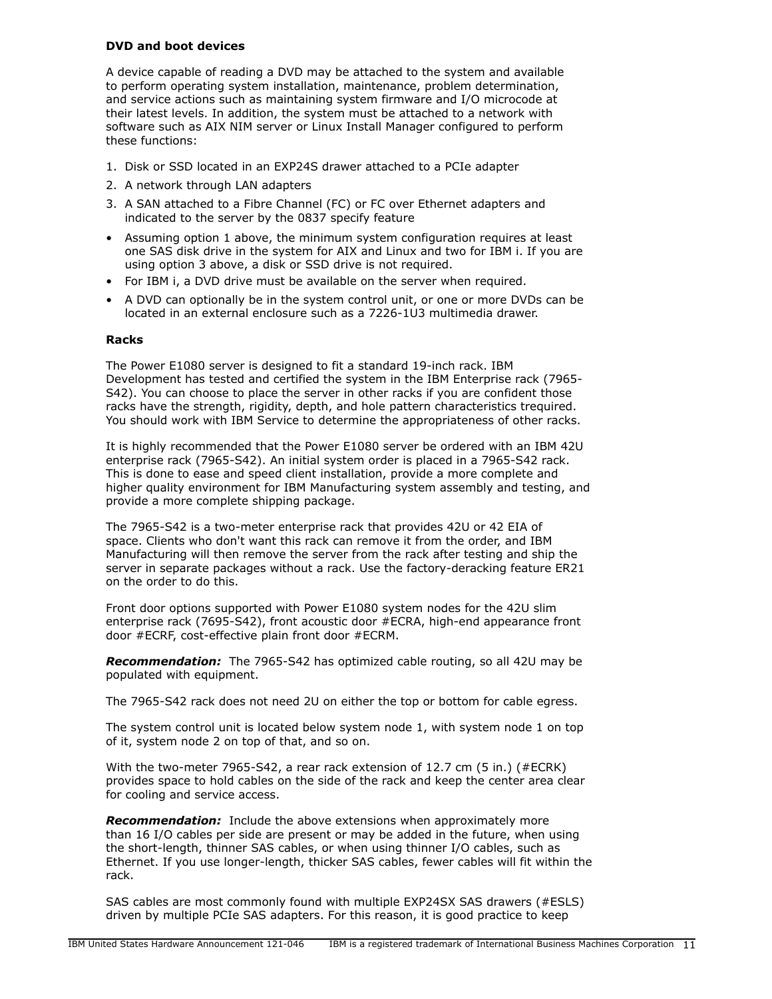# **DVD and boot devices**

A device capable of reading a DVD may be attached to the system and available to perform operating system installation, maintenance, problem determination, and service actions such as maintaining system firmware and I/O microcode at their latest levels. In addition, the system must be attached to a network with software such as AIX NIM server or Linux Install Manager configured to perform these functions:

- 1. Disk or SSD located in an EXP24S drawer attached to a PCIe adapter
- 2. A network through LAN adapters
- 3. A SAN attached to a Fibre Channel (FC) or FC over Ethernet adapters and indicated to the server by the 0837 specify feature
- Assuming option 1 above, the minimum system configuration requires at least one SAS disk drive in the system for AIX and Linux and two for IBM i. If you are using option 3 above, a disk or SSD drive is not required.
- For IBM i, a DVD drive must be available on the server when required.
- A DVD can optionally be in the system control unit, or one or more DVDs can be located in an external enclosure such as a 7226-1U3 multimedia drawer.

### **Racks**

The Power E1080 server is designed to fit a standard 19-inch rack. IBM Development has tested and certified the system in the IBM Enterprise rack (7965- S42). You can choose to place the server in other racks if you are confident those racks have the strength, rigidity, depth, and hole pattern characteristics trequired. You should work with IBM Service to determine the appropriateness of other racks.

It is highly recommended that the Power E1080 server be ordered with an IBM 42U enterprise rack (7965-S42). An initial system order is placed in a 7965-S42 rack. This is done to ease and speed client installation, provide a more complete and higher quality environment for IBM Manufacturing system assembly and testing, and provide a more complete shipping package.

The 7965-S42 is a two-meter enterprise rack that provides 42U or 42 EIA of space. Clients who don't want this rack can remove it from the order, and IBM Manufacturing will then remove the server from the rack after testing and ship the server in separate packages without a rack. Use the factory-deracking feature ER21 on the order to do this.

Front door options supported with Power E1080 system nodes for the 42U slim enterprise rack (7695-S42), front acoustic door #ECRA, high-end appearance front door #ECRF, cost-effective plain front door #ECRM.

*Recommendation:* The 7965-S42 has optimized cable routing, so all 42U may be populated with equipment.

The 7965-S42 rack does not need 2U on either the top or bottom for cable egress.

The system control unit is located below system node 1, with system node 1 on top of it, system node 2 on top of that, and so on.

With the two-meter 7965-S42, a rear rack extension of 12.7 cm (5 in.) (#ECRK) provides space to hold cables on the side of the rack and keep the center area clear for cooling and service access.

*Recommendation:* Include the above extensions when approximately more than 16 I/O cables per side are present or may be added in the future, when using the short-length, thinner SAS cables, or when using thinner I/O cables, such as Ethernet. If you use longer-length, thicker SAS cables, fewer cables will fit within the rack.

SAS cables are most commonly found with multiple EXP24SX SAS drawers (#ESLS) driven by multiple PCIe SAS adapters. For this reason, it is good practice to keep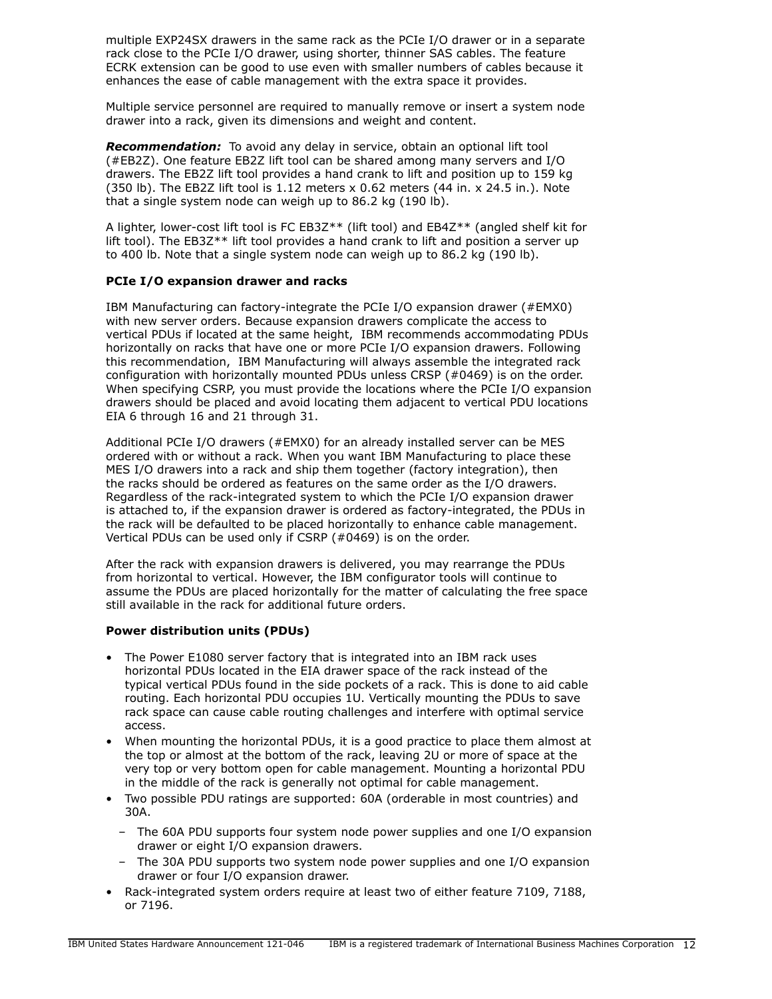multiple EXP24SX drawers in the same rack as the PCIe I/O drawer or in a separate rack close to the PCIe I/O drawer, using shorter, thinner SAS cables. The feature ECRK extension can be good to use even with smaller numbers of cables because it enhances the ease of cable management with the extra space it provides.

Multiple service personnel are required to manually remove or insert a system node drawer into a rack, given its dimensions and weight and content.

*Recommendation:* To avoid any delay in service, obtain an optional lift tool (#EB2Z). One feature EB2Z lift tool can be shared among many servers and I/O drawers. The EB2Z lift tool provides a hand crank to lift and position up to 159 kg (350 lb). The EB2Z lift tool is  $1.12$  meters  $\times$  0.62 meters (44 in.  $\times$  24.5 in.). Note that a single system node can weigh up to 86.2 kg (190 lb).

A lighter, lower-cost lift tool is FC EB3Z\*\* (lift tool) and EB4Z\*\* (angled shelf kit for lift tool). The EB3Z\*\* lift tool provides a hand crank to lift and position a server up to 400 lb. Note that a single system node can weigh up to 86.2 kg (190 lb).

# **PCIe I/O expansion drawer and racks**

IBM Manufacturing can factory-integrate the PCIe I/O expansion drawer (#EMX0) with new server orders. Because expansion drawers complicate the access to vertical PDUs if located at the same height, IBM recommends accommodating PDUs horizontally on racks that have one or more PCIe I/O expansion drawers. Following this recommendation, IBM Manufacturing will always assemble the integrated rack configuration with horizontally mounted PDUs unless CRSP (#0469) is on the order. When specifying CSRP, you must provide the locations where the PCIe I/O expansion drawers should be placed and avoid locating them adjacent to vertical PDU locations EIA 6 through 16 and 21 through 31.

Additional PCIe I/O drawers (#EMX0) for an already installed server can be MES ordered with or without a rack. When you want IBM Manufacturing to place these MES I/O drawers into a rack and ship them together (factory integration), then the racks should be ordered as features on the same order as the I/O drawers. Regardless of the rack-integrated system to which the PCIe I/O expansion drawer is attached to, if the expansion drawer is ordered as factory-integrated, the PDUs in the rack will be defaulted to be placed horizontally to enhance cable management. Vertical PDUs can be used only if CSRP (#0469) is on the order.

After the rack with expansion drawers is delivered, you may rearrange the PDUs from horizontal to vertical. However, the IBM configurator tools will continue to assume the PDUs are placed horizontally for the matter of calculating the free space still available in the rack for additional future orders.

### **Power distribution units (PDUs)**

- The Power E1080 server factory that is integrated into an IBM rack uses horizontal PDUs located in the EIA drawer space of the rack instead of the typical vertical PDUs found in the side pockets of a rack. This is done to aid cable routing. Each horizontal PDU occupies 1U. Vertically mounting the PDUs to save rack space can cause cable routing challenges and interfere with optimal service access.
- When mounting the horizontal PDUs, it is a good practice to place them almost at the top or almost at the bottom of the rack, leaving 2U or more of space at the very top or very bottom open for cable management. Mounting a horizontal PDU in the middle of the rack is generally not optimal for cable management.
- Two possible PDU ratings are supported: 60A (orderable in most countries) and 30A.
	- The 60A PDU supports four system node power supplies and one I/O expansion drawer or eight I/O expansion drawers.
	- The 30A PDU supports two system node power supplies and one I/O expansion drawer or four I/O expansion drawer.
- Rack-integrated system orders require at least two of either feature 7109, 7188, or 7196.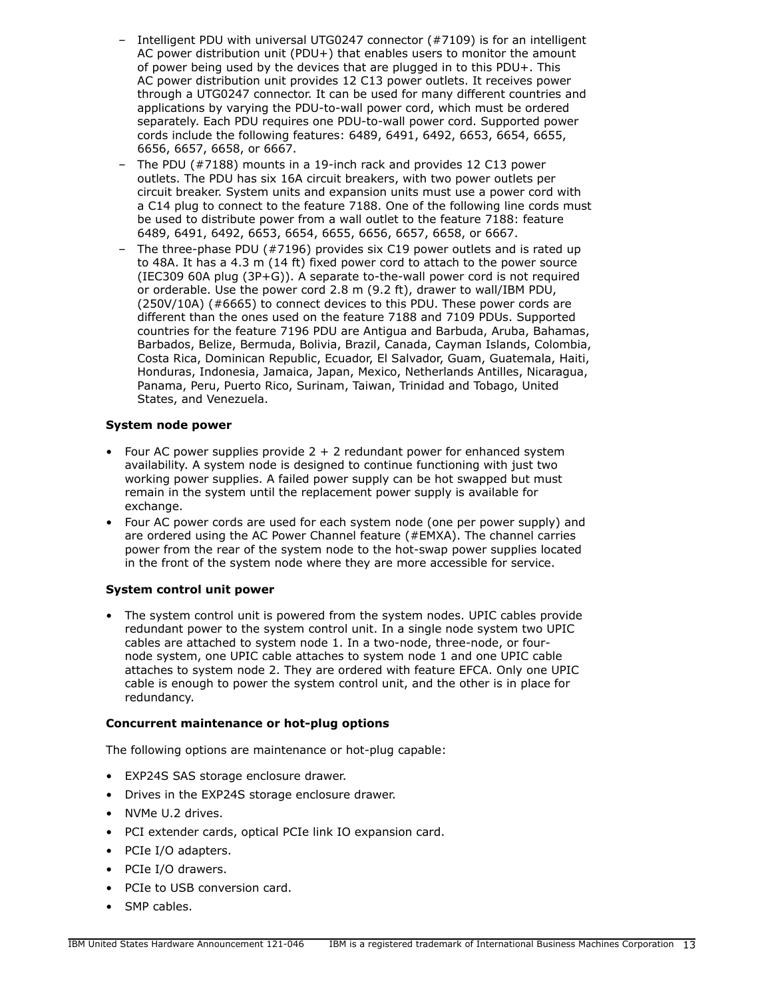- Intelligent PDU with universal UTG0247 connector (#7109) is for an intelligent AC power distribution unit (PDU+) that enables users to monitor the amount of power being used by the devices that are plugged in to this PDU+. This AC power distribution unit provides 12 C13 power outlets. It receives power through a UTG0247 connector. It can be used for many different countries and applications by varying the PDU-to-wall power cord, which must be ordered separately. Each PDU requires one PDU-to-wall power cord. Supported power cords include the following features: 6489, 6491, 6492, 6653, 6654, 6655, 6656, 6657, 6658, or 6667.
- The PDU (#7188) mounts in a 19-inch rack and provides 12 C13 power outlets. The PDU has six 16A circuit breakers, with two power outlets per circuit breaker. System units and expansion units must use a power cord with a C14 plug to connect to the feature 7188. One of the following line cords must be used to distribute power from a wall outlet to the feature 7188: feature 6489, 6491, 6492, 6653, 6654, 6655, 6656, 6657, 6658, or 6667.
- The three-phase PDU (#7196) provides six C19 power outlets and is rated up to 48A. It has a 4.3 m (14 ft) fixed power cord to attach to the power source (IEC309 60A plug (3P+G)). A separate to-the-wall power cord is not required or orderable. Use the power cord 2.8 m (9.2 ft), drawer to wall/IBM PDU, (250V/10A) (#6665) to connect devices to this PDU. These power cords are different than the ones used on the feature 7188 and 7109 PDUs. Supported countries for the feature 7196 PDU are Antigua and Barbuda, Aruba, Bahamas, Barbados, Belize, Bermuda, Bolivia, Brazil, Canada, Cayman Islands, Colombia, Costa Rica, Dominican Republic, Ecuador, El Salvador, Guam, Guatemala, Haiti, Honduras, Indonesia, Jamaica, Japan, Mexico, Netherlands Antilles, Nicaragua, Panama, Peru, Puerto Rico, Surinam, Taiwan, Trinidad and Tobago, United States, and Venezuela.

# **System node power**

- Four AC power supplies provide  $2 + 2$  redundant power for enhanced system availability. A system node is designed to continue functioning with just two working power supplies. A failed power supply can be hot swapped but must remain in the system until the replacement power supply is available for exchange.
- Four AC power cords are used for each system node (one per power supply) and are ordered using the AC Power Channel feature (#EMXA). The channel carries power from the rear of the system node to the hot-swap power supplies located in the front of the system node where they are more accessible for service.

# **System control unit power**

• The system control unit is powered from the system nodes. UPIC cables provide redundant power to the system control unit. In a single node system two UPIC cables are attached to system node 1. In a two-node, three-node, or fournode system, one UPIC cable attaches to system node 1 and one UPIC cable attaches to system node 2. They are ordered with feature EFCA. Only one UPIC cable is enough to power the system control unit, and the other is in place for redundancy.

# **Concurrent maintenance or hot-plug options**

The following options are maintenance or hot-plug capable:

- EXP24S SAS storage enclosure drawer.
- Drives in the EXP24S storage enclosure drawer.
- NVMe U.2 drives.
- PCI extender cards, optical PCIe link IO expansion card.
- PCIe I/O adapters.
- PCIe I/O drawers.
- PCIe to USB conversion card.
- SMP cables.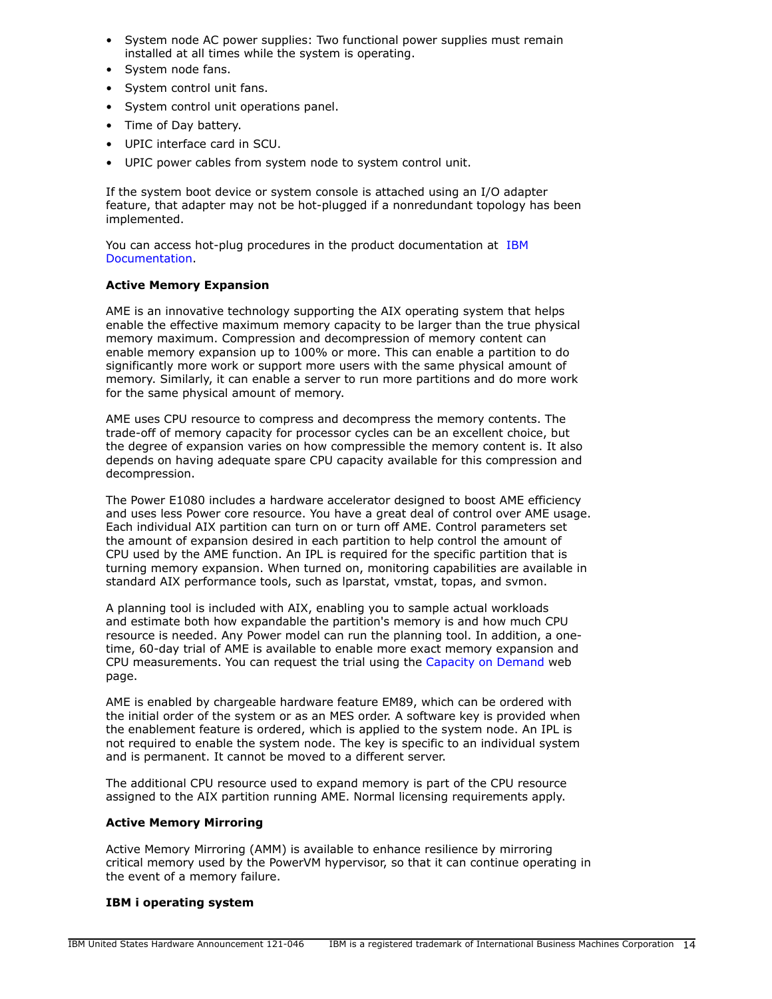- System node AC power supplies: Two functional power supplies must remain installed at all times while the system is operating.
- System node fans.
- System control unit fans.
- System control unit operations panel.
- Time of Day battery.
- UPIC interface card in SCU.
- UPIC power cables from system node to system control unit.

If the system boot device or system console is attached using an I/O adapter feature, that adapter may not be hot-plugged if a nonredundant topology has been implemented.

You can access hot-plug procedures in the product documentation at [IBM](http://www.ibm.com/support/knowledgecenter/POWER8) [Documentation.](http://www.ibm.com/support/knowledgecenter/POWER8)

# **Active Memory Expansion**

AME is an innovative technology supporting the AIX operating system that helps enable the effective maximum memory capacity to be larger than the true physical memory maximum. Compression and decompression of memory content can enable memory expansion up to 100% or more. This can enable a partition to do significantly more work or support more users with the same physical amount of memory. Similarly, it can enable a server to run more partitions and do more work for the same physical amount of memory.

AME uses CPU resource to compress and decompress the memory contents. The trade-off of memory capacity for processor cycles can be an excellent choice, but the degree of expansion varies on how compressible the memory content is. It also depends on having adequate spare CPU capacity available for this compression and decompression.

The Power E1080 includes a hardware accelerator designed to boost AME efficiency and uses less Power core resource. You have a great deal of control over AME usage. Each individual AIX partition can turn on or turn off AME. Control parameters set the amount of expansion desired in each partition to help control the amount of CPU used by the AME function. An IPL is required for the specific partition that is turning memory expansion. When turned on, monitoring capabilities are available in standard AIX performance tools, such as lparstat, vmstat, topas, and svmon.

A planning tool is included with AIX, enabling you to sample actual workloads and estimate both how expandable the partition's memory is and how much CPU resource is needed. Any Power model can run the planning tool. In addition, a onetime, 60-day trial of AME is available to enable more exact memory expansion and CPU measurements. You can request the trial using the [Capacity on Demand](http://www.ibm.com/systems/power/hardware/cod/) web page.

AME is enabled by chargeable hardware feature EM89, which can be ordered with the initial order of the system or as an MES order. A software key is provided when the enablement feature is ordered, which is applied to the system node. An IPL is not required to enable the system node. The key is specific to an individual system and is permanent. It cannot be moved to a different server.

The additional CPU resource used to expand memory is part of the CPU resource assigned to the AIX partition running AME. Normal licensing requirements apply.

### **Active Memory Mirroring**

Active Memory Mirroring (AMM) is available to enhance resilience by mirroring critical memory used by the PowerVM hypervisor, so that it can continue operating in the event of a memory failure.

### **IBM i operating system**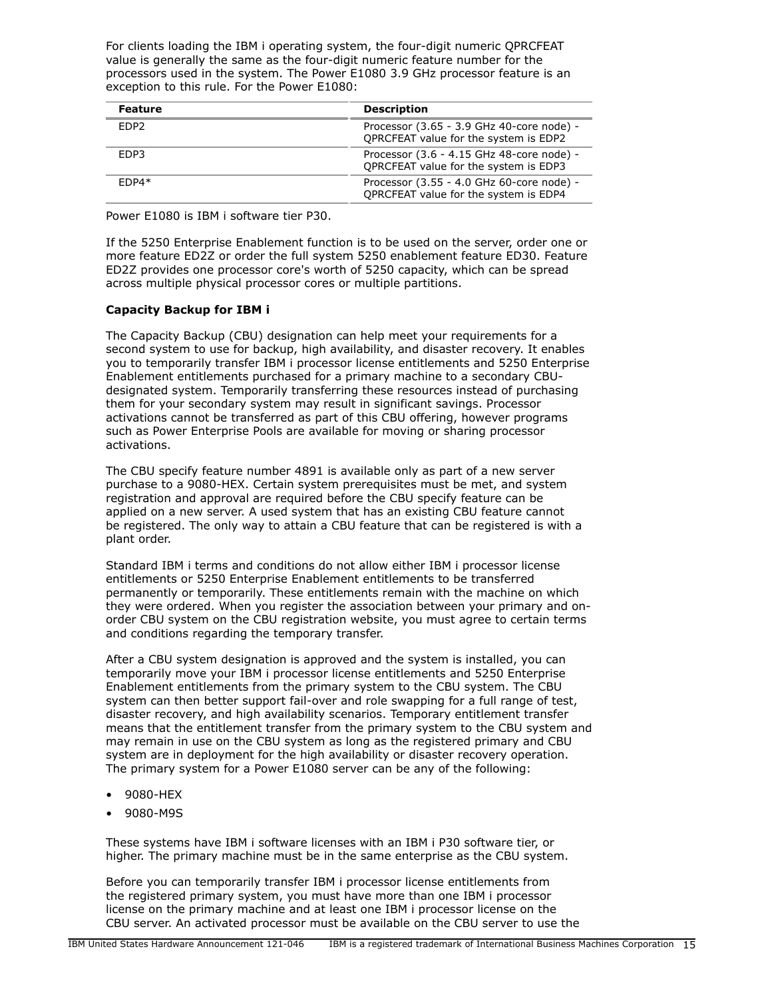For clients loading the IBM i operating system, the four-digit numeric QPRCFEAT value is generally the same as the four-digit numeric feature number for the processors used in the system. The Power E1080 3.9 GHz processor feature is an exception to this rule. For the Power E1080:

| <b>Feature</b>   | <b>Description</b>                                                                 |
|------------------|------------------------------------------------------------------------------------|
| FDP <sub>2</sub> | Processor (3.65 - 3.9 GHz 40-core node) -<br>OPRCFEAT value for the system is EDP2 |
| EDP3             | Processor (3.6 - 4.15 GHz 48-core node) -<br>OPRCFEAT value for the system is EDP3 |
| $FDP4*$          | Processor (3.55 - 4.0 GHz 60-core node) -<br>QPRCFEAT value for the system is EDP4 |

Power E1080 is IBM i software tier P30.

If the 5250 Enterprise Enablement function is to be used on the server, order one or more feature ED2Z or order the full system 5250 enablement feature ED30. Feature ED2Z provides one processor core's worth of 5250 capacity, which can be spread across multiple physical processor cores or multiple partitions.

# **Capacity Backup for IBM i**

The Capacity Backup (CBU) designation can help meet your requirements for a second system to use for backup, high availability, and disaster recovery. It enables you to temporarily transfer IBM i processor license entitlements and 5250 Enterprise Enablement entitlements purchased for a primary machine to a secondary CBUdesignated system. Temporarily transferring these resources instead of purchasing them for your secondary system may result in significant savings. Processor activations cannot be transferred as part of this CBU offering, however programs such as Power Enterprise Pools are available for moving or sharing processor activations.

The CBU specify feature number 4891 is available only as part of a new server purchase to a 9080-HEX. Certain system prerequisites must be met, and system registration and approval are required before the CBU specify feature can be applied on a new server. A used system that has an existing CBU feature cannot be registered. The only way to attain a CBU feature that can be registered is with a plant order.

Standard IBM i terms and conditions do not allow either IBM i processor license entitlements or 5250 Enterprise Enablement entitlements to be transferred permanently or temporarily. These entitlements remain with the machine on which they were ordered. When you register the association between your primary and onorder CBU system on the CBU registration website, you must agree to certain terms and conditions regarding the temporary transfer.

After a CBU system designation is approved and the system is installed, you can temporarily move your IBM i processor license entitlements and 5250 Enterprise Enablement entitlements from the primary system to the CBU system. The CBU system can then better support fail-over and role swapping for a full range of test, disaster recovery, and high availability scenarios. Temporary entitlement transfer means that the entitlement transfer from the primary system to the CBU system and may remain in use on the CBU system as long as the registered primary and CBU system are in deployment for the high availability or disaster recovery operation. The primary system for a Power E1080 server can be any of the following:

- 9080-HEX
- 9080-M9S

These systems have IBM i software licenses with an IBM i P30 software tier, or higher. The primary machine must be in the same enterprise as the CBU system.

Before you can temporarily transfer IBM i processor license entitlements from the registered primary system, you must have more than one IBM i processor license on the primary machine and at least one IBM i processor license on the CBU server. An activated processor must be available on the CBU server to use the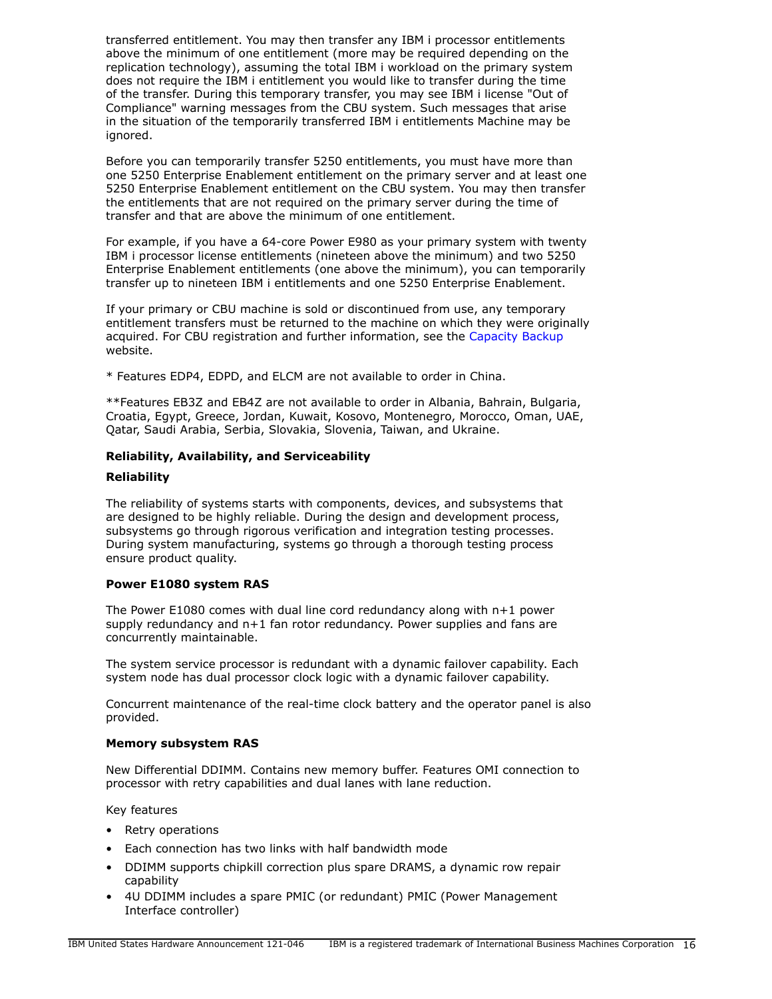transferred entitlement. You may then transfer any IBM i processor entitlements above the minimum of one entitlement (more may be required depending on the replication technology), assuming the total IBM i workload on the primary system does not require the IBM i entitlement you would like to transfer during the time of the transfer. During this temporary transfer, you may see IBM i license "Out of Compliance" warning messages from the CBU system. Such messages that arise in the situation of the temporarily transferred IBM i entitlements Machine may be ignored.

Before you can temporarily transfer 5250 entitlements, you must have more than one 5250 Enterprise Enablement entitlement on the primary server and at least one 5250 Enterprise Enablement entitlement on the CBU system. You may then transfer the entitlements that are not required on the primary server during the time of transfer and that are above the minimum of one entitlement.

For example, if you have a 64-core Power E980 as your primary system with twenty IBM i processor license entitlements (nineteen above the minimum) and two 5250 Enterprise Enablement entitlements (one above the minimum), you can temporarily transfer up to nineteen IBM i entitlements and one 5250 Enterprise Enablement.

If your primary or CBU machine is sold or discontinued from use, any temporary entitlement transfers must be returned to the machine on which they were originally acquired. For CBU registration and further information, see the [Capacity Backup](http://www.ibm.com/support/docview.wss?uid=isg3T1027721) website.

\* Features EDP4, EDPD, and ELCM are not available to order in China.

\*\*Features EB3Z and EB4Z are not available to order in Albania, Bahrain, Bulgaria, Croatia, Egypt, Greece, Jordan, Kuwait, Kosovo, Montenegro, Morocco, Oman, UAE, Qatar, Saudi Arabia, Serbia, Slovakia, Slovenia, Taiwan, and Ukraine.

# **Reliability, Availability, and Serviceability**

# **Reliability**

The reliability of systems starts with components, devices, and subsystems that are designed to be highly reliable. During the design and development process, subsystems go through rigorous verification and integration testing processes. During system manufacturing, systems go through a thorough testing process ensure product quality.

# **Power E1080 system RAS**

The Power E1080 comes with dual line cord redundancy along with n+1 power supply redundancy and n+1 fan rotor redundancy. Power supplies and fans are concurrently maintainable.

The system service processor is redundant with a dynamic failover capability. Each system node has dual processor clock logic with a dynamic failover capability.

Concurrent maintenance of the real-time clock battery and the operator panel is also provided.

# **Memory subsystem RAS**

New Differential DDIMM. Contains new memory buffer. Features OMI connection to processor with retry capabilities and dual lanes with lane reduction.

Key features

- Retry operations
- Each connection has two links with half bandwidth mode
- DDIMM supports chipkill correction plus spare DRAMS, a dynamic row repair capability
- 4U DDIMM includes a spare PMIC (or redundant) PMIC (Power Management Interface controller)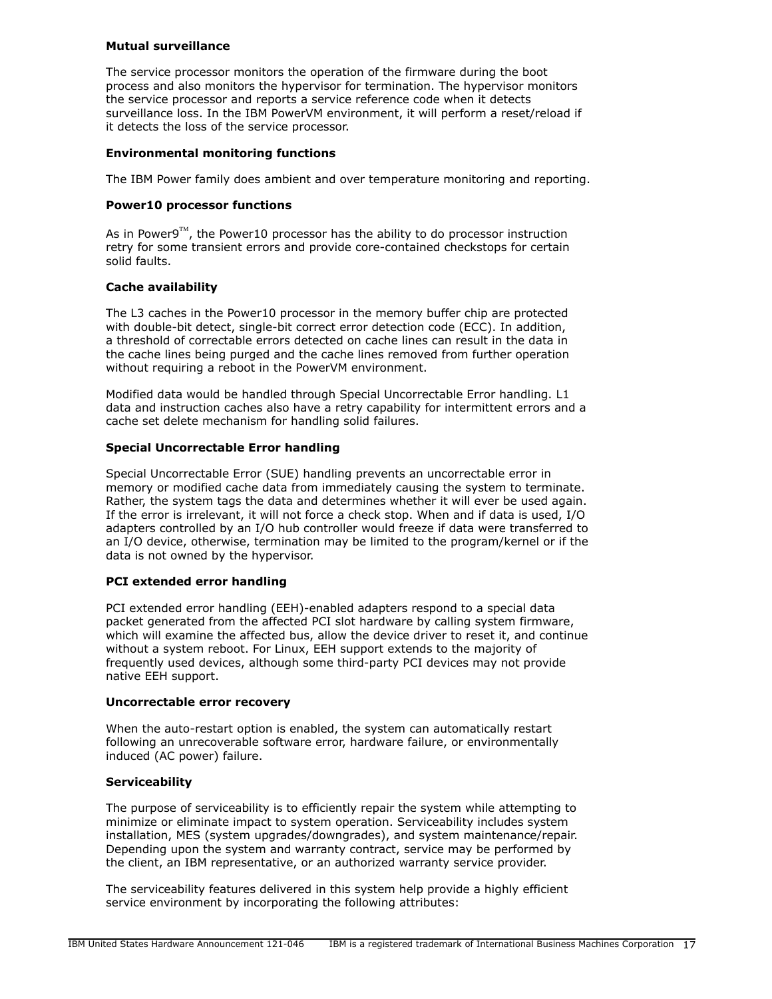### **Mutual surveillance**

The service processor monitors the operation of the firmware during the boot process and also monitors the hypervisor for termination. The hypervisor monitors the service processor and reports a service reference code when it detects surveillance loss. In the IBM PowerVM environment, it will perform a reset/reload if it detects the loss of the service processor.

# **Environmental monitoring functions**

The IBM Power family does ambient and over temperature monitoring and reporting.

### **Power10 processor functions**

As in Power9<sup>TM</sup>, the Power10 processor has the ability to do processor instruction retry for some transient errors and provide core-contained checkstops for certain solid faults.

# **Cache availability**

The L3 caches in the Power10 processor in the memory buffer chip are protected with double-bit detect, single-bit correct error detection code (ECC). In addition, a threshold of correctable errors detected on cache lines can result in the data in the cache lines being purged and the cache lines removed from further operation without requiring a reboot in the PowerVM environment.

Modified data would be handled through Special Uncorrectable Error handling. L1 data and instruction caches also have a retry capability for intermittent errors and a cache set delete mechanism for handling solid failures.

# **Special Uncorrectable Error handling**

Special Uncorrectable Error (SUE) handling prevents an uncorrectable error in memory or modified cache data from immediately causing the system to terminate. Rather, the system tags the data and determines whether it will ever be used again. If the error is irrelevant, it will not force a check stop. When and if data is used, I/O adapters controlled by an I/O hub controller would freeze if data were transferred to an I/O device, otherwise, termination may be limited to the program/kernel or if the data is not owned by the hypervisor.

# **PCI extended error handling**

PCI extended error handling (EEH)-enabled adapters respond to a special data packet generated from the affected PCI slot hardware by calling system firmware, which will examine the affected bus, allow the device driver to reset it, and continue without a system reboot. For Linux, EEH support extends to the majority of frequently used devices, although some third-party PCI devices may not provide native EEH support.

### **Uncorrectable error recovery**

When the auto-restart option is enabled, the system can automatically restart following an unrecoverable software error, hardware failure, or environmentally induced (AC power) failure.

### **Serviceability**

The purpose of serviceability is to efficiently repair the system while attempting to minimize or eliminate impact to system operation. Serviceability includes system installation, MES (system upgrades/downgrades), and system maintenance/repair. Depending upon the system and warranty contract, service may be performed by the client, an IBM representative, or an authorized warranty service provider.

The serviceability features delivered in this system help provide a highly efficient service environment by incorporating the following attributes: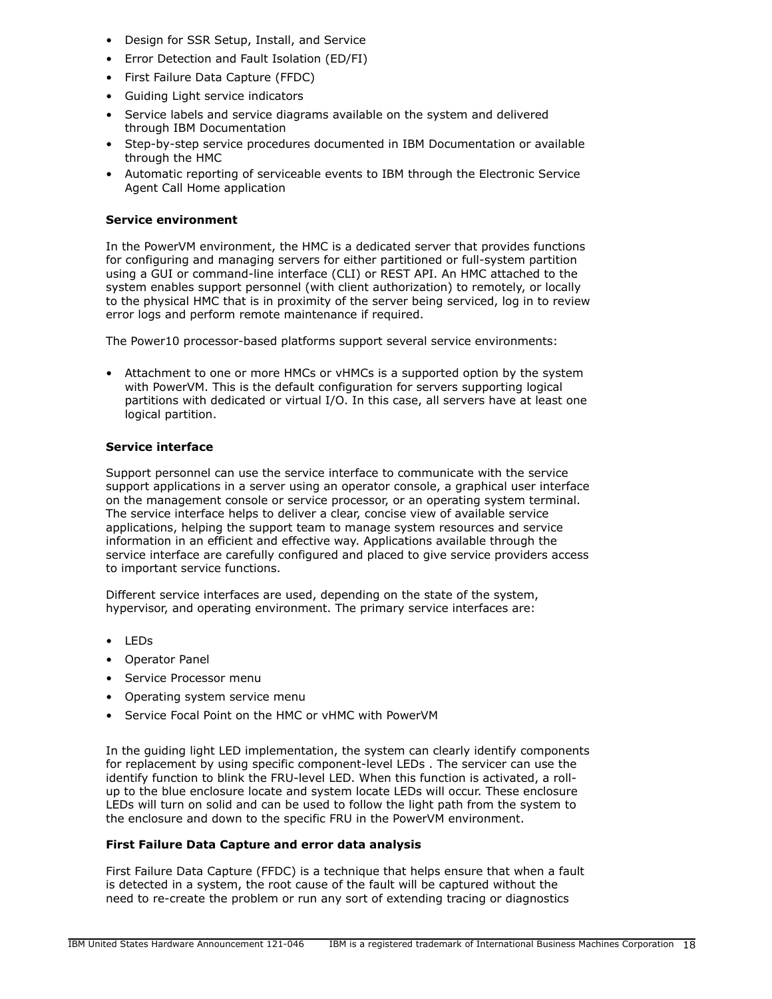- Design for SSR Setup, Install, and Service
- Error Detection and Fault Isolation (ED/FI)
- First Failure Data Capture (FFDC)
- Guiding Light service indicators
- Service labels and service diagrams available on the system and delivered through IBM Documentation
- Step-by-step service procedures documented in IBM Documentation or available through the HMC
- Automatic reporting of serviceable events to IBM through the Electronic Service Agent Call Home application

# **Service environment**

In the PowerVM environment, the HMC is a dedicated server that provides functions for configuring and managing servers for either partitioned or full-system partition using a GUI or command-line interface (CLI) or REST API. An HMC attached to the system enables support personnel (with client authorization) to remotely, or locally to the physical HMC that is in proximity of the server being serviced, log in to review error logs and perform remote maintenance if required.

The Power10 processor-based platforms support several service environments:

• Attachment to one or more HMCs or vHMCs is a supported option by the system with PowerVM. This is the default configuration for servers supporting logical partitions with dedicated or virtual I/O. In this case, all servers have at least one logical partition.

# **Service interface**

Support personnel can use the service interface to communicate with the service support applications in a server using an operator console, a graphical user interface on the management console or service processor, or an operating system terminal. The service interface helps to deliver a clear, concise view of available service applications, helping the support team to manage system resources and service information in an efficient and effective way. Applications available through the service interface are carefully configured and placed to give service providers access to important service functions.

Different service interfaces are used, depending on the state of the system, hypervisor, and operating environment. The primary service interfaces are:

- LEDs
- Operator Panel
- Service Processor menu
- Operating system service menu
- Service Focal Point on the HMC or vHMC with PowerVM

In the guiding light LED implementation, the system can clearly identify components for replacement by using specific component-level LEDs . The servicer can use the identify function to blink the FRU-level LED. When this function is activated, a rollup to the blue enclosure locate and system locate LEDs will occur. These enclosure LEDs will turn on solid and can be used to follow the light path from the system to the enclosure and down to the specific FRU in the PowerVM environment.

# **First Failure Data Capture and error data analysis**

First Failure Data Capture (FFDC) is a technique that helps ensure that when a fault is detected in a system, the root cause of the fault will be captured without the need to re-create the problem or run any sort of extending tracing or diagnostics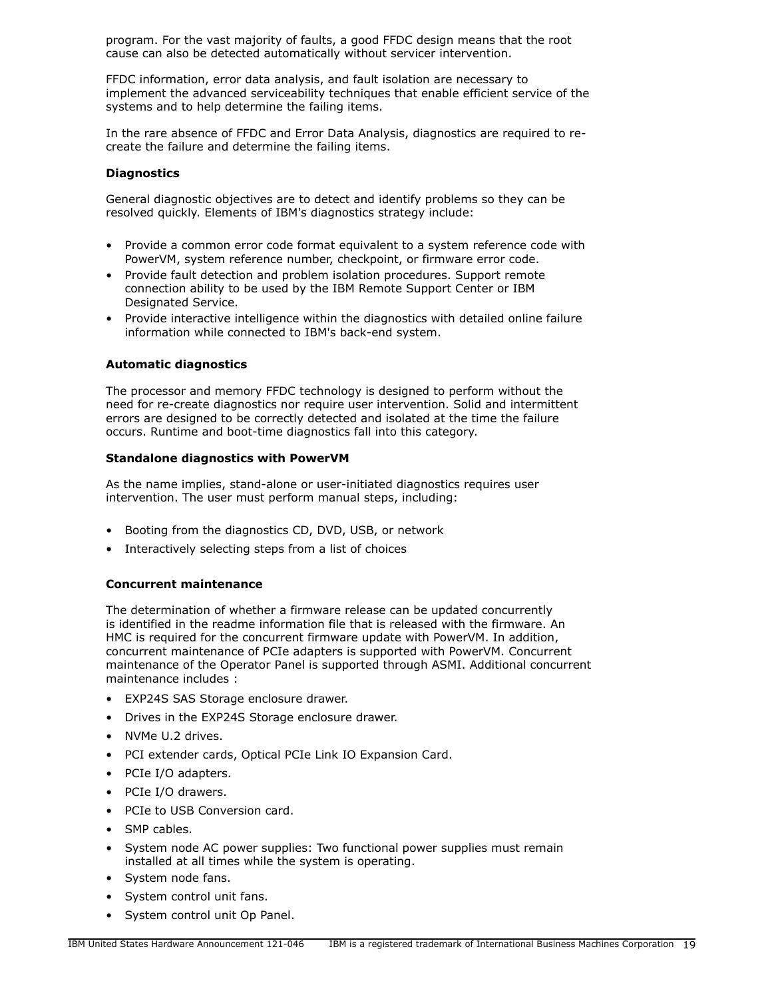program. For the vast majority of faults, a good FFDC design means that the root cause can also be detected automatically without servicer intervention.

FFDC information, error data analysis, and fault isolation are necessary to implement the advanced serviceability techniques that enable efficient service of the systems and to help determine the failing items.

In the rare absence of FFDC and Error Data Analysis, diagnostics are required to recreate the failure and determine the failing items.

### **Diagnostics**

General diagnostic objectives are to detect and identify problems so they can be resolved quickly. Elements of IBM's diagnostics strategy include:

- Provide a common error code format equivalent to a system reference code with PowerVM, system reference number, checkpoint, or firmware error code.
- Provide fault detection and problem isolation procedures. Support remote connection ability to be used by the IBM Remote Support Center or IBM Designated Service.
- Provide interactive intelligence within the diagnostics with detailed online failure information while connected to IBM's back-end system.

# **Automatic diagnostics**

The processor and memory FFDC technology is designed to perform without the need for re-create diagnostics nor require user intervention. Solid and intermittent errors are designed to be correctly detected and isolated at the time the failure occurs. Runtime and boot-time diagnostics fall into this category.

# **Standalone diagnostics with PowerVM**

As the name implies, stand-alone or user-initiated diagnostics requires user intervention. The user must perform manual steps, including:

- Booting from the diagnostics CD, DVD, USB, or network
- Interactively selecting steps from a list of choices

### **Concurrent maintenance**

The determination of whether a firmware release can be updated concurrently is identified in the readme information file that is released with the firmware. An HMC is required for the concurrent firmware update with PowerVM. In addition, concurrent maintenance of PCIe adapters is supported with PowerVM. Concurrent maintenance of the Operator Panel is supported through ASMI. Additional concurrent maintenance includes :

- EXP24S SAS Storage enclosure drawer.
- Drives in the EXP24S Storage enclosure drawer.
- NVMe U.2 drives.
- PCI extender cards, Optical PCIe Link IO Expansion Card.
- PCIe I/O adapters.
- PCIe I/O drawers.
- PCIe to USB Conversion card.
- SMP cables.
- System node AC power supplies: Two functional power supplies must remain installed at all times while the system is operating.
- System node fans.
- System control unit fans.
- System control unit Op Panel.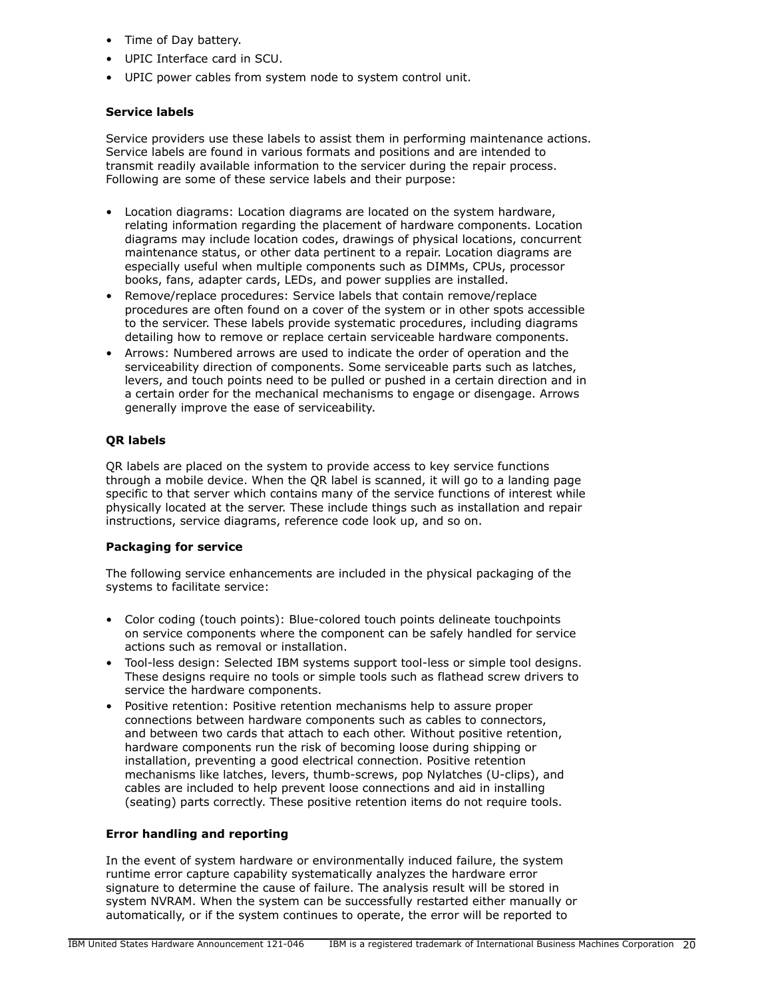- Time of Day battery.
- UPIC Interface card in SCU.
- UPIC power cables from system node to system control unit.

# **Service labels**

Service providers use these labels to assist them in performing maintenance actions. Service labels are found in various formats and positions and are intended to transmit readily available information to the servicer during the repair process. Following are some of these service labels and their purpose:

- Location diagrams: Location diagrams are located on the system hardware, relating information regarding the placement of hardware components. Location diagrams may include location codes, drawings of physical locations, concurrent maintenance status, or other data pertinent to a repair. Location diagrams are especially useful when multiple components such as DIMMs, CPUs, processor books, fans, adapter cards, LEDs, and power supplies are installed.
- Remove/replace procedures: Service labels that contain remove/replace procedures are often found on a cover of the system or in other spots accessible to the servicer. These labels provide systematic procedures, including diagrams detailing how to remove or replace certain serviceable hardware components.
- Arrows: Numbered arrows are used to indicate the order of operation and the serviceability direction of components. Some serviceable parts such as latches, levers, and touch points need to be pulled or pushed in a certain direction and in a certain order for the mechanical mechanisms to engage or disengage. Arrows generally improve the ease of serviceability.

# **QR labels**

QR labels are placed on the system to provide access to key service functions through a mobile device. When the QR label is scanned, it will go to a landing page specific to that server which contains many of the service functions of interest while physically located at the server. These include things such as installation and repair instructions, service diagrams, reference code look up, and so on.

### **Packaging for service**

The following service enhancements are included in the physical packaging of the systems to facilitate service:

- Color coding (touch points): Blue-colored touch points delineate touchpoints on service components where the component can be safely handled for service actions such as removal or installation.
- Tool-less design: Selected IBM systems support tool-less or simple tool designs. These designs require no tools or simple tools such as flathead screw drivers to service the hardware components.
- Positive retention: Positive retention mechanisms help to assure proper connections between hardware components such as cables to connectors, and between two cards that attach to each other. Without positive retention, hardware components run the risk of becoming loose during shipping or installation, preventing a good electrical connection. Positive retention mechanisms like latches, levers, thumb-screws, pop Nylatches (U-clips), and cables are included to help prevent loose connections and aid in installing (seating) parts correctly. These positive retention items do not require tools.

# **Error handling and reporting**

In the event of system hardware or environmentally induced failure, the system runtime error capture capability systematically analyzes the hardware error signature to determine the cause of failure. The analysis result will be stored in system NVRAM. When the system can be successfully restarted either manually or automatically, or if the system continues to operate, the error will be reported to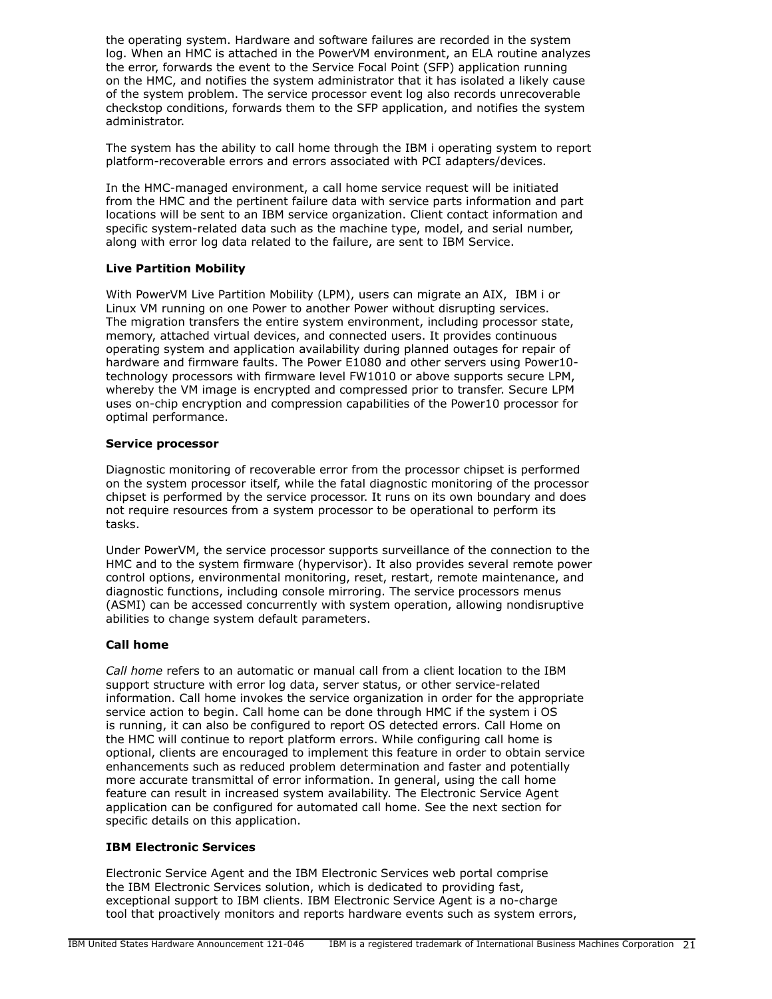the operating system. Hardware and software failures are recorded in the system log. When an HMC is attached in the PowerVM environment, an ELA routine analyzes the error, forwards the event to the Service Focal Point (SFP) application running on the HMC, and notifies the system administrator that it has isolated a likely cause of the system problem. The service processor event log also records unrecoverable checkstop conditions, forwards them to the SFP application, and notifies the system administrator.

The system has the ability to call home through the IBM i operating system to report platform-recoverable errors and errors associated with PCI adapters/devices.

In the HMC-managed environment, a call home service request will be initiated from the HMC and the pertinent failure data with service parts information and part locations will be sent to an IBM service organization. Client contact information and specific system-related data such as the machine type, model, and serial number, along with error log data related to the failure, are sent to IBM Service.

# **Live Partition Mobility**

With PowerVM Live Partition Mobility (LPM), users can migrate an AIX, IBM i or Linux VM running on one Power to another Power without disrupting services. The migration transfers the entire system environment, including processor state, memory, attached virtual devices, and connected users. It provides continuous operating system and application availability during planned outages for repair of hardware and firmware faults. The Power E1080 and other servers using Power10 technology processors with firmware level FW1010 or above supports secure LPM, whereby the VM image is encrypted and compressed prior to transfer. Secure LPM uses on-chip encryption and compression capabilities of the Power10 processor for optimal performance.

# **Service processor**

Diagnostic monitoring of recoverable error from the processor chipset is performed on the system processor itself, while the fatal diagnostic monitoring of the processor chipset is performed by the service processor. It runs on its own boundary and does not require resources from a system processor to be operational to perform its tasks.

Under PowerVM, the service processor supports surveillance of the connection to the HMC and to the system firmware (hypervisor). It also provides several remote power control options, environmental monitoring, reset, restart, remote maintenance, and diagnostic functions, including console mirroring. The service processors menus (ASMI) can be accessed concurrently with system operation, allowing nondisruptive abilities to change system default parameters.

# **Call home**

*Call home* refers to an automatic or manual call from a client location to the IBM support structure with error log data, server status, or other service-related information. Call home invokes the service organization in order for the appropriate service action to begin. Call home can be done through HMC if the system i OS is running, it can also be configured to report OS detected errors. Call Home on the HMC will continue to report platform errors. While configuring call home is optional, clients are encouraged to implement this feature in order to obtain service enhancements such as reduced problem determination and faster and potentially more accurate transmittal of error information. In general, using the call home feature can result in increased system availability. The Electronic Service Agent application can be configured for automated call home. See the next section for specific details on this application.

# **IBM Electronic Services**

Electronic Service Agent and the IBM Electronic Services web portal comprise the IBM Electronic Services solution, which is dedicated to providing fast, exceptional support to IBM clients. IBM Electronic Service Agent is a no-charge tool that proactively monitors and reports hardware events such as system errors,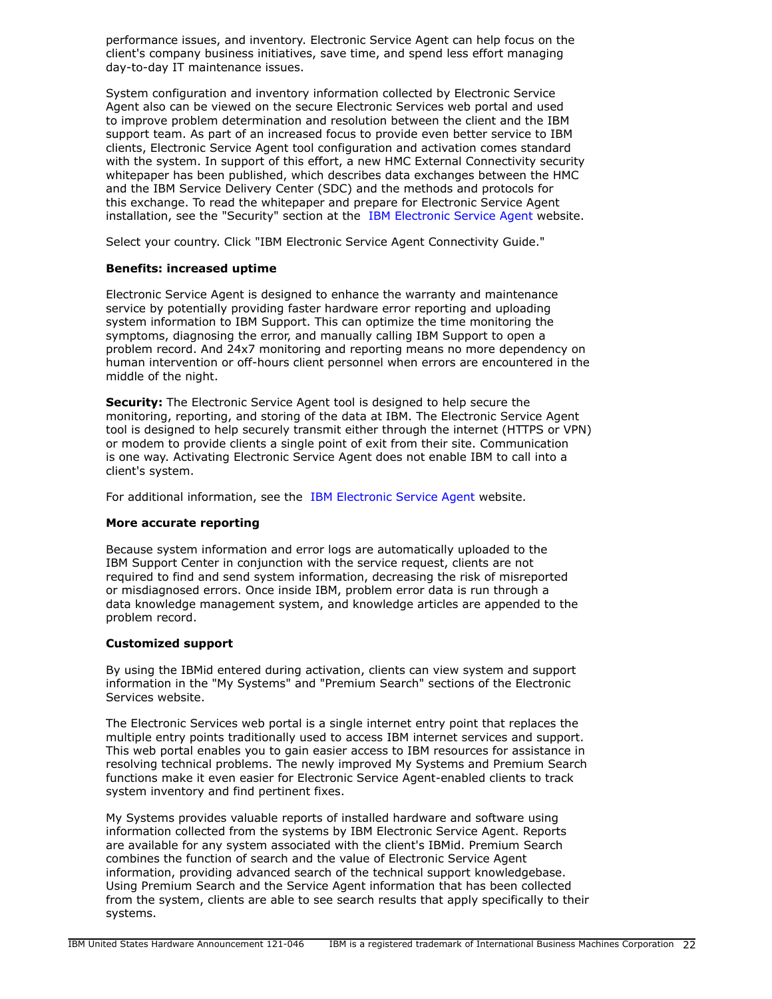performance issues, and inventory. Electronic Service Agent can help focus on the client's company business initiatives, save time, and spend less effort managing day-to-day IT maintenance issues.

System configuration and inventory information collected by Electronic Service Agent also can be viewed on the secure Electronic Services web portal and used to improve problem determination and resolution between the client and the IBM support team. As part of an increased focus to provide even better service to IBM clients, Electronic Service Agent tool configuration and activation comes standard with the system. In support of this effort, a new HMC External Connectivity security whitepaper has been published, which describes data exchanges between the HMC and the IBM Service Delivery Center (SDC) and the methods and protocols for this exchange. To read the whitepaper and prepare for Electronic Service Agent installation, see the "Security" section at the [IBM Electronic Service Agent](http://www.ibm.com/support/esa) website.

Select your country. Click "IBM Electronic Service Agent Connectivity Guide."

# **Benefits: increased uptime**

Electronic Service Agent is designed to enhance the warranty and maintenance service by potentially providing faster hardware error reporting and uploading system information to IBM Support. This can optimize the time monitoring the symptoms, diagnosing the error, and manually calling IBM Support to open a problem record. And 24x7 monitoring and reporting means no more dependency on human intervention or off-hours client personnel when errors are encountered in the middle of the night.

**Security:** The Electronic Service Agent tool is designed to help secure the monitoring, reporting, and storing of the data at IBM. The Electronic Service Agent tool is designed to help securely transmit either through the internet (HTTPS or VPN) or modem to provide clients a single point of exit from their site. Communication is one way. Activating Electronic Service Agent does not enable IBM to call into a client's system.

For additional information, see the [IBM Electronic Service Agent](http://www.ibm.com/support/esa) website.

# **More accurate reporting**

Because system information and error logs are automatically uploaded to the IBM Support Center in conjunction with the service request, clients are not required to find and send system information, decreasing the risk of misreported or misdiagnosed errors. Once inside IBM, problem error data is run through a data knowledge management system, and knowledge articles are appended to the problem record.

# **Customized support**

By using the IBMid entered during activation, clients can view system and support information in the "My Systems" and "Premium Search" sections of the Electronic Services website.

The Electronic Services web portal is a single internet entry point that replaces the multiple entry points traditionally used to access IBM internet services and support. This web portal enables you to gain easier access to IBM resources for assistance in resolving technical problems. The newly improved My Systems and Premium Search functions make it even easier for Electronic Service Agent-enabled clients to track system inventory and find pertinent fixes.

My Systems provides valuable reports of installed hardware and software using information collected from the systems by IBM Electronic Service Agent. Reports are available for any system associated with the client's IBMid. Premium Search combines the function of search and the value of Electronic Service Agent information, providing advanced search of the technical support knowledgebase. Using Premium Search and the Service Agent information that has been collected from the system, clients are able to see search results that apply specifically to their systems.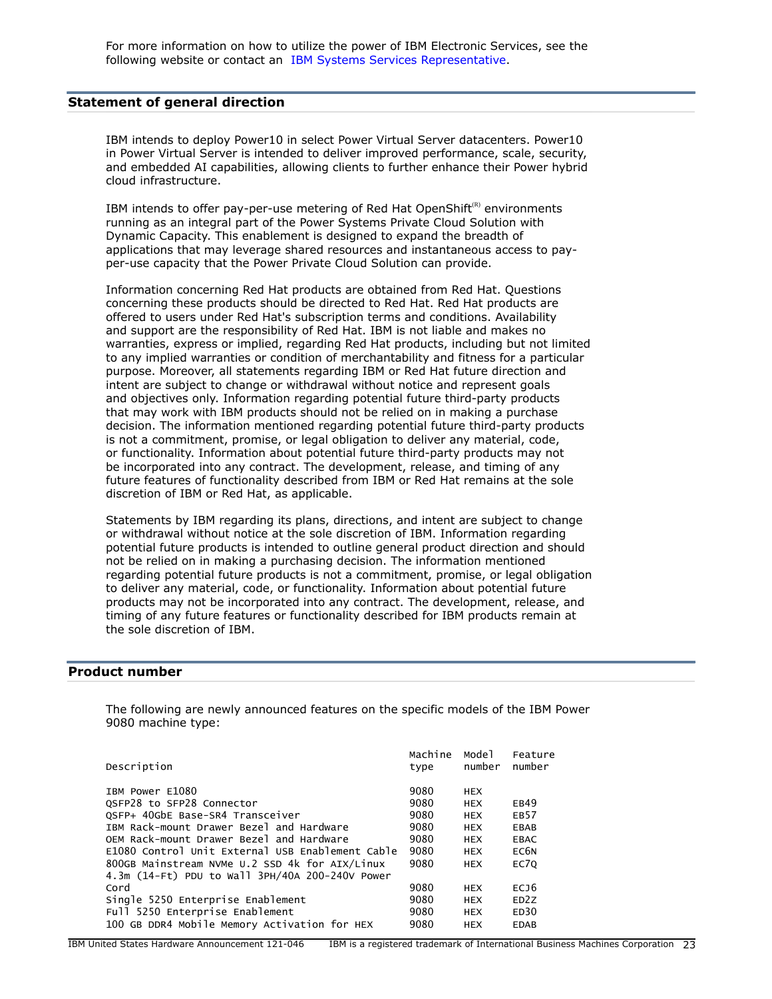For more information on how to utilize the power of IBM Electronic Services, see the following website or contact an [IBM Systems Services Representative](http://www.ibm.com/support/electronic).

### <span id="page-22-0"></span>**Statement of general direction**

IBM intends to deploy Power10 in select Power Virtual Server datacenters. Power10 in Power Virtual Server is intended to deliver improved performance, scale, security, and embedded AI capabilities, allowing clients to further enhance their Power hybrid cloud infrastructure.

IBM intends to offer pay-per-use metering of Red Hat OpenShift<sup>(R)</sup> environments running as an integral part of the Power Systems Private Cloud Solution with Dynamic Capacity. This enablement is designed to expand the breadth of applications that may leverage shared resources and instantaneous access to payper-use capacity that the Power Private Cloud Solution can provide.

Information concerning Red Hat products are obtained from Red Hat. Questions concerning these products should be directed to Red Hat. Red Hat products are offered to users under Red Hat's subscription terms and conditions. Availability and support are the responsibility of Red Hat. IBM is not liable and makes no warranties, express or implied, regarding Red Hat products, including but not limited to any implied warranties or condition of merchantability and fitness for a particular purpose. Moreover, all statements regarding IBM or Red Hat future direction and intent are subject to change or withdrawal without notice and represent goals and objectives only. Information regarding potential future third-party products that may work with IBM products should not be relied on in making a purchase decision. The information mentioned regarding potential future third-party products is not a commitment, promise, or legal obligation to deliver any material, code, or functionality. Information about potential future third-party products may not be incorporated into any contract. The development, release, and timing of any future features of functionality described from IBM or Red Hat remains at the sole discretion of IBM or Red Hat, as applicable.

Statements by IBM regarding its plans, directions, and intent are subject to change or withdrawal without notice at the sole discretion of IBM. Information regarding potential future products is intended to outline general product direction and should not be relied on in making a purchasing decision. The information mentioned regarding potential future products is not a commitment, promise, or legal obligation to deliver any material, code, or functionality. Information about potential future products may not be incorporated into any contract. The development, release, and timing of any future features or functionality described for IBM products remain at the sole discretion of IBM.

### <span id="page-22-1"></span>**Product number**

The following are newly announced features on the specific models of the IBM Power 9080 machine type:

| Description                                      | Machine<br>type | Model<br>number | Feature<br>number |
|--------------------------------------------------|-----------------|-----------------|-------------------|
|                                                  |                 |                 |                   |
| IBM Power E1080                                  | 9080            | <b>HEX</b>      |                   |
| QSFP28 to SFP28 Connector                        | 9080            | <b>HEX</b>      | EB49              |
| QSFP+ 40GbE Base-SR4 Transceiver                 | 9080            | <b>HEX</b>      | <b>EB57</b>       |
| IBM Rack-mount Drawer Bezel and Hardware         | 9080            | <b>HEX</b>      | <b>EBAB</b>       |
| OEM Rack-mount Drawer Bezel and Hardware         | 9080            | <b>HEX</b>      | <b>EBAC</b>       |
| E1080 Control Unit External USB Enablement Cable | 9080            | <b>HEX</b>      | EC <sub>6N</sub>  |
| 800GB Mainstream NVMe U.2 SSD 4k for AIX/Linux   | 9080            | <b>HEX</b>      | EC70              |
| 4.3m (14-Ft) PDU to Wall 3PH/40A 200-240V Power  |                 |                 |                   |
| Cord                                             | 9080            | <b>HEX</b>      | EC <sub>J</sub> 6 |
| Single 5250 Enterprise Enablement                | 9080            | <b>HEX</b>      | ED <sub>2</sub> Z |
| Full 5250 Enterprise Enablement                  | 9080            | <b>HEX</b>      | ED30              |
| 100 GB DDR4 Mobile Memory Activation for HEX     | 9080            | <b>HEX</b>      | <b>EDAB</b>       |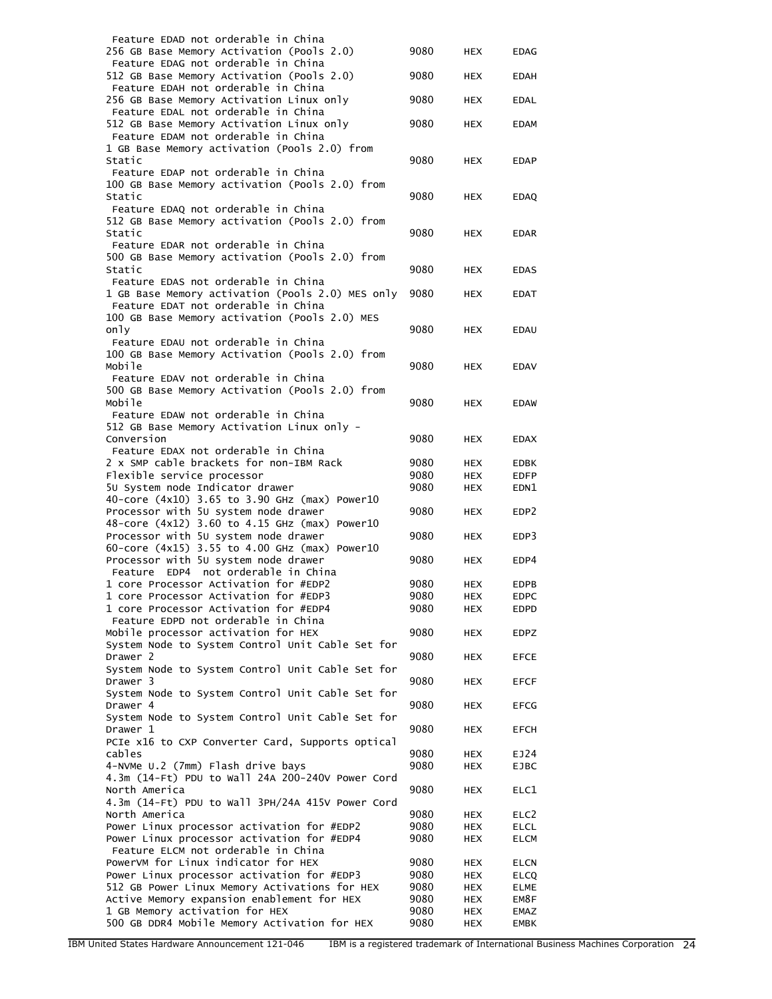| Feature EDAD not orderable in China              |      |            |                  |
|--------------------------------------------------|------|------------|------------------|
| 256 GB Base Memory Activation (Pools 2.0)        | 9080 | <b>HEX</b> | <b>EDAG</b>      |
| Feature EDAG not orderable in China              |      |            |                  |
| 512 GB Base Memory Activation (Pools 2.0)        | 9080 | <b>HEX</b> | <b>EDAH</b>      |
| Feature EDAH not orderable in China              |      |            |                  |
| 256 GB Base Memory Activation Linux only         | 9080 | <b>HEX</b> | <b>EDAL</b>      |
| Feature EDAL not orderable in China              |      |            |                  |
| 512 GB Base Memory Activation Linux only         | 9080 | <b>HEX</b> | <b>EDAM</b>      |
| Feature EDAM not orderable in China              |      |            |                  |
|                                                  |      |            |                  |
| 1 GB Base Memory activation (Pools 2.0) from     |      |            |                  |
| Static                                           | 9080 | <b>HEX</b> | <b>EDAP</b>      |
| Feature EDAP not orderable in China              |      |            |                  |
| 100 GB Base Memory activation (Pools 2.0) from   |      |            |                  |
| Static                                           | 9080 | <b>HEX</b> | <b>EDAQ</b>      |
| Feature EDAQ not orderable in China              |      |            |                  |
| 512 GB Base Memory activation (Pools 2.0) from   |      |            |                  |
| Static                                           | 9080 | <b>HEX</b> | <b>EDAR</b>      |
| Feature EDAR not orderable in China              |      |            |                  |
| 500 GB Base Memory activation (Pools 2.0) from   |      |            |                  |
| Static                                           | 9080 |            |                  |
|                                                  |      | HEX        | <b>EDAS</b>      |
| Feature EDAS not orderable in China              |      |            |                  |
| 1 GB Base Memory activation (Pools 2.0) MES only | 9080 | <b>HEX</b> | <b>EDAT</b>      |
| Feature EDAT not orderable in China              |      |            |                  |
| 100 GB Base Memory activation (Pools 2.0) MES    |      |            |                  |
| only                                             | 9080 | HEX        | <b>EDAU</b>      |
| Feature EDAU not orderable in China              |      |            |                  |
| 100 GB Base Memory Activation (Pools 2.0) from   |      |            |                  |
| Mobile                                           | 9080 | <b>HEX</b> | <b>EDAV</b>      |
|                                                  |      |            |                  |
| Feature EDAV not orderable in China              |      |            |                  |
| 500 GB Base Memory Activation (Pools 2.0) from   |      |            |                  |
| Mobile                                           | 9080 | <b>HEX</b> | <b>EDAW</b>      |
| Feature EDAW not orderable in China              |      |            |                  |
| 512 GB Base Memory Activation Linux only -       |      |            |                  |
| Conversion                                       | 9080 | <b>HEX</b> | <b>EDAX</b>      |
| Feature EDAX not orderable in China              |      |            |                  |
| 2 x SMP cable brackets for non-IBM Rack          | 9080 | <b>HEX</b> | <b>EDBK</b>      |
| Flexible service processor                       | 9080 | <b>HEX</b> | <b>EDFP</b>      |
| 50 System node Indicator drawer                  | 9080 | <b>HEX</b> | EDN1             |
|                                                  |      |            |                  |
| 40-core (4x10) 3.65 to 3.90 GHz (max) Power10    |      |            |                  |
| Processor with 5U system node drawer             | 9080 | <b>HEX</b> | EDP <sub>2</sub> |
| 48-core (4x12) 3.60 to 4.15 GHz (max) Power10    |      |            |                  |
| Processor with 50 system node drawer             | 9080 | <b>HEX</b> | EDP3             |
| 60-core (4x15) 3.55 to 4.00 GHz (max) Power10    |      |            |                  |
| Processor with 5U system node drawer             | 9080 | <b>HEX</b> | EDP4             |
| EDP4 not orderable in China<br>Feature           |      |            |                  |
| 1 core Processor Activation for #EDP2            | 9080 | <b>HEX</b> | <b>EDPB</b>      |
| 1 core Processor Activation for #EDP3            | 9080 | HEX        | <b>EDPC</b>      |
| 1 core Processor Activation for #EDP4            | 9080 | <b>HEX</b> | EDPD             |
| Feature EDPD not orderable in China              |      |            |                  |
| Mobile processor activation for HEX              | 9080 | <b>HEX</b> | <b>EDPZ</b>      |
|                                                  |      |            |                  |
| System Node to System Control Unit Cable Set for |      |            |                  |
| Drawer 2                                         | 9080 | HEX        | <b>EFCE</b>      |
| System Node to System Control Unit Cable Set for |      |            |                  |
| Drawer 3                                         | 9080 | <b>HEX</b> | <b>EFCF</b>      |
| System Node to System Control Unit Cable Set for |      |            |                  |
| Drawer 4                                         | 9080 | <b>HEX</b> | <b>EFCG</b>      |
| System Node to System Control Unit Cable Set for |      |            |                  |
| Drawer 1                                         | 9080 | <b>HEX</b> | <b>EFCH</b>      |
| PCIe x16 to CXP Converter Card, Supports optical |      |            |                  |
|                                                  |      |            |                  |
| cables                                           | 9080 | <b>HEX</b> | EJ24             |
| 4-NVMe U.2 (7mm) Flash drive bays                | 9080 | <b>HEX</b> | <b>EJBC</b>      |
| 4.3m (14-Ft) PDU to Wall 24A 200-240V Power Cord |      |            |                  |
| North America                                    | 9080 | <b>HEX</b> | ELC1             |
| 4.3m (14-Ft) PDU to Wall 3PH/24A 415V Power Cord |      |            |                  |
| North America                                    | 9080 | HEX        | ELC <sub>2</sub> |
| Power Linux processor activation for #EDP2       | 9080 | <b>HEX</b> | <b>ELCL</b>      |
| Power Linux processor activation for #EDP4       | 9080 | <b>HEX</b> | <b>ELCM</b>      |
| Feature ELCM not orderable in China              |      |            |                  |
| PowerVM for Linux indicator for HEX              |      |            |                  |
|                                                  | 9080 | HEX        | <b>ELCN</b>      |
| Power Linux processor activation for #EDP3       | 9080 | HEX        | <b>ELCQ</b>      |
| 512 GB Power Linux Memory Activations for HEX    | 9080 | <b>HEX</b> | ELME             |
| Active Memory expansion enablement for HEX       | 9080 | <b>HEX</b> | EM8F             |
|                                                  |      |            |                  |
| 1 GB Memory activation for HEX                   | 9080 | <b>HEX</b> | EMAZ             |
| 500 GB DDR4 Mobile Memory Activation for HEX     | 9080 | HEX        | EMBK             |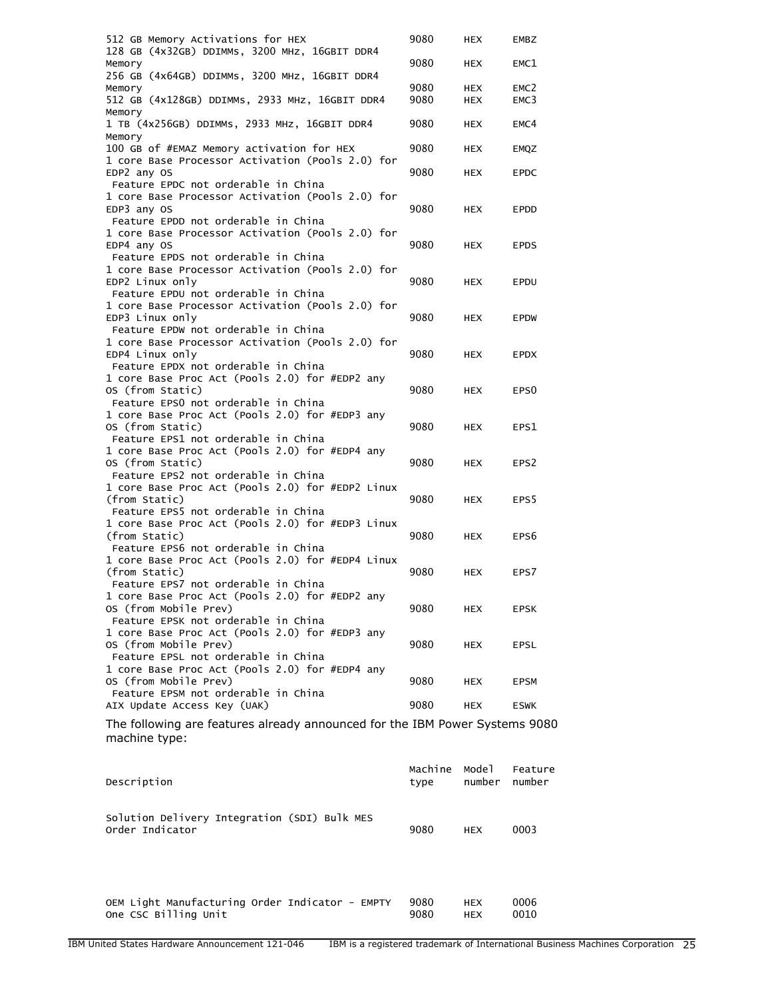| 512 GB Memory Activations for HEX<br>128 GB (4x32GB) DDIMMs, 3200 MHz, 16GBIT DDR4            | 9080 | <b>HEX</b> | <b>EMBZ</b>      |
|-----------------------------------------------------------------------------------------------|------|------------|------------------|
| Memory<br>256 GB (4x64GB) DDIMMs, 3200 MHz, 16GBIT DDR4                                       | 9080 | <b>HEX</b> | EMC1             |
| Memory                                                                                        | 9080 | HEX        | EMC <sub>2</sub> |
| 512 GB (4x128GB) DDIMMS, 2933 MHz, 16GBIT DDR4<br>Memory                                      | 9080 | <b>HEX</b> | EMC3             |
| 1 TB (4x256GB) DDIMMs, 2933 MHz, 16GBIT DDR4<br>Memory                                        | 9080 | <b>HEX</b> | EMC4             |
| 100 GB of #EMAZ Memory activation for HEX<br>1 core Base Processor Activation (Pools 2.0) for | 9080 | HEX        | EMQZ             |
| EDP2 any OS<br>Feature EPDC not orderable in China                                            | 9080 | <b>HEX</b> | <b>EPDC</b>      |
| 1 core Base Processor Activation (Pools 2.0) for                                              |      |            |                  |
| EDP3 any OS                                                                                   | 9080 | <b>HEX</b> | <b>EPDD</b>      |
| Feature EPDD not orderable in China                                                           |      |            |                  |
| 1 core Base Processor Activation (Pools 2.0) for                                              |      |            |                  |
| EDP4 any OS                                                                                   | 9080 | HEX        | <b>EPDS</b>      |
| Feature EPDS not orderable in China                                                           |      |            |                  |
| 1 core Base Processor Activation (Pools 2.0) for                                              |      |            |                  |
| EDP2 Linux only                                                                               | 9080 | <b>HEX</b> | EPDU             |
| Feature EPDU not orderable in China                                                           |      |            |                  |
| 1 core Base Processor Activation (Pools 2.0) for                                              |      |            |                  |
| EDP3 Linux only                                                                               | 9080 | <b>HEX</b> | <b>EPDW</b>      |
| Feature EPDW not orderable in China                                                           |      |            |                  |
| 1 core Base Processor Activation (Pools 2.0) for                                              |      |            |                  |
| EDP4 Linux only                                                                               | 9080 | <b>HEX</b> | <b>EPDX</b>      |
| Feature EPDX not orderable in China                                                           |      |            |                  |
| 1 core Base Proc Act (Pools 2.0) for #EDP2 any                                                |      |            |                  |
| OS (from Static)                                                                              | 9080 | <b>HEX</b> | EPS <sub>0</sub> |
| Feature EPSO not orderable in China                                                           |      |            |                  |
| 1 core Base Proc Act (Pools 2.0) for #EDP3 any                                                |      |            |                  |
| OS (from Static)                                                                              | 9080 | HEX        | EPS1             |
| Feature EPS1 not orderable in China                                                           |      |            |                  |
| 1 core Base Proc Act (Pools 2.0) for #EDP4 any                                                |      |            |                  |
| OS (from Static)                                                                              | 9080 | <b>HEX</b> | EPS <sub>2</sub> |
| Feature EPS2 not orderable in China                                                           |      |            |                  |
| 1 core Base Proc Act (Pools 2.0) for #EDP2 Linux                                              |      |            |                  |
| (from Static)                                                                                 | 9080 | <b>HEX</b> | EPS <sub>5</sub> |
| Feature EPS5 not orderable in China                                                           |      |            |                  |
| 1 core Base Proc Act (Pools 2.0) for #EDP3 Linux                                              |      |            |                  |
| (from Static)                                                                                 | 9080 | <b>HEX</b> | EPS <sub>6</sub> |
| Feature EPS6 not orderable in China                                                           |      |            |                  |
| 1 core Base Proc Act (Pools 2.0) for #EDP4 Linux                                              |      |            |                  |
| (from Static)                                                                                 | 9080 | HEX        | EPS7             |
| Feature EPS7 not orderable in China                                                           |      |            |                  |
| 1 core Base Proc Act (Pools 2.0) for #EDP2 any                                                |      |            |                  |
| OS (from Mobile Prev)                                                                         | 9080 | HEX        | <b>EPSK</b>      |
| Feature EPSK not orderable in China                                                           |      |            |                  |
| 1 core Base Proc Act (Pools 2.0) for #EDP3 any                                                |      |            |                  |
| OS (from Mobile Prev)<br>Feature EPSL not orderable in China                                  | 9080 | HEX        | EPSL             |
| 1 core Base Proc Act (Pools 2.0) for #EDP4 any                                                |      |            |                  |
| OS (from Mobile Prev)                                                                         | 9080 | HEX        | EPSM             |
| Feature EPSM not orderable in China                                                           |      |            |                  |
| AIX Update Access Key (UAK)                                                                   | 9080 | <b>HEX</b> | <b>ESWK</b>      |
|                                                                                               |      |            |                  |

The following are features already announced for the IBM Power Systems 9080 machine type:

| Description                                                     | Machine<br>type | Model<br>number | Feature<br>number |
|-----------------------------------------------------------------|-----------------|-----------------|-------------------|
| Solution Delivery Integration (SDI) Bulk MES<br>Order Indicator | 9080            | <b>HEX</b>      | 0003              |
| OEM Light Manufacturing Order Indicator - EMPTY                 | 9080            | <b>HEX</b>      | 0006              |

One CSC Billing Unit 9080 HEX 0010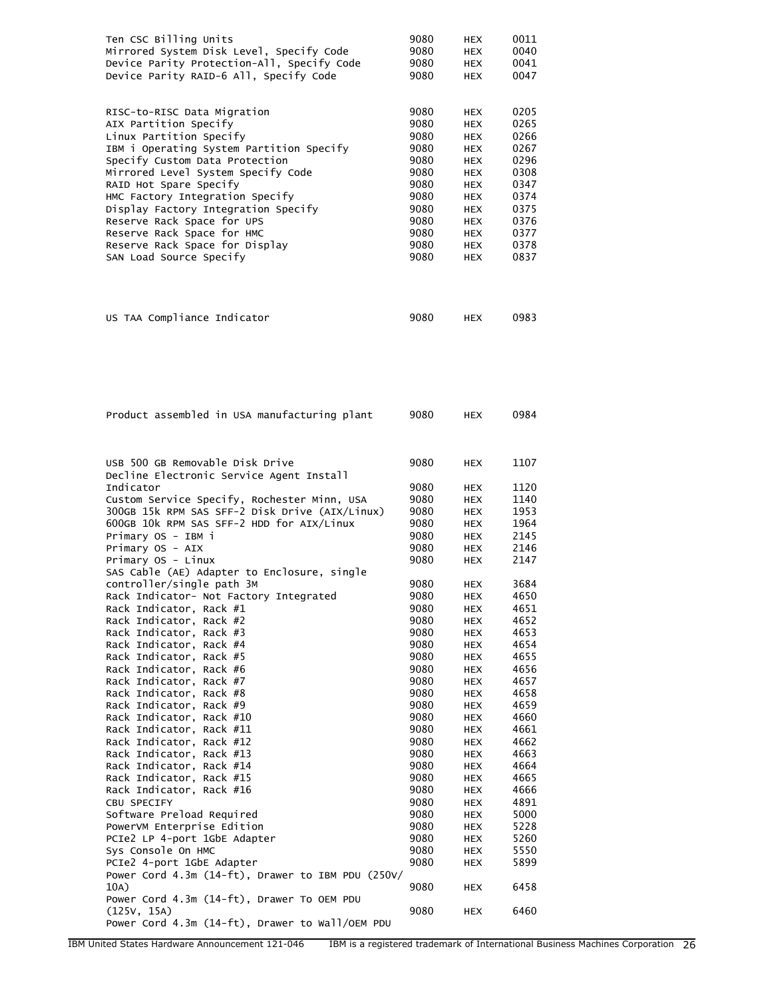| Ten CSC Billing Units<br>Mirrored System Disk Level, Specify Code<br>Device Parity Protection-All, Specify Code<br>Device Parity RAID-6 All, Specify Code                                                                     | 9080<br>9080<br>9080<br>9080                         | HEX<br><b>HEX</b><br><b>HEX</b><br><b>HEX</b>                                                  | 0011<br>0040<br>0041<br>0047                         |
|-------------------------------------------------------------------------------------------------------------------------------------------------------------------------------------------------------------------------------|------------------------------------------------------|------------------------------------------------------------------------------------------------|------------------------------------------------------|
| RISC-to-RISC Data Migration<br>AIX Partition Specify<br>Linux Partition Specify<br>IBM i Operating System Partition Specify<br>Specify Custom Data Protection<br>Mirrored Level System Specify Code<br>RAID Hot Spare Specify | 9080<br>9080<br>9080<br>9080<br>9080<br>9080<br>9080 | <b>HEX</b><br><b>HEX</b><br><b>HEX</b><br><b>HEX</b><br><b>HEX</b><br><b>HEX</b><br><b>HEX</b> | 0205<br>0265<br>0266<br>0267<br>0296<br>0308<br>0347 |
| HMC Factory Integration Specify<br>Display Factory Integration Specify<br>Reserve Rack Space for UPS                                                                                                                          | 9080<br>9080<br>9080                                 | <b>HEX</b><br><b>HEX</b><br><b>HEX</b>                                                         | 0374<br>0375<br>0376                                 |
| Reserve Rack Space for HMC<br>Reserve Rack Space for Display<br>SAN Load Source Specify                                                                                                                                       | 9080<br>9080<br>9080                                 | <b>HEX</b><br><b>HEX</b><br><b>HEX</b>                                                         | 0377<br>0378<br>0837                                 |
| US TAA Compliance Indicator                                                                                                                                                                                                   | 9080                                                 | <b>HEX</b>                                                                                     | 0983                                                 |
| Product assembled in USA manufacturing plant                                                                                                                                                                                  | 9080                                                 | <b>HEX</b>                                                                                     | 0984                                                 |
| USB 500 GB Removable Disk Drive<br>Decline Electronic Service Agent Install                                                                                                                                                   | 9080                                                 | <b>HEX</b>                                                                                     | 1107                                                 |
| Indicator                                                                                                                                                                                                                     | 9080                                                 | <b>HEX</b>                                                                                     | 1120                                                 |
| Custom Service Specify, Rochester Minn, USA                                                                                                                                                                                   | 9080                                                 | <b>HEX</b>                                                                                     | 1140                                                 |
| 300GB 15k RPM SAS SFF-2 Disk Drive (AIX/Linux)                                                                                                                                                                                | 9080                                                 | <b>HEX</b>                                                                                     | 1953                                                 |
| 600GB 10k RPM SAS SFF-2 HDD for AIX/Linux                                                                                                                                                                                     | 9080                                                 | <b>HEX</b>                                                                                     | 1964                                                 |
| Primary OS - IBM i                                                                                                                                                                                                            | 9080                                                 | <b>HEX</b>                                                                                     | 2145                                                 |
| Primary OS - AIX<br>Primary OS - Linux                                                                                                                                                                                        | 9080<br>9080                                         | <b>HEX</b><br><b>HEX</b>                                                                       | 2146<br>2147                                         |
| SAS Cable (AE) Adapter to Enclosure, single                                                                                                                                                                                   |                                                      |                                                                                                |                                                      |
| controller/single path 3M                                                                                                                                                                                                     | 9080                                                 | HEX                                                                                            | 3684                                                 |
| Rack Indicator- Not Factory Integrated                                                                                                                                                                                        | 9080                                                 | HEX                                                                                            | 4650                                                 |
| Rack Indicator, Rack #1                                                                                                                                                                                                       | 9080                                                 | HEX                                                                                            | 4651                                                 |
| Rack Indicator, Rack #2<br>Rack Indicator, Rack #3                                                                                                                                                                            | 9080<br>9080                                         | <b>HEX</b>                                                                                     | 4652<br>4653                                         |
| Rack Indicator, Rack #4                                                                                                                                                                                                       | 9080                                                 | <b>HEX</b><br><b>HEX</b>                                                                       | 4654                                                 |
| Rack Indicator, Rack #5                                                                                                                                                                                                       | 9080                                                 | <b>HEX</b>                                                                                     | 4655                                                 |
| Rack Indicator, Rack #6                                                                                                                                                                                                       | 9080                                                 | <b>HEX</b>                                                                                     | 4656                                                 |
| Rack Indicator, Rack #7                                                                                                                                                                                                       | 9080                                                 | <b>HEX</b>                                                                                     | 4657                                                 |
| Rack Indicator, Rack #8                                                                                                                                                                                                       | 9080                                                 | <b>HEX</b>                                                                                     | 4658                                                 |
| Rack Indicator, Rack #9<br>Rack Indicator, Rack #10                                                                                                                                                                           | 9080<br>9080                                         | <b>HEX</b><br><b>HEX</b>                                                                       | 4659<br>4660                                         |
| Rack Indicator, Rack #11                                                                                                                                                                                                      | 9080                                                 | <b>HEX</b>                                                                                     | 4661                                                 |
| Rack Indicator, Rack #12                                                                                                                                                                                                      | 9080                                                 | <b>HEX</b>                                                                                     | 4662                                                 |
| Rack Indicator, Rack #13                                                                                                                                                                                                      | 9080                                                 | HEX                                                                                            | 4663                                                 |
| Rack Indicator, Rack #14                                                                                                                                                                                                      | 9080                                                 | <b>HEX</b>                                                                                     | 4664                                                 |
| Rack Indicator, Rack #15                                                                                                                                                                                                      | 9080                                                 | <b>HEX</b>                                                                                     | 4665                                                 |
| Rack Indicator, Rack #16<br>CBU SPECIFY                                                                                                                                                                                       | 9080<br>9080                                         | <b>HEX</b><br><b>HEX</b>                                                                       | 4666<br>4891                                         |
| Software Preload Required                                                                                                                                                                                                     | 9080                                                 | HEX                                                                                            | 5000                                                 |
| PowerVM Enterprise Edition                                                                                                                                                                                                    | 9080                                                 | <b>HEX</b>                                                                                     | 5228                                                 |
| PCIe2 LP 4-port 1GbE Adapter                                                                                                                                                                                                  | 9080                                                 | <b>HEX</b>                                                                                     | 5260                                                 |
| Sys Console On HMC                                                                                                                                                                                                            | 9080                                                 | <b>HEX</b>                                                                                     | 5550                                                 |
| PCIe2 4-port 1GbE Adapter<br>Power Cord 4.3m (14-ft), Drawer to IBM PDU (250V/<br>10A)                                                                                                                                        | 9080<br>9080                                         | <b>HEX</b><br><b>HEX</b>                                                                       | 5899<br>6458                                         |
| Power Cord 4.3m (14-ft), Drawer To OEM PDU<br>(125V, 15A)                                                                                                                                                                     | 9080                                                 | HEX                                                                                            | 6460                                                 |
| Power Cord 4.3m (14-ft), Drawer to Wall/OEM PDU                                                                                                                                                                               |                                                      |                                                                                                |                                                      |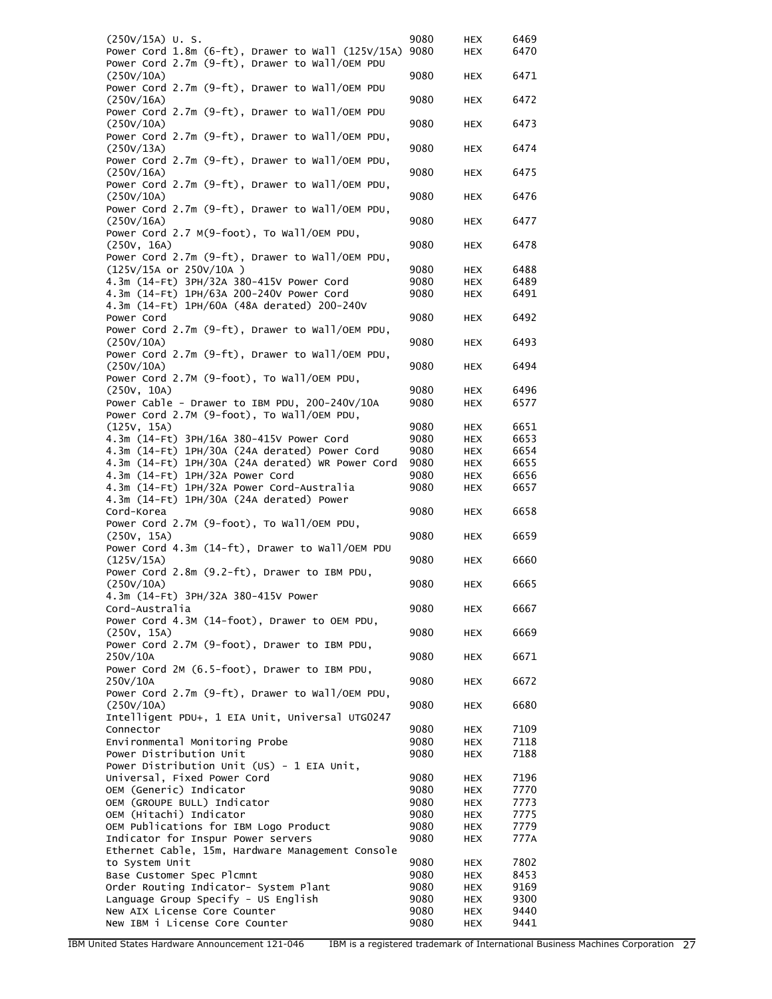| $(250V/15A)$ U.S.                                                                       | 9080         | HEX               | 6469         |
|-----------------------------------------------------------------------------------------|--------------|-------------------|--------------|
| Power Cord 1.8m (6-ft), Drawer to Wall (125V/15A)                                       | 9080         | HEX               | 6470         |
| Power Cord 2.7m (9-ft), Drawer to Wall/OEM PDU                                          |              |                   |              |
| (250V/10A)                                                                              | 9080         | <b>HEX</b>        | 6471         |
| Power Cord 2.7m (9-ft), Drawer to Wall/OEM PDU                                          |              |                   |              |
| (250V/16A)                                                                              | 9080         | HEX               | 6472         |
| Power Cord 2.7m (9-ft), Drawer to Wall/OEM PDU                                          |              |                   |              |
| (250V/10A)                                                                              | 9080         | <b>HEX</b>        | 6473         |
| Power Cord 2.7m (9-ft), Drawer to Wall/OEM PDU,                                         |              |                   |              |
| (250V/13A)<br>Power Cord 2.7m (9-ft), Drawer to Wall/OEM PDU,                           | 9080         | HEX               | 6474         |
| (250V/16A)                                                                              | 9080         | <b>HEX</b>        | 6475         |
| Power Cord 2.7m (9-ft), Drawer to Wall/OEM PDU,                                         |              |                   |              |
| (250V/10A)                                                                              | 9080         | HEX               | 6476         |
| Power Cord 2.7m (9-ft), Drawer to Wall/OEM PDU,                                         |              |                   |              |
| (250V/16A)                                                                              | 9080         | <b>HEX</b>        | 6477         |
| Power Cord 2.7 M(9-foot), To Wall/OEM PDU,                                              |              |                   |              |
| (250V, 16A)                                                                             | 9080         | <b>HEX</b>        | 6478         |
| Power Cord 2.7m (9-ft), Drawer to Wall/OEM PDU,                                         |              |                   |              |
| (125V/15A or 250V/10A)                                                                  | 9080         | HEX               | 6488         |
| 4.3m (14-Ft) 3PH/32A 380-415V Power Cord                                                | 9080         | HEX               | 6489         |
| 4.3m (14-Ft) 1PH/63A 200-240V Power Cord<br>4.3m (14-Ft) 1PH/60A (48A derated) 200-240V | 9080         | HEX               | 6491         |
| Power Cord                                                                              | 9080         | HEX               | 6492         |
| Power Cord 2.7m (9-ft), Drawer to Wall/OEM PDU,                                         |              |                   |              |
| (250V/10A)                                                                              | 9080         | HEX               | 6493         |
| Power Cord 2.7m (9-ft), Drawer to Wall/OEM PDU,                                         |              |                   |              |
| (250V/10A)                                                                              | 9080         | <b>HEX</b>        | 6494         |
| Power Cord 2.7M (9-foot), To Wall/OEM PDU,                                              |              |                   |              |
| (250V, 10A)                                                                             | 9080         | HEX               | 6496         |
| Power Cable - Drawer to IBM PDU, 200-240V/10A                                           | 9080         | HEX               | 6577         |
| Power Cord 2.7M (9-foot), To Wall/OEM PDU,                                              |              |                   |              |
| (125V, 15A)                                                                             | 9080         | HEX               | 6651         |
| 4.3m (14-Ft) 3PH/16A 380-415V Power Cord                                                | 9080         | HEX               | 6653         |
| 4.3m (14-Ft) 1PH/30A (24A derated) Power Cord                                           | 9080         | HEX               | 6654         |
| 4.3m (14-Ft) 1PH/30A (24A derated) WR Power Cord                                        | 9080         | HEX               | 6655         |
| 4.3m (14-Ft) 1PH/32A Power Cord<br>4.3m (14-Ft) 1PH/32A Power Cord-Australia            | 9080<br>9080 | HEX<br><b>HEX</b> | 6656<br>6657 |
| 4.3m (14-Ft) 1PH/30A (24A derated) Power                                                |              |                   |              |
| Cord-Korea                                                                              | 9080         | HEX               | 6658         |
| Power Cord 2.7M (9-foot), To Wall/OEM PDU,                                              |              |                   |              |
| (250V, 15A)                                                                             | 9080         | HEX               | 6659         |
| Power Cord 4.3m (14-ft), Drawer to Wall/OEM PDU                                         |              |                   |              |
| (125V/15A)                                                                              | 9080         | HEX               | 6660         |
| Power Cord 2.8m (9.2-ft), Drawer to IBM PDU,                                            |              |                   | 6665         |
| (250V/10A)<br>4.3m (14-Ft) 3PH/32A 380-415V Power                                       | 9080         | HEX               |              |
| Cord-Australia                                                                          | 9080         | <b>HEX</b>        | 6667         |
| Power Cord 4.3M (14-foot), Drawer to OEM PDU,                                           |              |                   |              |
| (250V, 15A)                                                                             | 9080         | <b>HEX</b>        | 6669         |
| Power Cord 2.7M (9-foot), Drawer to IBM PDU,                                            |              |                   |              |
| 250V/10A                                                                                | 9080         | HEX               | 6671         |
| Power Cord 2M (6.5-foot), Drawer to IBM PDU,                                            |              |                   |              |
| 250V/10A<br>Power Cord 2.7m (9-ft), Drawer to Wall/OEM PDU,                             | 9080         | HEX               | 6672         |
| (250V/10A)                                                                              | 9080         | HEX               | 6680         |
| Intelligent PDU+, 1 EIA Unit, Universal UTG0247                                         |              |                   |              |
| Connector                                                                               | 9080         | HEX               | 7109         |
| Environmental Monitoring Probe                                                          | 9080         | <b>HEX</b>        | 7118         |
| Power Distribution Unit                                                                 | 9080         | HEX               | 7188         |
| Power Distribution Unit (US) - 1 EIA Unit,                                              |              |                   |              |
| Universal, Fixed Power Cord                                                             | 9080         | HEX               | 7196         |
| OEM (Generic) Indicator                                                                 | 9080         | <b>HEX</b>        | 7770         |
| OEM (GROUPE BULL) Indicator                                                             | 9080         | <b>HEX</b>        | 7773         |
| OEM (Hitachi) Indicator                                                                 | 9080         | HEX               | 7775         |
| OEM Publications for IBM Logo Product<br>Indicator for Inspur Power servers             | 9080<br>9080 | HEX               | 7779<br>777A |
| Ethernet Cable, 15m, Hardware Management Console                                        |              | HEX               |              |
| to System Unit                                                                          | 9080         | HEX               | 7802         |
| Base Customer Spec Plcmnt                                                               | 9080         | HEX               | 8453         |
| Order Routing Indicator- System Plant                                                   | 9080         | HEX               | 9169         |
| Language Group Specify - US English                                                     | 9080         | HEX               | 9300         |
| New AIX License Core Counter                                                            | 9080         | <b>HEX</b>        | 9440         |
| New IBM i License Core Counter                                                          | 9080         | HEX               | 9441         |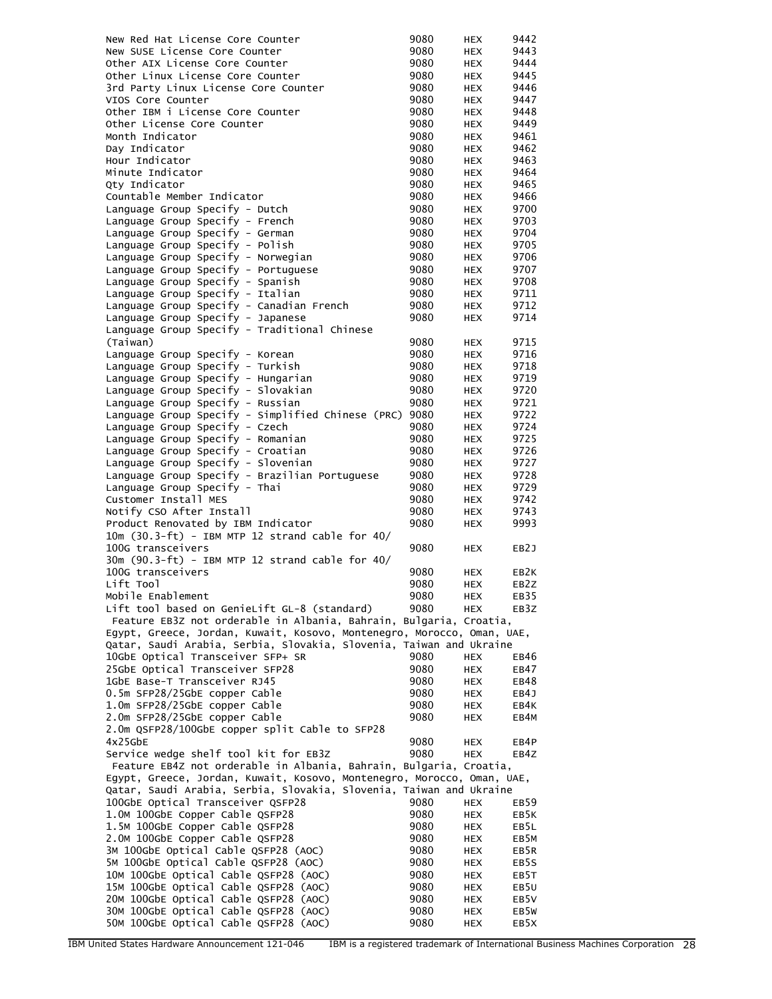| New Red Hat License Core Counter                                              | 9080         | <b>HEX</b>               | 9442              |
|-------------------------------------------------------------------------------|--------------|--------------------------|-------------------|
| New SUSE License Core Counter                                                 | 9080         | <b>HEX</b>               | 9443              |
| Other AIX License Core Counter                                                | 9080         | <b>HEX</b>               | 9444              |
| Other Linux License Core Counter                                              | 9080         | <b>HEX</b>               | 9445              |
| 3rd Party Linux License Core Counter                                          | 9080         | HEX                      | 9446              |
| VIOS Core Counter                                                             | 9080         | <b>HEX</b>               | 9447              |
| Other IBM i License Core Counter                                              | 9080         | <b>HEX</b>               | 9448              |
| Other License Core Counter                                                    | 9080         | <b>HEX</b>               | 9449              |
| Month Indicator                                                               | 9080         | <b>HEX</b>               | 9461              |
| Day Indicator                                                                 | 9080         | HEX                      | 9462              |
| Hour Indicator                                                                | 9080         | <b>HEX</b>               | 9463              |
| Minute Indicator                                                              | 9080         | <b>HEX</b>               | 9464              |
| Oty Indicator                                                                 | 9080         | <b>HEX</b>               | 9465              |
| Countable Member Indicator                                                    | 9080         | <b>HEX</b>               | 9466              |
| Language Group Specify - Dutch                                                | 9080         | HEX                      | 9700              |
| Language Group Specify - French                                               | 9080         | <b>HEX</b>               | 9703              |
| Language Group Specify - German                                               | 9080         | <b>HEX</b>               | 9704              |
| Language Group Specify - Polish                                               | 9080         | <b>HEX</b>               | 9705              |
| Language Group Specify - Norwegian                                            | 9080         | <b>HEX</b>               | 9706              |
| Language Group Specify - Portuguese                                           | 9080         | HEX                      | 9707              |
| Language Group Specify - Spanish                                              | 9080<br>9080 | <b>HEX</b>               | 9708              |
| Language Group Specify - Italian                                              |              | <b>HEX</b>               | 9711              |
| Language Group Specify - Canadian French<br>Language Group Specify - Japanese | 9080<br>9080 | <b>HEX</b>               | 9712<br>9714      |
| Language Group Specify - Traditional Chinese                                  |              | <b>HEX</b>               |                   |
|                                                                               | 9080         |                          | 9715              |
| (Taiwan)                                                                      | 9080         | <b>HEX</b>               | 9716              |
| Language Group Specify - Korean                                               | 9080         | <b>HEX</b><br><b>HEX</b> | 9718              |
| Language Group Specify - Turkish<br>Language Group Specify - Hungarian        | 9080         | <b>HEX</b>               | 9719              |
| Language Group Specify - Slovakian                                            | 9080         | HEX                      | 9720              |
| Language Group Specify - Russian                                              | 9080         | <b>HEX</b>               | 9721              |
| Language Group Specify - Simplified Chinese (PRC)                             | 9080         | <b>HEX</b>               | 9722              |
| Language Group Specify - Czech                                                | 9080         | <b>HEX</b>               | 9724              |
| Language Group Specify - Romanian                                             | 9080         | <b>HEX</b>               | 9725              |
| Language Group Specify - Croatian                                             | 9080         | HEX                      | 9726              |
| Language Group Specify - Slovenian                                            | 9080         | <b>HEX</b>               | 9727              |
| Language Group Specify - Brazilian Portuguese                                 | 9080         | <b>HEX</b>               | 9728              |
| Language Group Specify - Thai                                                 | 9080         | <b>HEX</b>               | 9729              |
| Customer Install MES                                                          | 9080         | <b>HEX</b>               | 9742              |
| Notify CSO After Install                                                      | 9080         | <b>HEX</b>               | 9743              |
| Product Renovated by IBM Indicator                                            | 9080         | <b>HEX</b>               | 9993              |
| 10m (30.3-ft) - IBM MTP 12 strand cable for 40/                               |              |                          |                   |
| 100G transceivers                                                             | 9080         | <b>HEX</b>               | EB <sub>2</sub> J |
| 30m (90.3-ft) - IBM MTP 12 strand cable for 40/                               |              |                          |                   |
| 100G transceivers                                                             | 9080         | HEX                      | EB <sub>2</sub> K |
| Lift Tool                                                                     | 9080         | <b>HEX</b>               | EB <sub>2</sub> Z |
| Mobile Enablement                                                             | 9080         | HEX                      | EB35              |
| Lift tool based on GenieLift GL-8 (standard)                                  | 9080         | <b>HEX</b>               | EB3Z              |
| Feature EB3Z not orderable in Albania, Bahrain, Bulgaria, Croatia,            |              |                          |                   |
| Egypt, Greece, Jordan, Kuwait, Kosovo, Montenegro, Morocco, Oman, UAE,        |              |                          |                   |
| Qatar, Saudi Arabia, Serbia, Slovakia, Slovenia, Taiwan and Ukraine           |              |                          |                   |
| 10GbE Optical Transceiver SFP+ SR                                             | 9080         | <b>HEX</b>               | EB46              |
| 25GbE Optical Transceiver SFP28                                               | 9080         | HEX                      | EB47              |
| 1GbE Base-T Transceiver RJ45                                                  | 9080         | HEX                      | EB48              |
| 0.5m SFP28/25GbE copper Cable                                                 | 9080         | HEX                      | EB4J              |
| 1.0m SFP28/25GbE copper Cable                                                 | 9080         | <b>HEX</b>               | EB4K              |
| 2.0m SFP28/25GbE copper Cable                                                 | 9080         | <b>HEX</b>               | EB4M              |
| 2.0m QSFP28/100GbE copper split Cable to SFP28                                |              |                          |                   |
| $4x25$ GbE                                                                    | 9080         | <b>HEX</b>               | EB4P              |
| Service wedge shelf tool kit for EB3Z                                         | 9080         | <b>HEX</b>               | EB4Z              |
| Feature EB4Z not orderable in Albania, Bahrain, Bulgaria, Croatia,            |              |                          |                   |
| Egypt, Greece, Jordan, Kuwait, Kosovo, Montenegro, Morocco, Oman, UAE,        |              |                          |                   |
| Qatar, Saudi Arabia, Serbia, Slovakia, Slovenia, Taiwan and Ukraine           |              |                          |                   |
| 100GbE Optical Transceiver QSFP28                                             | 9080         | <b>HEX</b>               | EB <sub>59</sub>  |
| 1.0M 100GbE Copper Cable QSFP28                                               | 9080         | HEX                      | EB5K              |
| 1.5M 100GbE Copper Cable QSFP28                                               | 9080         | HEX                      | EB5L              |
| 2.0M 100GbE Copper Cable QSFP28                                               | 9080         | <b>HEX</b>               | EB5M              |
| 3M 100GbE Optical Cable QSFP28 (AOC)                                          | 9080         | <b>HEX</b>               | EB5R              |
| 5M 100GbE Optical Cable QSFP28 (AOC)                                          | 9080         | <b>HEX</b>               | EB5S              |
| 10M 100GbE Optical Cable QSFP28 (AOC)                                         | 9080         | HEX                      | EB5T              |
| 15M 100GbE Optical Cable QSFP28 (AOC)                                         | 9080         | HEX                      | EB5U              |
| 20M 100GbE Optical Cable QSFP28 (AOC)                                         | 9080         | HEX                      | EB5V              |
| 30M 100GbE Optical Cable QSFP28 (AOC)                                         | 9080         | <b>HEX</b>               | EB5W              |
| 50M 100GbE Optical Cable QSFP28 (AOC)                                         | 9080         | HEX                      | EB5X              |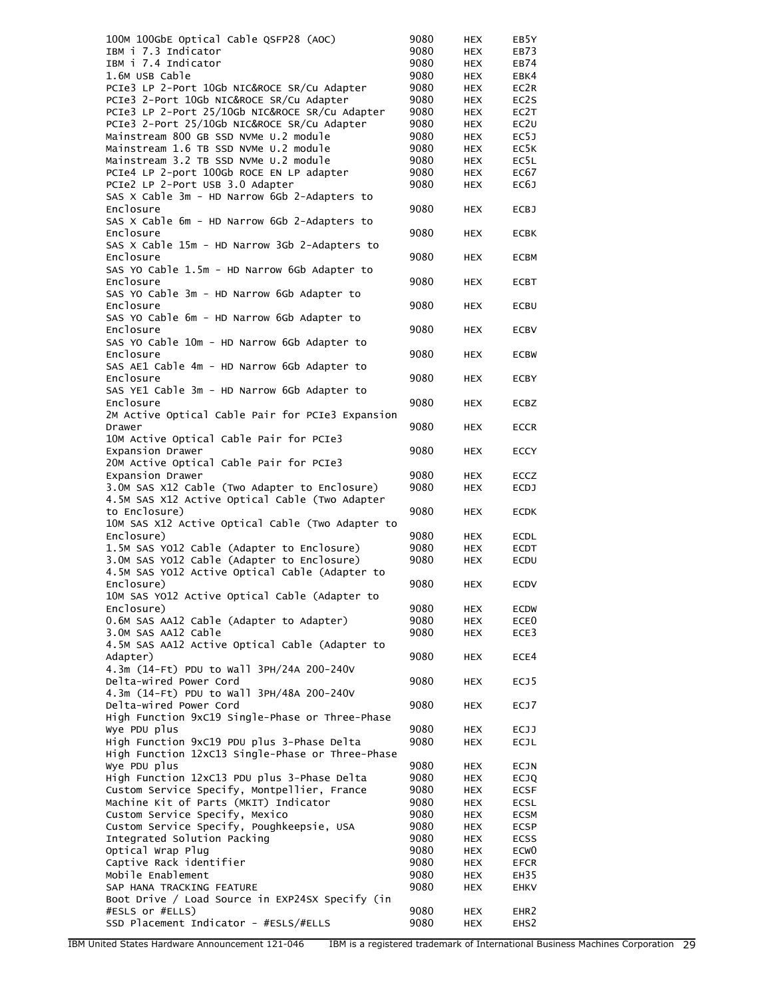| 100M 100GbE Optical Cable QSFP28 (AOC)                                            | 9080         | HEX                      | EB5Y                |
|-----------------------------------------------------------------------------------|--------------|--------------------------|---------------------|
| IBM i 7.3 Indicator                                                               | 9080         | HEX                      | EB73                |
| IBM i 7.4 Indicator                                                               | 9080         | <b>HEX</b>               | EB74                |
| 1.6M USB Cable                                                                    | 9080         | HEX                      | EBK4                |
| PCIe3 LP 2-Port 10Gb NIC&ROCE SR/Cu Adapter                                       | 9080         | HEX                      | EC2R                |
| PCIe3 2-Port 10Gb NIC&ROCE SR/Cu Adapter                                          | 9080         | <b>HEX</b>               | EC2S                |
| PCIe3 LP 2-Port 25/10Gb NIC&ROCE SR/Cu Adapter                                    | 9080         | HEX                      | EC2T                |
| PCIe3 2-Port 25/10Gb NIC&ROCE SR/Cu Adapter                                       | 9080         | <b>HEX</b>               | EC <sub>2U</sub>    |
| Mainstream 800 GB SSD NVMe U.2 module                                             | 9080         | <b>HEX</b>               | EC5J                |
| Mainstream 1.6 TB SSD NVMe U.2 module                                             | 9080         | <b>HEX</b>               | EC5K                |
| Mainstream 3.2 TB SSD NVMe U.2 module<br>PCIe4 LP 2-port 100Gb ROCE EN LP adapter | 9080<br>9080 | <b>HEX</b><br><b>HEX</b> | EC5L<br>EC67        |
| PCIe2 LP 2-Port USB 3.0 Adapter                                                   | 9080         | <b>HEX</b>               | EC6J                |
| SAS X Cable 3m - HD Narrow 6Gb 2-Adapters to                                      |              |                          |                     |
| Enclosure                                                                         | 9080         | HEX                      | <b>ECBJ</b>         |
| SAS X Cable 6m - HD Narrow 6Gb 2-Adapters to                                      |              |                          |                     |
| Enclosure                                                                         | 9080         | <b>HEX</b>               | <b>ECBK</b>         |
| SAS X Cable 15m - HD Narrow 3Gb 2-Adapters to                                     |              |                          |                     |
| Enclosure                                                                         | 9080         | HEX                      | <b>ECBM</b>         |
| SAS YO Cable 1.5m - HD Narrow 6Gb Adapter to                                      |              |                          |                     |
| Enclosure                                                                         | 9080         | <b>HEX</b>               | <b>ECBT</b>         |
| SAS YO Cable 3m - HD Narrow 6Gb Adapter to                                        |              |                          |                     |
| Enclosure                                                                         | 9080         | <b>HEX</b>               | ECBU                |
| SAS YO Cable 6m - HD Narrow 6Gb Adapter to                                        |              |                          |                     |
| Enclosure                                                                         | 9080         | HEX                      | <b>ECBV</b>         |
| SAS YO Cable 10m - HD Narrow 6Gb Adapter to                                       |              |                          |                     |
| Enclosure                                                                         | 9080         | <b>HEX</b>               | <b>ECBW</b>         |
| SAS AE1 Cable 4m - HD Narrow 6Gb Adapter to                                       |              |                          |                     |
| Enclosure                                                                         | 9080         | HEX                      | <b>ECBY</b>         |
| SAS YE1 Cable 3m - HD Narrow 6Gb Adapter to                                       | 9080         |                          |                     |
| Enclosure<br>2M Active Optical Cable Pair for PCIe3 Expansion                     |              | HEX                      | <b>ECBZ</b>         |
| Drawer                                                                            | 9080         | <b>HEX</b>               | <b>ECCR</b>         |
| 10M Active Optical Cable Pair for PCIe3                                           |              |                          |                     |
| Expansion Drawer                                                                  | 9080         | HEX                      | <b>ECCY</b>         |
| 20M Active Optical Cable Pair for PCIe3                                           |              |                          |                     |
| Expansion Drawer                                                                  | 9080         | <b>HEX</b>               | <b>ECCZ</b>         |
| 3.0M SAS X12 Cable (Two Adapter to Enclosure)                                     | 9080         | <b>HEX</b>               | <b>ECDJ</b>         |
| 4.5M SAS X12 Active Optical Cable (Two Adapter                                    |              |                          |                     |
| to Enclosure)                                                                     | 9080         | HEX                      | <b>ECDK</b>         |
| 10M SAS X12 Active Optical Cable (Two Adapter to                                  |              |                          |                     |
| Enclosure)                                                                        | 9080         | HEX                      | <b>ECDL</b>         |
| 1.5M SAS YO12 Cable (Adapter to Enclosure)                                        | 9080         | <b>HEX</b>               | <b>ECDT</b>         |
| 3.0M SAS YO12 Cable (Adapter to Enclosure)                                        | 9080         | HEX                      | ECDU                |
| 4.5M SAS YO12 Active Optical Cable (Adapter to                                    |              |                          |                     |
| Enclosure)                                                                        | 9080         | <b>HEX</b>               | <b>ECDV</b>         |
| 10M SAS YO12 Active Optical Cable (Adapter to                                     |              |                          |                     |
| Enclosure)                                                                        | 9080         | <b>HEX</b>               | <b>ECDW</b>         |
| 0.6M SAS AA12 Cable (Adapter to Adapter)<br>3.0M SAS AA12 Cable                   | 9080<br>9080 | HEX                      | ECE0<br>ECE3        |
| 4.5M SAS AA12 Active Optical Cable (Adapter to                                    |              | HEX                      |                     |
| Adapter)                                                                          | 9080         | HEX                      | ECE4                |
| 4.3m (14-Ft) PDU to Wall 3PH/24A 200-240V                                         |              |                          |                     |
| Delta-wired Power Cord                                                            | 9080         | <b>HEX</b>               | ECJ5                |
| 4.3m (14-Ft) PDU to Wall 3PH/48A 200-240V                                         |              |                          |                     |
| Delta-wired Power Cord                                                            | 9080         | HEX                      | ECJ7                |
| High Function 9xC19 Single-Phase or Three-Phase                                   |              |                          |                     |
| Wye PDU plus                                                                      | 9080         | HEX                      | ECJJ                |
| High Function 9xC19 PDU plus 3-Phase Delta                                        | 9080         | HEX                      | ECJL                |
| High Function 12xC13 Single-Phase or Three-Phase                                  |              |                          |                     |
| Wye PDU plus                                                                      | 9080         | HEX                      | ECJN                |
| High Function 12xC13 PDU plus 3-Phase Delta                                       | 9080         | HEX                      | <b>ECJQ</b>         |
| Custom Service Specify, Montpellier, France                                       | 9080         | <b>HEX</b>               | <b>ECSF</b>         |
| Machine Kit of Parts (MKIT) Indicator                                             | 9080         | HEX                      | <b>ECSL</b>         |
| Custom Service Specify, Mexico                                                    | 9080         | HEX                      | ECSM                |
| Custom Service Specify, Poughkeepsie, USA                                         | 9080         | HEX                      | ECSP                |
| Integrated Solution Packing                                                       | 9080         | HEX                      | <b>ECSS</b>         |
| Optical Wrap Plug<br>Captive Rack identifier                                      | 9080<br>9080 | <b>HEX</b><br><b>HEX</b> | ECW <sub>0</sub>    |
| Mobile Enablement                                                                 | 9080         | HEX                      | <b>EFCR</b><br>EH35 |
| SAP HANA TRACKING FEATURE                                                         | 9080         | HEX                      | <b>EHKV</b>         |
| Boot Drive / Load Source in EXP24SX Specify (in                                   |              |                          |                     |
| #ESLS or #ELLS)                                                                   | 9080         | HEX                      | EHR <sub>2</sub>    |
| SSD Placement Indicator - #ESLS/#ELLS                                             | 9080         | HEX                      | EHS <sub>2</sub>    |
|                                                                                   |              |                          |                     |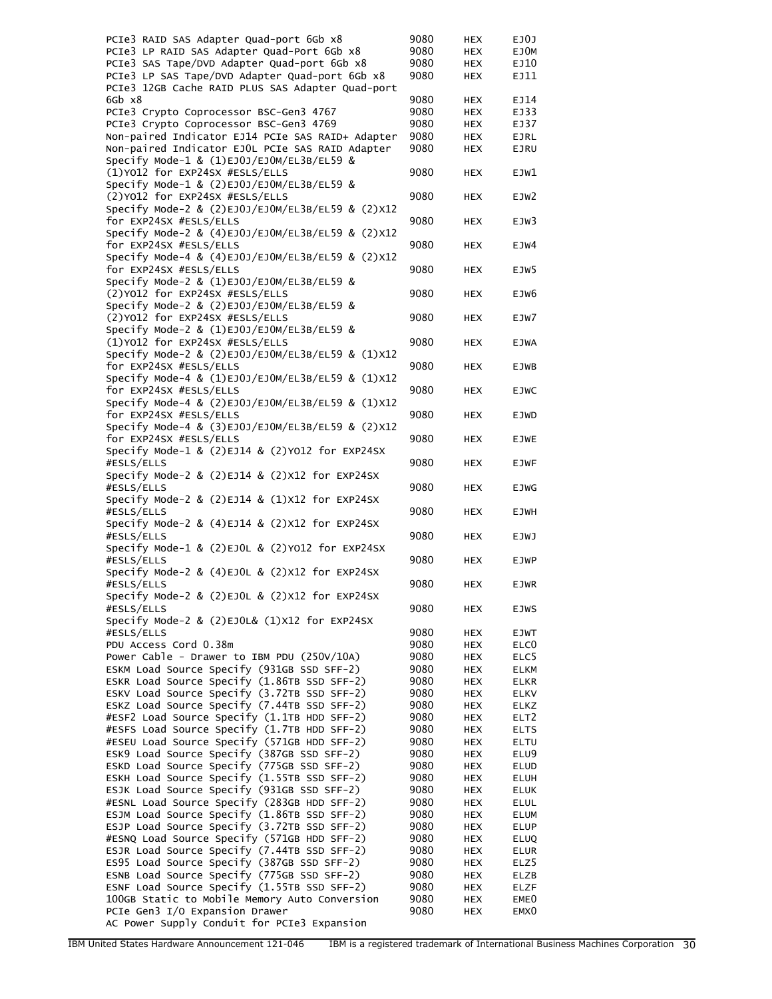| PCIe3 RAID SAS Adapter Quad-port 6Gb x8              | 9080 | <b>HEX</b> | EJ0J             |
|------------------------------------------------------|------|------------|------------------|
| PCIe3 LP RAID SAS Adapter Quad-Port 6Gb x8           | 9080 | <b>HEX</b> | EJ0M             |
| PCIe3 SAS Tape/DVD Adapter Quad-port 6Gb x8          | 9080 | <b>HEX</b> | EJ10             |
| PCIe3 LP SAS Tape/DVD Adapter Quad-port 6Gb x8       | 9080 | <b>HEX</b> | EJ11             |
| PCIe3 12GB Cache RAID PLUS SAS Adapter Quad-port     |      |            |                  |
| 6Gb x8                                               | 9080 | <b>HEX</b> | EJ14             |
| PCIe3 Crypto Coprocessor BSC-Gen3 4767               | 9080 | <b>HEX</b> | EJ33             |
| PCIe3 Crypto Coprocessor BSC-Gen3 4769               | 9080 | <b>HEX</b> | EJ37             |
| Non-paired Indicator EJ14 PCIe SAS RAID+ Adapter     | 9080 | <b>HEX</b> | <b>EJRL</b>      |
| Non-paired Indicator EJOL PCIe SAS RAID Adapter      | 9080 | <b>HEX</b> | <b>EJRU</b>      |
| Specify Mode-1 & (1)EJ0J/EJOM/EL3B/EL59 &            |      |            |                  |
| (1)Y012 for EXP24SX #ESLS/ELLS                       | 9080 | <b>HEX</b> | EJW1             |
| Specify Mode-1 & (2)EJ0J/EJOM/EL3B/EL59 &            |      |            |                  |
| (2) Y012 for EXP24SX #ESLS/ELLS                      | 9080 | <b>HEX</b> | EJW2             |
| Specify Mode-2 & (2)EJ0J/EJ0M/EL3B/EL59 & (2)X12     |      |            |                  |
| for EXP24SX #ESLS/ELLS                               | 9080 | <b>HEX</b> | EJW3             |
| Specify Mode-2 & (4)EJ0J/EJ0M/EL3B/EL59 & (2)X12     |      |            |                  |
| for EXP24SX #ESLS/ELLS                               | 9080 | <b>HEX</b> | EJW4             |
| Specify Mode-4 & (4)EJ0J/EJOM/EL3B/EL59 & (2)X12     |      |            |                  |
| for EXP24SX #ESLS/ELLS                               | 9080 | <b>HEX</b> | EJW5             |
| Specify Mode-2 & (1)EJ0J/EJOM/EL3B/EL59 &            |      |            |                  |
| (2)Y012 for EXP24SX #ESLS/ELLS                       | 9080 | <b>HEX</b> | EJW6             |
| Specify Mode-2 & (2)EJ0J/EJOM/EL3B/EL59 &            |      |            |                  |
| (2) YO12 for EXP24SX #ESLS/ELLS                      | 9080 | <b>HEX</b> | EJW7             |
| Specify Mode-2 & (1)EJ0J/EJOM/EL3B/EL59 &            |      |            |                  |
| (1)Y012 for EXP24SX #ESLS/ELLS                       | 9080 | <b>HEX</b> | <b>EJWA</b>      |
| Specify Mode-2 & (2)EJ0J/EJ0M/EL3B/EL59 & (1)X12     |      |            |                  |
| for EXP24SX #ESLS/ELLS                               | 9080 | <b>HEX</b> | EJWB             |
| Specify Mode-4 & (1)EJ0J/EJOM/EL3B/EL59 & (1)X12     |      |            |                  |
| for EXP24SX #ESLS/ELLS                               | 9080 | <b>HEX</b> | <b>EJWC</b>      |
| Specify Mode-4 & (2)EJ0J/EJ0M/EL3B/EL59 & (1)X12     |      |            |                  |
| for EXP24SX #ESLS/ELLS                               | 9080 | <b>HEX</b> | <b>EJWD</b>      |
| Specify Mode-4 & (3)EJ0J/EJ0M/EL3B/EL59 & (2)X12     |      |            |                  |
| for EXP24SX #ESLS/ELLS                               | 9080 | <b>HEX</b> | <b>EJWE</b>      |
| Specify Mode-1 & (2)EJ14 & (2)YO12 for EXP24SX       |      |            |                  |
| #ESLS/ELLS                                           | 9080 | <b>HEX</b> | <b>EJWF</b>      |
| Specify Mode-2 & (2)EJ14 & (2)X12 for EXP24SX        |      |            |                  |
| #ESLS/ELLS                                           | 9080 | <b>HEX</b> | <b>EJWG</b>      |
| Specify Mode-2 & (2)EJ14 & (1)X12 for EXP24SX        |      |            |                  |
| #ESLS/ELLS                                           | 9080 | <b>HEX</b> | <b>EJWH</b>      |
| Specify Mode-2 & (4)EJ14 & (2)X12 for EXP24SX        |      |            |                  |
| #ESLS/ELLS                                           | 9080 | <b>HEX</b> | <b>EJWJ</b>      |
| Specify Mode-1 & $(2)$ EJOL & $(2)$ YO12 for EXP24SX |      |            |                  |
| #ESLS/ELLS                                           | 9080 | <b>HEX</b> | <b>EJWP</b>      |
| Specify Mode-2 & (4)EJOL & (2)X12 for EXP24SX        |      |            |                  |
| #ESLS/ELLS                                           | 9080 | <b>HEX</b> | <b>EJWR</b>      |
| Specify Mode-2 & $(2)$ EJOL & $(2)$ X12 for EXP24SX  |      |            |                  |
| #ESLS/ELLS                                           | 9080 | <b>HEX</b> | <b>EJWS</b>      |
| Specify Mode-2 & $(2)$ EJOL& $(1)$ X12 for EXP24SX   |      |            |                  |
| #ESLS/ELLS                                           | 9080 | HEX        | EJWT             |
| PDU Access Cord 0.38m                                | 9080 | <b>HEX</b> | ELC <sub>0</sub> |
| Power Cable - Drawer to IBM PDU (250V/10A)           | 9080 | <b>HEX</b> | ELC5             |
| ESKM Load Source Specify (931GB SSD SFF-2)           | 9080 | <b>HEX</b> | <b>ELKM</b>      |
| ESKR Load Source Specify (1.86TB SSD SFF-2)          | 9080 | <b>HEX</b> | <b>ELKR</b>      |
| ESKV Load Source Specify (3.72TB SSD SFF-2)          | 9080 | <b>HEX</b> | ELKV             |
| ESKZ Load Source Specify (7.44TB SSD SFF-2)          | 9080 | <b>HEX</b> | <b>ELKZ</b>      |
| #ESF2 Load Source Specify (1.1TB HDD SFF-2)          | 9080 | <b>HEX</b> | ELT <sub>2</sub> |
| #ESFS Load Source Specify (1.7TB HDD SFF-2)          | 9080 | <b>HEX</b> | <b>ELTS</b>      |
| #ESEU Load Source Specify (571GB HDD SFF-2)          | 9080 | <b>HEX</b> | ELTU             |
| ESK9 Load Source Specify (387GB SSD SFF-2)           | 9080 | <b>HEX</b> | ELU9             |
| ESKD Load Source Specify (775GB SSD SFF-2)           | 9080 | <b>HEX</b> | <b>ELUD</b>      |
| ESKH Load Source Specify (1.55TB SSD SFF-2)          | 9080 | <b>HEX</b> | <b>ELUH</b>      |
| ESJK Load Source Specify (931GB SSD SFF-2)           | 9080 | <b>HEX</b> | <b>ELUK</b>      |
| #ESNL Load Source Specify (283GB HDD SFF-2)          | 9080 | <b>HEX</b> | <b>ELUL</b>      |
| ESJM Load Source Specify (1.86TB SSD SFF-2)          | 9080 | <b>HEX</b> | ELUM             |
| ESJP Load Source Specify (3.72TB SSD SFF-2)          | 9080 | <b>HEX</b> | <b>ELUP</b>      |
| #ESNQ Load Source Specify (571GB HDD SFF-2)          | 9080 | <b>HEX</b> | <b>ELUQ</b>      |
| ESJR Load Source Specify (7.44TB SSD SFF-2)          | 9080 | <b>HEX</b> | <b>ELUR</b>      |
| ES95 Load Source Specify (387GB SSD SFF-2)           | 9080 | <b>HEX</b> | ELZ5             |
| ESNB Load Source Specify (775GB SSD SFF-2)           | 9080 | <b>HEX</b> | ELZB             |
| ESNF Load Source Specify (1.55TB SSD SFF-2)          | 9080 | <b>HEX</b> | <b>ELZF</b>      |
| 100GB Static to Mobile Memory Auto Conversion        | 9080 | <b>HEX</b> | EME <sub>0</sub> |
| PCIe Gen3 I/O Expansion Drawer                       | 9080 | <b>HEX</b> | EMX <sub>0</sub> |
| AC Power Supply Conduit for PCIe3 Expansion          |      |            |                  |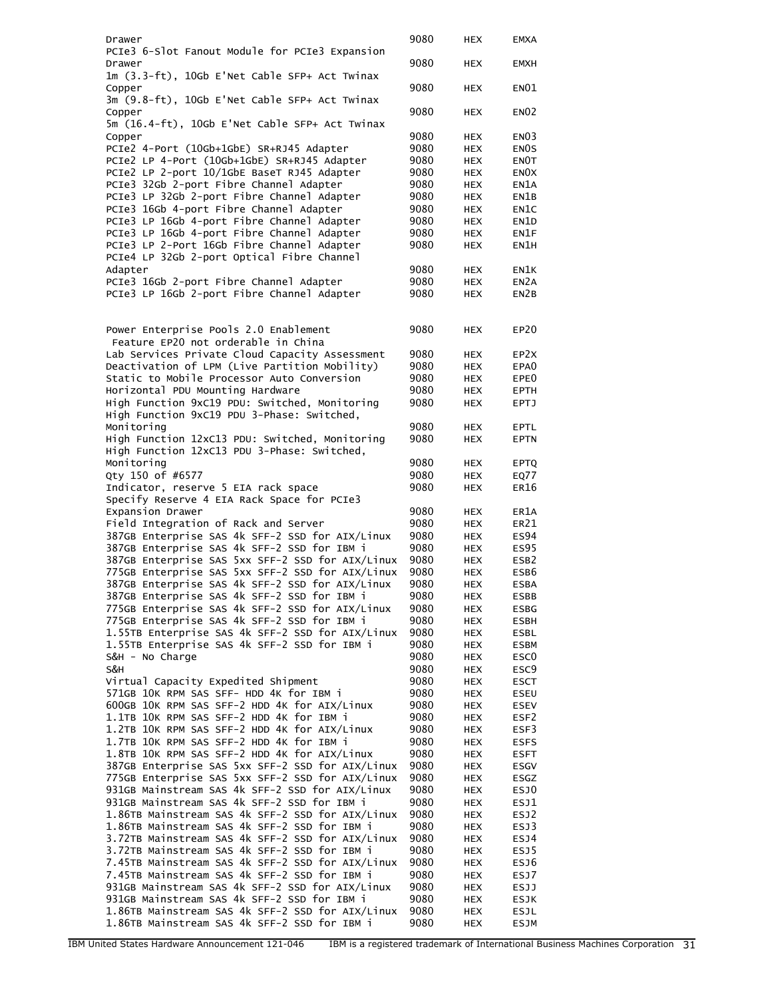| Drawer                                                                                           | 9080         | HEX               | <b>EMXA</b>       |
|--------------------------------------------------------------------------------------------------|--------------|-------------------|-------------------|
| PCIe3 6-Slot Fanout Module for PCIe3 Expansion                                                   |              |                   |                   |
| Drawer                                                                                           | 9080         | <b>HEX</b>        | <b>EMXH</b>       |
| 1m (3.3-ft), 10Gb E'Net Cable SFP+ Act Twinax                                                    |              |                   |                   |
| Copper                                                                                           | 9080         | <b>HEX</b>        | EN <sub>01</sub>  |
| 3m (9.8-ft), 10Gb E'Net Cable SFP+ Act Twinax                                                    |              |                   |                   |
| Copper                                                                                           | 9080         | <b>HEX</b>        | <b>EN02</b>       |
| 5m (16.4-ft), 10Gb E'Net Cable SFP+ Act Twinax                                                   |              |                   |                   |
| Copper                                                                                           | 9080         | HEX               | EN <sub>03</sub>  |
| PCIe2 4-Port (10Gb+1GbE) SR+RJ45 Adapter                                                         | 9080         | <b>HEX</b>        | EN <sub>OS</sub>  |
| PCIe2 LP 4-Port (10Gb+1GbE) SR+RJ45 Adapter                                                      | 9080         | <b>HEX</b>        | EN <sub>O</sub> T |
| PCIe2 LP 2-port 10/1GbE BaseT RJ45 Adapter                                                       | 9080         | <b>HEX</b>        | EN <sub>O</sub> X |
| PCIe3 32Gb 2-port Fibre Channel Adapter                                                          | 9080         | <b>HEX</b>        | EN1A              |
| PCIe3 LP 32Gb 2-port Fibre Channel Adapter                                                       | 9080         | <b>HEX</b>        | EN1B              |
| PCIe3 16Gb 4-port Fibre Channel Adapter                                                          | 9080         | <b>HEX</b>        | EN1C              |
| PCIe3 LP 16Gb 4-port Fibre Channel Adapter                                                       | 9080         | <b>HEX</b>        | EN1D              |
| PCIe3 LP 16Gb 4-port Fibre Channel Adapter                                                       | 9080         | <b>HEX</b>        | EN1F              |
| PCIe3 LP 2-Port 16Gb Fibre Channel Adapter                                                       | 9080         | <b>HEX</b>        | EN1H              |
| PCIe4 LP 32Gb 2-port Optical Fibre Channel                                                       |              |                   |                   |
| Adapter                                                                                          | 9080         | <b>HEX</b>        | EN1K              |
| PCIe3 16Gb 2-port Fibre Channel Adapter                                                          | 9080         | <b>HEX</b>        | EN <sub>2</sub> A |
| PCIe3 LP 16Gb 2-port Fibre Channel Adapter                                                       | 9080         | <b>HEX</b>        | EN <sub>2</sub> B |
|                                                                                                  |              |                   |                   |
|                                                                                                  |              |                   |                   |
| Power Enterprise Pools 2.0 Enablement                                                            | 9080         | <b>HEX</b>        | EP20              |
| Feature EP20 not orderable in China                                                              |              |                   |                   |
| Lab Services Private Cloud Capacity Assessment                                                   | 9080         | HEX               | EP <sub>2X</sub>  |
| Deactivation of LPM (Live Partition Mobility)                                                    | 9080         | <b>HEX</b>        | EPA <sub>0</sub>  |
| Static to Mobile Processor Auto Conversion                                                       | 9080         | <b>HEX</b>        | EPE0              |
| Horizontal PDU Mounting Hardware                                                                 | 9080         | <b>HEX</b>        | <b>EPTH</b>       |
| High Function 9xC19 PDU: Switched, Monitoring                                                    | 9080         | <b>HEX</b>        | <b>EPTJ</b>       |
| High Function 9xC19 PDU 3-Phase: Switched,                                                       |              |                   |                   |
| Monitoring                                                                                       | 9080         | HEX               | <b>EPTL</b>       |
| High Function 12xC13 PDU: Switched, Monitoring                                                   | 9080         | <b>HEX</b>        | <b>EPTN</b>       |
| High Function 12xC13 PDU 3-Phase: Switched,                                                      |              |                   |                   |
| Monitoring                                                                                       | 9080         | <b>HEX</b>        | <b>EPTQ</b>       |
| Qty 150 of #6577                                                                                 | 9080         | <b>HEX</b>        | EQ77              |
| Indicator, reserve 5 EIA rack space                                                              | 9080         | <b>HEX</b>        | ER16              |
| Specify Reserve 4 EIA Rack Space for PCIe3                                                       |              |                   |                   |
| Expansion Drawer                                                                                 | 9080         | <b>HEX</b>        | ER1A              |
| Field Integration of Rack and Server                                                             | 9080         | <b>HEX</b>        | ER21              |
| 387GB Enterprise SAS 4k SFF-2 SSD for AIX/Linux                                                  | 9080         | <b>HEX</b>        | <b>ES94</b>       |
| 387GB Enterprise SAS 4k SFF-2 SSD for IBM i                                                      | 9080         | <b>HEX</b>        | <b>ES95</b>       |
| 387GB Enterprise SAS 5xx SFF-2 SSD for AIX/Linux                                                 | 9080         | <b>HEX</b>        | ESB <sub>2</sub>  |
| 775GB Enterprise SAS 5xx SFF-2 SSD for AIX/Linux                                                 | 9080         | <b>HEX</b>        | ESB6              |
| 387GB Enterprise SAS 4k SFF-2 SSD for AIX/Linux                                                  | 9080         | <b>HEX</b>        | <b>ESBA</b>       |
| 387GB Enterprise SAS 4k SFF-2 SSD for IBM i                                                      | 9080         | HEX               | <b>ESBB</b>       |
| 775GB Enterprise SAS 4k SFF-2 SSD for AIX/Linux                                                  | 9080         | HEX               | <b>ESBG</b>       |
| 775GB Enterprise SAS 4k SFF-2 SSD for IBM i                                                      | 9080         | <b>HEX</b>        | <b>ESBH</b>       |
| 1.55TB Enterprise SAS 4k SFF-2 SSD for AIX/Linux                                                 | 9080         | HEX               | ESBL              |
| 1.55TB Enterprise SAS 4k SFF-2 SSD for IBM i                                                     | 9080         | HEX               | <b>ESBM</b>       |
| S&H - No Charge                                                                                  | 9080         | HEX               | ESC0              |
| S&H                                                                                              | 9080         | HEX               | ESC <sub>9</sub>  |
| Virtual Capacity Expedited Shipment                                                              | 9080         | <b>HEX</b>        | <b>ESCT</b>       |
| 571GB 10K RPM SAS SFF- HDD 4K for IBM i                                                          | 9080         | <b>HEX</b>        | ESEU              |
| 600GB 10K RPM SAS SFF-2 HDD 4K for AIX/Linux                                                     | 9080         | HEX               | <b>ESEV</b>       |
| 1.1TB 10K RPM SAS SFF-2 HDD 4K for IBM i                                                         | 9080         | HEX               | ESF2              |
| 1.2TB 10K RPM SAS SFF-2 HDD 4K for AIX/Linux                                                     | 9080         | HEX               | ESF3              |
| 1.7TB 10K RPM SAS SFF-2 HDD 4K for IBM i                                                         | 9080         | <b>HEX</b>        | <b>ESFS</b>       |
| 1.8TB 10K RPM SAS SFF-2 HDD 4K for AIX/Linux                                                     | 9080         | <b>HEX</b>        | ESFT              |
| 387GB Enterprise SAS 5xx SFF-2 SSD for AIX/Linux                                                 | 9080         | HEX               | ESGV              |
| 775GB Enterprise SAS 5xx SFF-2 SSD for AIX/Linux                                                 | 9080         | HEX               | ESGZ              |
| 931GB Mainstream SAS 4k SFF-2 SSD for AIX/Linux                                                  | 9080         | HEX               | ESJ0              |
| 931GB Mainstream SAS 4k SFF-2 SSD for IBM i                                                      | 9080         | <b>HEX</b>        | ESJ1              |
| 1.86TB Mainstream SAS 4k SFF-2 SSD for AIX/Linux<br>1.86TB Mainstream SAS 4k SFF-2 SSD for IBM i | 9080         | <b>HEX</b>        | ESJ2              |
|                                                                                                  | 9080         | HEX               | ESJ3              |
| 3.72TB Mainstream SAS 4k SFF-2 SSD for AIX/Linux<br>3.72TB Mainstream SAS 4k SFF-2 SSD for IBM i | 9080<br>9080 | HEX               | ESJ4              |
| 7.45TB Mainstream SAS 4k SFF-2 SSD for AIX/Linux                                                 | 9080         | HEX<br><b>HEX</b> | ESJ5<br>ESJ6      |
| 7.45TB Mainstream SAS 4k SFF-2 SSD for IBM i                                                     | 9080         | <b>HEX</b>        | ESJ7              |
| 931GB Mainstream SAS 4k SFF-2 SSD for AIX/Linux                                                  | 9080         | HEX               | ESJJ              |
| 931GB Mainstream SAS 4k SFF-2 SSD for IBM i                                                      | 9080         | HEX               | ESJK              |
| 1.86TB Mainstream SAS 4k SFF-2 SSD for AIX/Linux                                                 | 9080         | HEX               | <b>ESJL</b>       |
|                                                                                                  |              |                   |                   |
| 1.86TB Mainstream SAS 4k SFF-2 SSD for IBM i                                                     | 9080         | <b>HEX</b>        | <b>ESJM</b>       |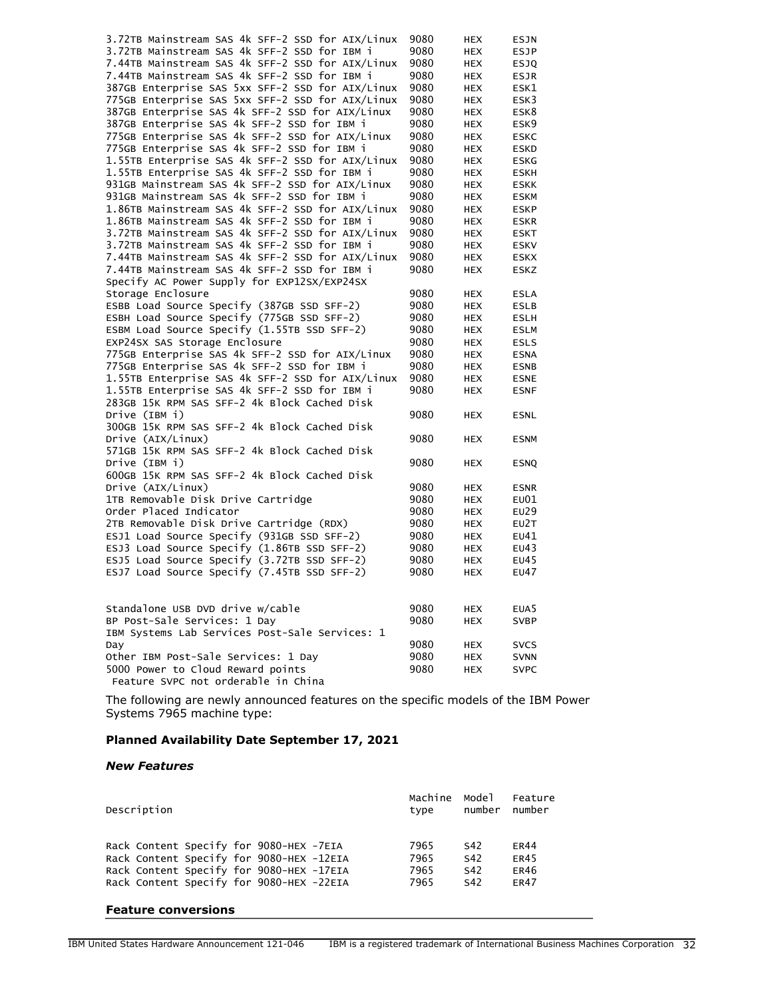| 3.72TB Mainstream SAS 4k SFF-2 SSD for AIX/Linux | 9080 | <b>HEX</b> | <b>ESJN</b>       |
|--------------------------------------------------|------|------------|-------------------|
| 3.72TB Mainstream SAS 4k SFF-2 SSD for IBM i     | 9080 | <b>HEX</b> | <b>ESJP</b>       |
| 7.44TB Mainstream SAS 4k SFF-2 SSD for AIX/Linux | 9080 | <b>HEX</b> | <b>ESJQ</b>       |
| 7.44TB Mainstream SAS 4k SFF-2 SSD for IBM i     | 9080 | <b>HEX</b> | <b>ESJR</b>       |
| 387GB Enterprise SAS 5xx SFF-2 SSD for AIX/Linux | 9080 | <b>HEX</b> | ESK1              |
| 775GB Enterprise SAS 5xx SFF-2 SSD for AIX/Linux | 9080 | <b>HEX</b> | ESK3              |
| 387GB Enterprise SAS 4k SFF-2 SSD for AIX/Linux  | 9080 | <b>HEX</b> | ESK8              |
| 387GB Enterprise SAS 4k SFF-2 SSD for IBM i      | 9080 | <b>HEX</b> | ESK9              |
| 775GB Enterprise SAS 4k SFF-2 SSD for AIX/Linux  | 9080 | <b>HEX</b> | <b>ESKC</b>       |
| 775GB Enterprise SAS 4k SFF-2 SSD for IBM i      | 9080 | <b>HEX</b> | <b>ESKD</b>       |
| 1.55TB Enterprise SAS 4k SFF-2 SSD for AIX/Linux | 9080 | <b>HEX</b> | <b>ESKG</b>       |
| 1.55TB Enterprise SAS 4k SFF-2 SSD for IBM i     | 9080 | <b>HEX</b> | <b>ESKH</b>       |
| 931GB Mainstream SAS 4k SFF-2 SSD for AIX/Linux  | 9080 | <b>HEX</b> | <b>ESKK</b>       |
| 931GB Mainstream SAS 4k SFF-2 SSD for IBM i      | 9080 | <b>HEX</b> | <b>ESKM</b>       |
| 1.86TB Mainstream SAS 4k SFF-2 SSD for AIX/Linux | 9080 | <b>HEX</b> | <b>ESKP</b>       |
| 1.86TB Mainstream SAS 4k SFF-2 SSD for IBM i     | 9080 | <b>HEX</b> | <b>ESKR</b>       |
| 3.72TB Mainstream SAS 4k SFF-2 SSD for AIX/Linux | 9080 | <b>HEX</b> | <b>ESKT</b>       |
| 3.72TB Mainstream SAS 4k SFF-2 SSD for IBM i     | 9080 | <b>HEX</b> | <b>ESKV</b>       |
| 7.44TB Mainstream SAS 4k SFF-2 SSD for AIX/Linux | 9080 | <b>HEX</b> | <b>ESKX</b>       |
| 7.44TB Mainstream SAS 4k SFF-2 SSD for IBM i     | 9080 | <b>HEX</b> | <b>ESKZ</b>       |
| Specify AC Power Supply for EXP12SX/EXP24SX      |      |            |                   |
| Storage Enclosure                                | 9080 | <b>HEX</b> | <b>ESLA</b>       |
| ESBB Load Source Specify (387GB SSD SFF-2)       | 9080 | <b>HEX</b> | <b>ESLB</b>       |
| ESBH Load Source Specify (775GB SSD SFF-2)       | 9080 | <b>HEX</b> | <b>ESLH</b>       |
| ESBM Load Source Specify (1.55TB SSD SFF-2)      | 9080 | <b>HEX</b> | <b>ESLM</b>       |
| EXP24SX SAS Storage Enclosure                    | 9080 | <b>HEX</b> | <b>ESLS</b>       |
| 775GB Enterprise SAS 4k SFF-2 SSD for AIX/Linux  | 9080 | <b>HEX</b> | <b>ESNA</b>       |
| 775GB Enterprise SAS 4k SFF-2 SSD for IBM i      | 9080 | <b>HEX</b> | <b>ESNB</b>       |
| 1.55TB Enterprise SAS 4k SFF-2 SSD for AIX/Linux | 9080 | <b>HEX</b> | <b>ESNE</b>       |
| 1.55TB Enterprise SAS 4k SFF-2 SSD for IBM i     | 9080 | <b>HEX</b> | <b>ESNF</b>       |
| 283GB 15K RPM SAS SFF-2 4k Block Cached Disk     |      |            |                   |
| Drive (IBM i)                                    | 9080 | <b>HEX</b> | <b>ESNL</b>       |
| 300GB 15K RPM SAS SFF-2 4k Block Cached Disk     |      |            |                   |
| Drive (AIX/Linux)                                | 9080 | <b>HEX</b> | <b>ESNM</b>       |
| 571GB 15K RPM SAS SFF-2 4k Block Cached Disk     |      |            |                   |
| Drive (IBM i)                                    | 9080 | HEX        | <b>ESNQ</b>       |
| 600GB 15K RPM SAS SFF-2 4k Block Cached Disk     |      |            |                   |
| Drive (AIX/Linux)                                | 9080 | <b>HEX</b> | <b>ESNR</b>       |
| 1TB Removable Disk Drive Cartridge               | 9080 | <b>HEX</b> | E <sub>U</sub> 01 |
| Order Placed Indicator                           | 9080 | <b>HEX</b> | EU29              |
| 2TB Removable Disk Drive Cartridge (RDX)         | 9080 | <b>HEX</b> | EU2T              |
| ESJ1 Load Source Specify (931GB SSD SFF-2)       | 9080 | <b>HEX</b> | EU41              |
| ESJ3 Load Source Specify (1.86TB SSD SFF-2)      | 9080 | <b>HEX</b> | EU43              |
| ESJ5 Load Source Specify (3.72TB SSD SFF-2)      | 9080 | <b>HEX</b> | EU45              |
| ESJ7 Load Source Specify (7.45TB SSD SFF-2)      | 9080 | <b>HEX</b> | EU47              |
|                                                  |      |            |                   |
| Standalone USB DVD drive w/cable                 | 9080 | <b>HEX</b> | EUA5              |
| BP Post-Sale Services: 1 Day                     | 9080 | <b>HEX</b> | <b>SVBP</b>       |
| IBM Systems Lab Services Post-Sale Services: 1   |      |            |                   |
| Day                                              | 9080 | <b>HEX</b> | <b>SVCS</b>       |
| Other IBM Post-Sale Services: 1 Day              | 9080 | <b>HEX</b> | <b>SVNN</b>       |
| 5000 Power to Cloud Reward points                | 9080 | <b>HEX</b> | <b>SVPC</b>       |

The following are newly announced features on the specific models of the IBM Power Systems 7965 machine type:

# **Planned Availability Date September 17, 2021**

Feature SVPC not orderable in China

### *New Features*

| Description                              | Machine | Model           | Feature     |
|------------------------------------------|---------|-----------------|-------------|
|                                          | tvpe    | number          | number      |
| Rack Content Specify for 9080-HEX -7EIA  | 7965    | S <sub>42</sub> | <b>FR44</b> |
| Rack Content Specify for 9080-HEX -12EIA | 7965    | S <sub>42</sub> | <b>ER45</b> |
| Rack Content Specify for 9080-HEX -17EIA | 7965    | S42             | ER46        |
| Rack Content Specify for 9080-HEX -22EIA | 7965    | S <sub>42</sub> | <b>FR47</b> |

# **Feature conversions**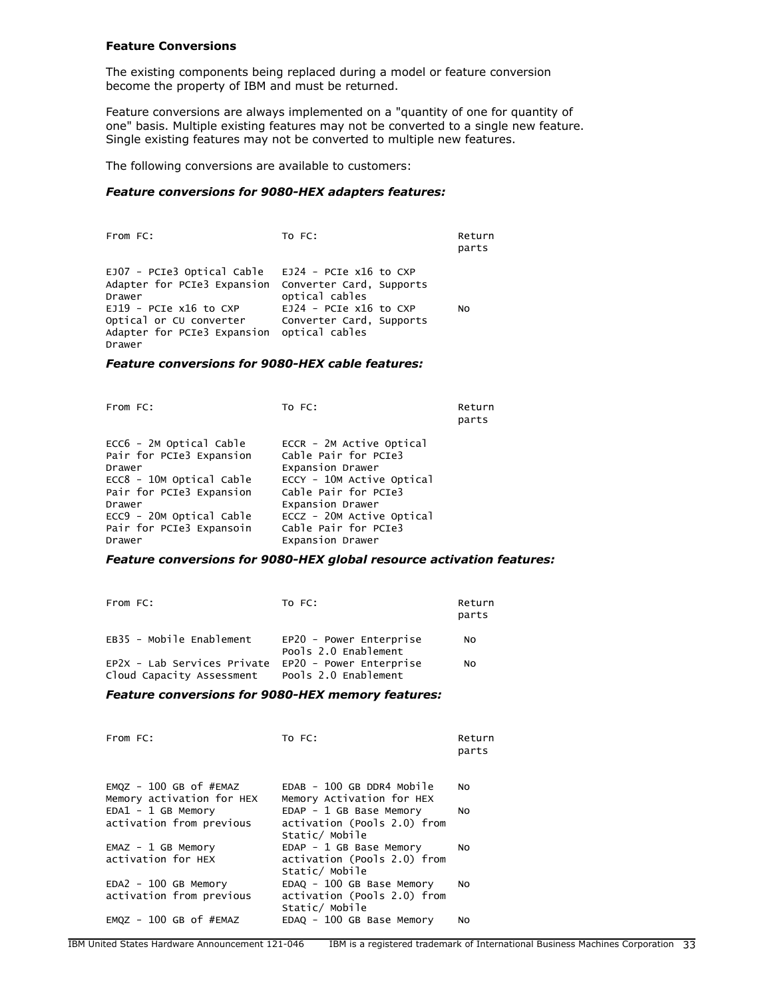### **Feature Conversions**

The existing components being replaced during a model or feature conversion become the property of IBM and must be returned.

Feature conversions are always implemented on a "quantity of one for quantity of one" basis. Multiple existing features may not be converted to a single new feature. Single existing features may not be converted to multiple new features.

The following conversions are available to customers:

# *Feature conversions for 9080-HEX adapters features:*

| From FC:                                                                                                                                                                                                    | TO FC:                                                                                           | Return<br>parts |
|-------------------------------------------------------------------------------------------------------------------------------------------------------------------------------------------------------------|--------------------------------------------------------------------------------------------------|-----------------|
| EJO7 - PCIe3 Optical Cable<br>Adapter for PCIe3 Expansion Converter Card, Supports<br>Drawer<br>$EJ19$ - PCIe x16 to CXP<br>Optical or CU converter<br>Adapter for PCIe3 Expansion optical cables<br>Drawer | EJ24 - PCIe x16 to CXP<br>optical cables<br>$EJ24$ - PCIe x16 to CXP<br>Converter Card, Supports | N <sub>O</sub>  |

#### *Feature conversions for 9080-HEX cable features:*

| From FC:                                                      | To FC:                                                               | Return<br>parts |
|---------------------------------------------------------------|----------------------------------------------------------------------|-----------------|
| ECC6 - 2M Optical Cable<br>Pair for PCIe3 Expansion<br>Drawer | ECCR - 2M Active Optical<br>Cable Pair for PCIe3<br>Expansion Drawer |                 |
| ECC8 - 10M Optical Cable<br>Pair for PCIe3 Expansion          | ECCY - 10M Active Optical<br>Cable Pair for PCIe3                    |                 |
| Drawer                                                        | Expansion Drawer                                                     |                 |
| ECC9 - 20M Optical Cable                                      | ECCZ - 20M Active Optical                                            |                 |
| Pair for PCIe3 Expansoin                                      | Cable Pair for PCIe3                                                 |                 |
| Drawer                                                        | Expansion Drawer                                                     |                 |

### *Feature conversions for 9080-HEX global resource activation features:*

| From FC:                                                 | TO FC:                                          | Return<br>parts |
|----------------------------------------------------------|-------------------------------------------------|-----------------|
| EB35 - Mobile Enablement                                 | EP20 - Power Enterprise<br>Pools 2.0 Enablement | No              |
| EP2X - Lab Services Private<br>Cloud Capacity Assessment | EP20 - Power Enterprise<br>Pools 2.0 Enablement | N <sub>O</sub>  |

### *Feature conversions for 9080-HEX memory features:*

| From FC:                                                | TO FC:                                                                     | Return<br>parts |
|---------------------------------------------------------|----------------------------------------------------------------------------|-----------------|
| $EMQZ - 100$ GB of $#EMAZ$<br>Memory activation for HEX | $EDAB - 100 GB DDR4 Mobile$<br>Memory Activation for HEX                   | N <sub>O</sub>  |
| $EDA1 - 1 GB Memory$<br>activation from previous        | $EDAP - 1 GB Base Memory$<br>activation (Pools 2.0) from<br>Static/ Mobile | NO              |
| $EMAZ - 1 GB Memory$<br>activation for HEX              | $EDAP - 1 GB Base Memory$<br>activation (Pools 2.0) from<br>Static/ Mobile | NO.             |
| $EDA2 - 100$ GB Memory<br>activation from previous      | EDAQ - 100 GB Base Memory<br>activation (Pools 2.0) from<br>Static/ Mobile | NO.             |
| $EMQZ - 100$ GB of $#EMAZ$                              | EDAQ - 100 GB Base Memory                                                  | No              |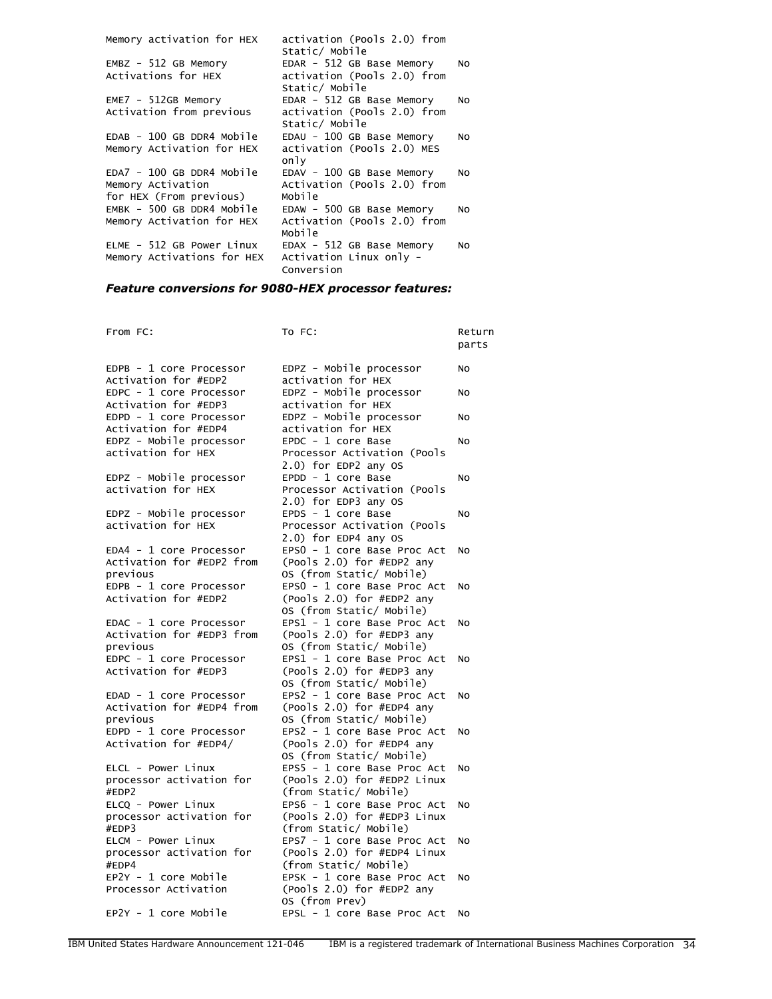| Memory activation for HEX   | activation (Pools 2.0) from |    |
|-----------------------------|-----------------------------|----|
|                             | Static/ Mobile              |    |
| $EMBZ - 512$ GB Memory      | EDAR - 512 GB Base Memory   | No |
| Activations for HEX         | activation (Pools 2.0) from |    |
|                             | Static/ Mobile              |    |
| $EME7 - 512GB$ Memory       | EDAR - 512 GB Base Memory   | No |
| Activation from previous    | activation (Pools 2.0) from |    |
|                             | Static/ Mobile              |    |
| $EDAB - 100 GB DDR4 Mobile$ | EDAU - 100 GB Base Memory   | NO |
| Memory Activation for HEX   | activation (Pools 2.0) MES  |    |
|                             | only                        |    |
| EDA7 - 100 GB DDR4 Mobile   | EDAV - 100 GB Base Memory   | NO |
| Memory Activation           | Activation (Pools 2.0) from |    |
| for HEX (From previous)     | Mobile                      |    |
| EMBK - 500 GB DDR4 Mobile   | EDAW - 500 GB Base Memory   | NO |
| Memory Activation for HEX   | Activation (Pools 2.0) from |    |
|                             | Mobile                      |    |
| ELME - 512 GB Power Linux   | EDAX - 512 GB Base Memory   | No |
| Memory Activations for HEX  | Activation Linux only -     |    |
|                             | Conversion                  |    |
|                             |                             |    |

# *Feature conversions for 9080-HEX processor features:*

| From FC:                                        | To FC:                                                | Return<br>parts |
|-------------------------------------------------|-------------------------------------------------------|-----------------|
| EDPB - 1 core Processor<br>Activation for #EDP2 | EDPZ - Mobile processor<br>activation for HEX         | No              |
| EDPC - 1 core Processor                         | EDPZ - Mobile processor                               | NO              |
| Activation for #EDP3                            | activation for HEX                                    |                 |
| EDPD - 1 core Processor                         | EDPZ - Mobile processor                               | NO              |
| Activation for #EDP4                            | activation for HEX                                    |                 |
| EDPZ - Mobile processor                         | EPDC - 1 core Base                                    | No              |
| activation for HEX                              | Processor Activation (Pools                           |                 |
|                                                 | 2.0) for EDP2 any OS                                  |                 |
| EDPZ - Mobile processor                         | EPDD - 1 core Base                                    | No              |
| activation for HEX                              | Processor Activation (Pools                           |                 |
|                                                 | 2.0) for EDP3 any OS                                  |                 |
| EDPZ - Mobile processor                         | EPDS - 1 core Base                                    | No              |
| activation for HEX                              | Processor Activation (Pools                           |                 |
|                                                 | 2.0) for EDP4 any OS                                  |                 |
| EDA4 - 1 core Processor                         | EPSO - 1 core Base Proc Act                           | No              |
| Activation for #EDP2 from                       | (Pools 2.0) for #EDP2 any                             |                 |
| previous                                        | OS (from Static/ Mobile)                              |                 |
| EDPB - 1 core Processor                         | EPSO - 1 core Base Proc Act                           | No              |
| Activation for #EDP2                            | (Pools 2.0) for #EDP2 any                             |                 |
|                                                 | OS (from Static/ Mobile)                              |                 |
| EDAC - 1 core Processor                         | EPS1 - 1 core Base Proc Act                           | No              |
| Activation for #EDP3 from                       | (Pools 2.0) for #EDP3 any                             |                 |
| previous                                        | OS (from Static/ Mobile)                              |                 |
| EDPC - 1 core Processor                         | EPS1 - 1 core Base Proc Act                           | No              |
| Activation for #EDP3                            | (Pools 2.0) for #EDP3 any<br>OS (from Static/ Mobile) |                 |
| EDAD - 1 core Processor                         | EPS2 - 1 core Base Proc Act                           |                 |
| Activation for #EDP4 from                       | (Pools 2.0) for #EDP4 any                             | No              |
| previous                                        | OS (from Static/ Mobile)                              |                 |
| EDPD - 1 core Processor                         | EPS2 - 1 core Base Proc Act                           | No              |
| Activation for #EDP4/                           | (Pools 2.0) for #EDP4 any                             |                 |
|                                                 | OS (from Static/ Mobile)                              |                 |
| ELCL - Power Linux                              | EPS5 - 1 core Base Proc Act                           | <b>NO</b>       |
| processor activation for                        | (Pools 2.0) for #EDP2 Linux                           |                 |
| #EDP2                                           | (from Static/ Mobile)                                 |                 |
| ELCQ - Power Linux                              | EPS6 - 1 core Base Proc Act                           | No              |
| processor activation for                        | (Pools 2.0) for #EDP3 Linux                           |                 |
| #EDP3                                           | (from Static/ Mobile)                                 |                 |
| ELCM - Power Linux                              | EPS7 - 1 core Base Proc Act                           | No              |
| processor activation for                        | (Pools 2.0) for #EDP4 Linux                           |                 |
| #EDP4                                           | (from Static/ Mobile)                                 |                 |
| EP2Y - 1 core Mobile                            | EPSK - 1 core Base Proc Act                           | No              |
| Processor Activation                            | $($ Pools 2.0) for $#EDP2$ any                        |                 |
|                                                 | OS (from Prev)                                        |                 |
| $EP2Y - 1$ core Mobile                          | EPSL - 1 core Base Proc Act                           | NO              |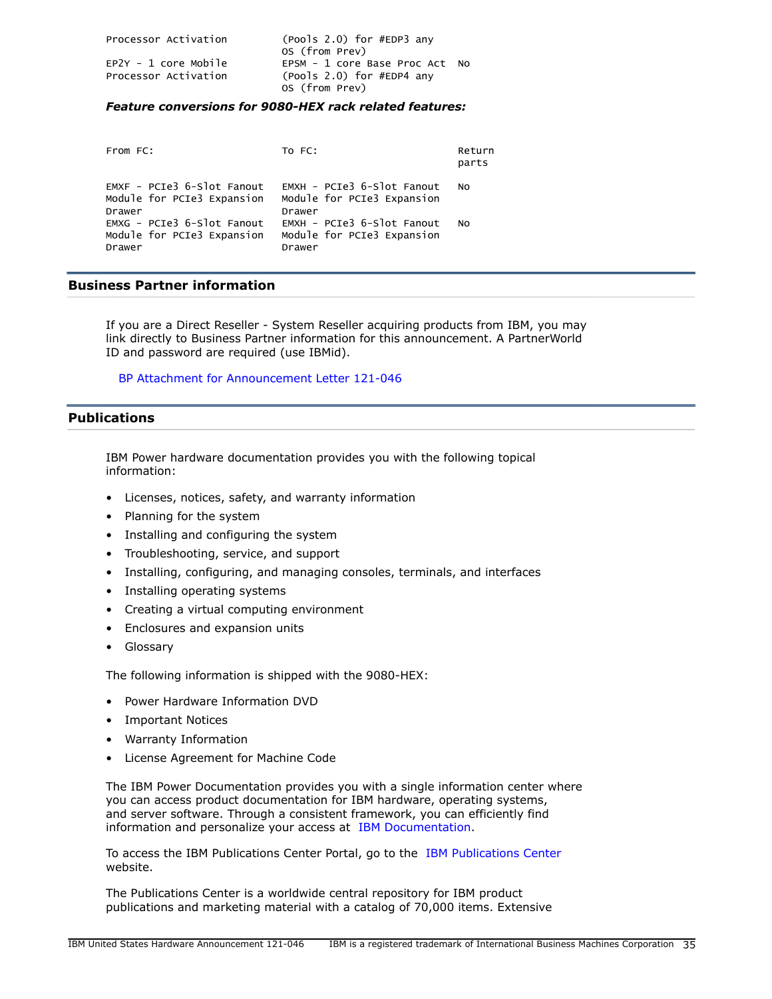| Processor Activation                               | $(Pools 2.0)$ for #EDP3 any<br>OS (from Prev)                                 |
|----------------------------------------------------|-------------------------------------------------------------------------------|
| $E$ P $2Y - 1$ core Mobile<br>Processor Activation | EPSM - 1 core Base Proc Act No<br>(Pools 2.0) for #EDP4 any<br>OS (from Prev) |

# *Feature conversions for 9080-HEX rack related features:*

| From FC:                                                             | TO FC:                                                             | Return<br>parts |
|----------------------------------------------------------------------|--------------------------------------------------------------------|-----------------|
| $EMXF - PCIe3 6-SIot Fanout$<br>Module for PCIe3 Expansion<br>Drawer | EMXH - PCIe3 6-Slot Fanout<br>Module for PCIe3 Expansion<br>Drawer | NO.             |
| EMXG - PCIe3 6-Slot Fanout<br>Module for PCIe3 Expansion<br>Drawer   | EMXH - PCIe3 6-Slot Fanout<br>Module for PCIe3 Expansion<br>Drawer | NO.             |

# **Business Partner information**

If you are a Direct Reseller - System Reseller acquiring products from IBM, you may link directly to Business Partner information for this announcement. A PartnerWorld ID and password are required (use IBMid).

[BP Attachment for Announcement Letter 121-046](https://www.ibm.com/partnerworld/mem/sla.jsp?num=121-046)

# <span id="page-34-0"></span>**Publications**

IBM Power hardware documentation provides you with the following topical information:

- Licenses, notices, safety, and warranty information
- Planning for the system
- Installing and configuring the system
- Troubleshooting, service, and support
- Installing, configuring, and managing consoles, terminals, and interfaces
- Installing operating systems
- Creating a virtual computing environment
- Enclosures and expansion units
- Glossary

The following information is shipped with the 9080-HEX:

- Power Hardware Information DVD
- Important Notices
- Warranty Information
- License Agreement for Machine Code

The IBM Power Documentation provides you with a single information center where you can access product documentation for IBM hardware, operating systems, and server software. Through a consistent framework, you can efficiently find information and personalize your access at [IBM Documentation.](https://www.ibm.com/docs/en)

To access the IBM Publications Center Portal, go to the [IBM Publications Center](https://www.ibm.com/resources/publications) website.

The Publications Center is a worldwide central repository for IBM product publications and marketing material with a catalog of 70,000 items. Extensive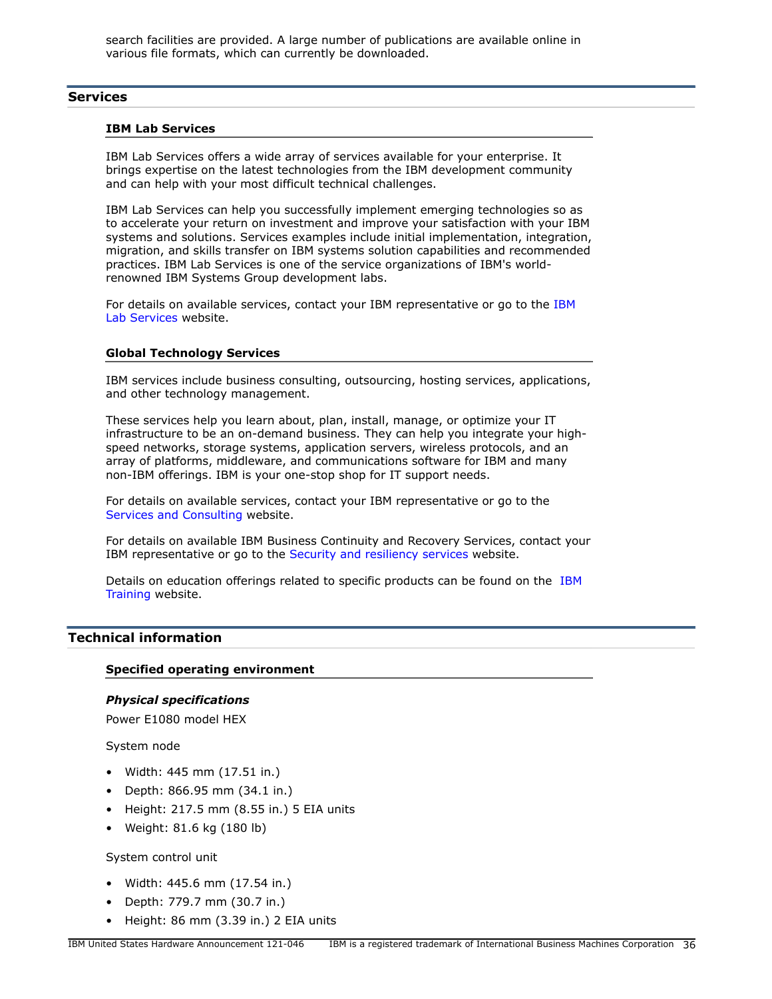search facilities are provided. A large number of publications are available online in various file formats, which can currently be downloaded.

# **Services**

#### **IBM Lab Services**

IBM Lab Services offers a wide array of services available for your enterprise. It brings expertise on the latest technologies from the IBM development community and can help with your most difficult technical challenges.

IBM Lab Services can help you successfully implement emerging technologies so as to accelerate your return on investment and improve your satisfaction with your IBM systems and solutions. Services examples include initial implementation, integration, migration, and skills transfer on IBM systems solution capabilities and recommended practices. IBM Lab Services is one of the service organizations of IBM's worldrenowned IBM Systems Group development labs.

For details on available services, contact your [IBM](https://www.ibm.com/it-infrastructure/services/lab-services) representative or go to the IBM [Lab Services](https://www.ibm.com/it-infrastructure/services/lab-services) website.

### **Global Technology Services**

IBM services include business consulting, outsourcing, hosting services, applications, and other technology management.

These services help you learn about, plan, install, manage, or optimize your IT infrastructure to be an on-demand business. They can help you integrate your highspeed networks, storage systems, application servers, wireless protocols, and an array of platforms, middleware, and communications software for IBM and many non-IBM offerings. IBM is your one-stop shop for IT support needs.

For details on available services, contact your IBM representative or go to the [Services and Consulting](http://www.ibm.com/services/) website.

For details on available IBM Business Continuity and Recovery Services, contact your IBM representative or go to the [Security and resiliency services](http://www.ibm.com/services/continuity) website.

Details on education offerings related to specific products can be found on the [IBM](http://www.ibm.com/training) [Training](http://www.ibm.com/training) website.

# <span id="page-35-0"></span>**Technical information**

# **Specified operating environment**

# *Physical specifications*

Power E1080 model HEX

System node

- Width: 445 mm (17.51 in.)
- Depth: 866.95 mm (34.1 in.)
- Height: 217.5 mm (8.55 in.) 5 EIA units
- Weight: 81.6 kg (180 lb)

System control unit

- Width: 445.6 mm (17.54 in.)
- Depth: 779.7 mm (30.7 in.)
- Height: 86 mm (3.39 in.) 2 EIA units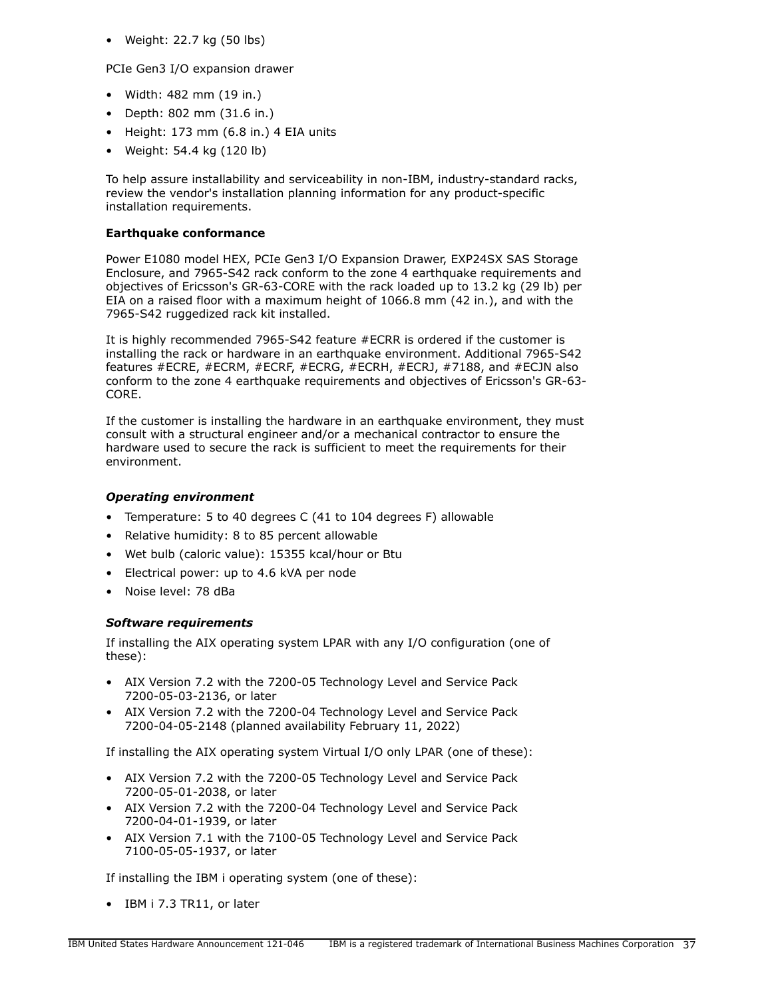• Weight: 22.7 kg (50 lbs)

PCIe Gen3 I/O expansion drawer

- Width: 482 mm (19 in.)
- Depth: 802 mm (31.6 in.)
- Height: 173 mm (6.8 in.) 4 EIA units
- Weight: 54.4 kg (120 lb)

To help assure installability and serviceability in non-IBM, industry-standard racks, review the vendor's installation planning information for any product-specific installation requirements.

# **Earthquake conformance**

Power E1080 model HEX, PCIe Gen3 I/O Expansion Drawer, EXP24SX SAS Storage Enclosure, and 7965-S42 rack conform to the zone 4 earthquake requirements and objectives of Ericsson's GR-63-CORE with the rack loaded up to 13.2 kg (29 lb) per EIA on a raised floor with a maximum height of 1066.8 mm (42 in.), and with the 7965-S42 ruggedized rack kit installed.

It is highly recommended 7965-S42 feature #ECRR is ordered if the customer is installing the rack or hardware in an earthquake environment. Additional 7965-S42 features #ECRE, #ECRM, #ECRF, #ECRG, #ECRH, #ECRJ, #7188, and #ECJN also conform to the zone 4 earthquake requirements and objectives of Ericsson's GR-63- CORE.

If the customer is installing the hardware in an earthquake environment, they must consult with a structural engineer and/or a mechanical contractor to ensure the hardware used to secure the rack is sufficient to meet the requirements for their environment.

# *Operating environment*

- Temperature: 5 to 40 degrees C (41 to 104 degrees F) allowable
- Relative humidity: 8 to 85 percent allowable
- Wet bulb (caloric value): 15355 kcal/hour or Btu
- Electrical power: up to 4.6 kVA per node
- Noise level: 78 dBa

# <span id="page-36-0"></span>*Software requirements*

If installing the AIX operating system LPAR with any I/O configuration (one of these):

- AIX Version 7.2 with the 7200-05 Technology Level and Service Pack 7200-05-03-2136, or later
- AIX Version 7.2 with the 7200-04 Technology Level and Service Pack 7200-04-05-2148 (planned availability February 11, 2022)

If installing the AIX operating system Virtual I/O only LPAR (one of these):

- AIX Version 7.2 with the 7200-05 Technology Level and Service Pack 7200-05-01-2038, or later
- AIX Version 7.2 with the 7200-04 Technology Level and Service Pack 7200-04-01-1939, or later
- AIX Version 7.1 with the 7100-05 Technology Level and Service Pack 7100-05-05-1937, or later

If installing the IBM i operating system (one of these):

• IBM i 7.3 TR11, or later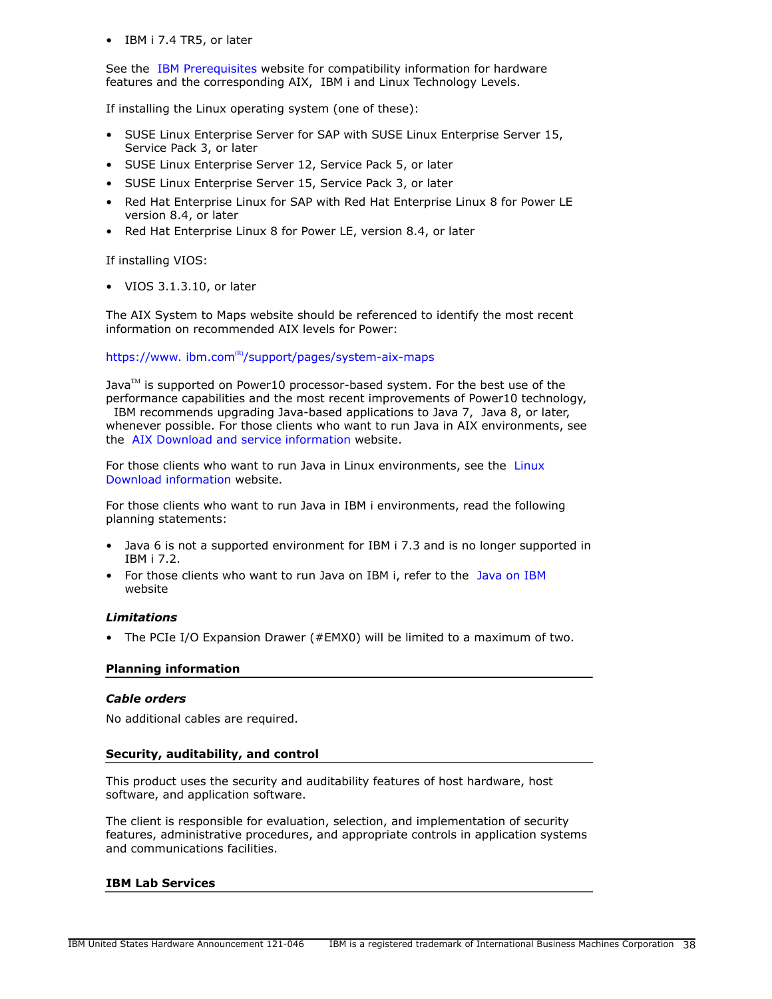• IBM i 7.4 TR5, or later

See the [IBM Prerequisites](https://www14.software.ibm.com/support/customercare/iprt/home) website for compatibility information for hardware features and the corresponding AIX, IBM i and Linux Technology Levels.

If installing the Linux operating system (one of these):

- SUSE Linux Enterprise Server for SAP with SUSE Linux Enterprise Server 15, Service Pack 3, or later
- SUSE Linux Enterprise Server 12, Service Pack 5, or later
- SUSE Linux Enterprise Server 15, Service Pack 3, or later
- Red Hat Enterprise Linux for SAP with Red Hat Enterprise Linux 8 for Power LE version 8.4, or later
- Red Hat Enterprise Linux 8 for Power LE, version 8.4, or later

If installing VIOS:

• VIOS 3.1.3.10, or later

The AIX System to Maps website should be referenced to identify the most recent information on recommended AIX levels for Power:

# https://www.ibm.com $R$ <sup>(R)</sup>[/support/pages/system-aix-maps](https://www.ibm.com/support/pages/system-aix-maps)

Java $\mathbb{M}$  is supported on Power10 processor-based system. For the best use of the performance capabilities and the most recent improvements of Power10 technology,

 IBM recommends upgrading Java-based applications to Java 7, Java 8, or later, whenever possible. For those clients who want to run Java in AIX environments, see the [AIX Download and service information](http://www.ibm.com/developerworks/java/jdk/aix/service.html) website.

For those clients who want to run Java in Linux environments, see the [Linux](https://www.ibm.com/support/pages/java-sdk-downloads-version-80) [Download information](https://www.ibm.com/support/pages/java-sdk-downloads-version-80) website.

For those clients who want to run Java in IBM i environments, read the following planning statements:

- Java 6 is not a supported environment for IBM i 7.3 and is no longer supported in IBM i 7.2.
- For those clients who want to run Java on IBM i, refer to the [Java on IBM](https://www.ibm.com/developerworks/community/wikis/home?lang=en#!/wiki/IBM%20i%20Technology%20Updates/page/Java%20on%20IBM%20i)  website

# *Limitations*

• The PCIe I/O Expansion Drawer (#EMX0) will be limited to a maximum of two.

### **Planning information**

### *Cable orders*

No additional cables are required.

# **Security, auditability, and control**

This product uses the security and auditability features of host hardware, host software, and application software.

The client is responsible for evaluation, selection, and implementation of security features, administrative procedures, and appropriate controls in application systems and communications facilities.

### **IBM Lab Services**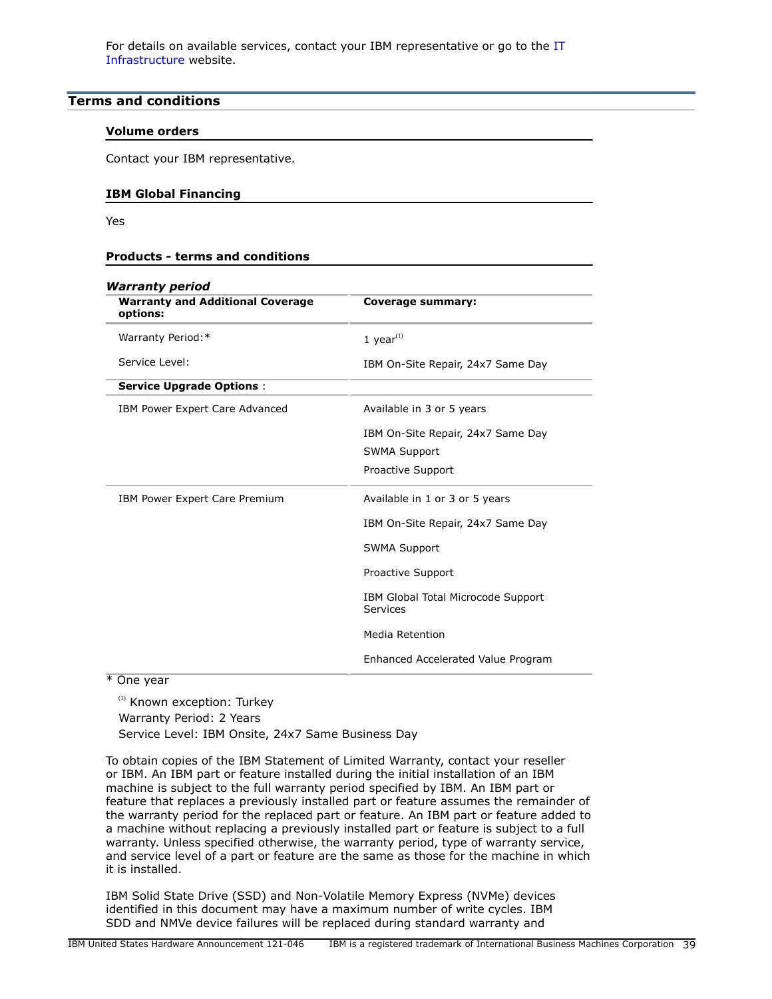For details on available services, contact your IBM representative or go to the [IT](http://www.ibm.com/systems/services/labservices/) [Infrastructure](http://www.ibm.com/systems/services/labservices/) website.

# <span id="page-38-0"></span>**Terms and conditions**

### **Volume orders**

Contact your IBM representative.

# **IBM Global Financing**

Yes

### **Products - terms and conditions**

| <b>Warranty period</b>                              |                                                |
|-----------------------------------------------------|------------------------------------------------|
| <b>Warranty and Additional Coverage</b><br>options: | Coverage summary:                              |
| Warranty Period:*                                   | 1 year $(1)$                                   |
| Service Level:                                      | IBM On-Site Repair, 24x7 Same Day              |
| <b>Service Upgrade Options:</b>                     |                                                |
| IBM Power Expert Care Advanced                      | Available in 3 or 5 years                      |
|                                                     | IBM On-Site Repair, 24x7 Same Day              |
|                                                     | <b>SWMA Support</b>                            |
|                                                     | Proactive Support                              |
| IBM Power Expert Care Premium                       | Available in 1 or 3 or 5 years                 |
|                                                     | IBM On-Site Repair, 24x7 Same Day              |
|                                                     | <b>SWMA Support</b>                            |
|                                                     | Proactive Support                              |
|                                                     | IBM Global Total Microcode Support<br>Services |
|                                                     | Media Retention                                |
|                                                     | Enhanced Accelerated Value Program             |

\* One year

(1) Known exception: Turkey Warranty Period: 2 Years Service Level: IBM Onsite, 24x7 Same Business Day

To obtain copies of the IBM Statement of Limited Warranty, contact your reseller or IBM. An IBM part or feature installed during the initial installation of an IBM machine is subject to the full warranty period specified by IBM. An IBM part or feature that replaces a previously installed part or feature assumes the remainder of the warranty period for the replaced part or feature. An IBM part or feature added to a machine without replacing a previously installed part or feature is subject to a full warranty. Unless specified otherwise, the warranty period, type of warranty service, and service level of a part or feature are the same as those for the machine in which it is installed.

IBM Solid State Drive (SSD) and Non-Volatile Memory Express (NVMe) devices identified in this document may have a maximum number of write cycles. IBM SDD and NMVe device failures will be replaced during standard warranty and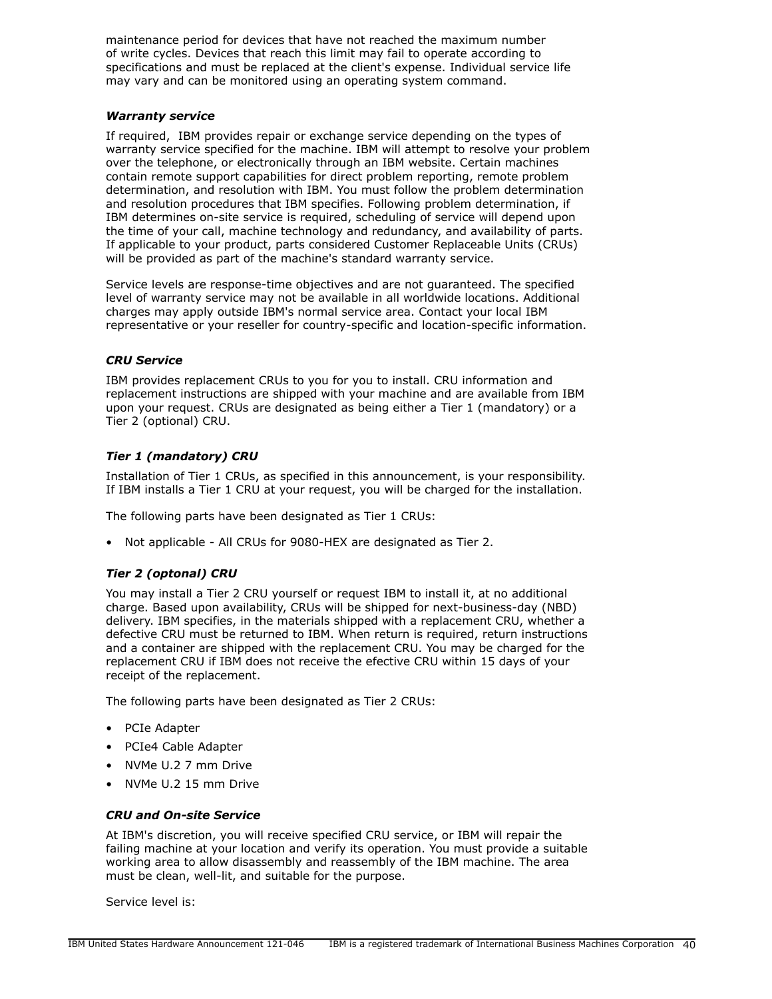maintenance period for devices that have not reached the maximum number of write cycles. Devices that reach this limit may fail to operate according to specifications and must be replaced at the client's expense. Individual service life may vary and can be monitored using an operating system command.

### *Warranty service*

If required, IBM provides repair or exchange service depending on the types of warranty service specified for the machine. IBM will attempt to resolve your problem over the telephone, or electronically through an IBM website. Certain machines contain remote support capabilities for direct problem reporting, remote problem determination, and resolution with IBM. You must follow the problem determination and resolution procedures that IBM specifies. Following problem determination, if IBM determines on-site service is required, scheduling of service will depend upon the time of your call, machine technology and redundancy, and availability of parts. If applicable to your product, parts considered Customer Replaceable Units (CRUs) will be provided as part of the machine's standard warranty service.

Service levels are response-time objectives and are not guaranteed. The specified level of warranty service may not be available in all worldwide locations. Additional charges may apply outside IBM's normal service area. Contact your local IBM representative or your reseller for country-specific and location-specific information.

# *CRU Service*

IBM provides replacement CRUs to you for you to install. CRU information and replacement instructions are shipped with your machine and are available from IBM upon your request. CRUs are designated as being either a Tier 1 (mandatory) or a Tier 2 (optional) CRU.

# *Tier 1 (mandatory) CRU*

Installation of Tier 1 CRUs, as specified in this announcement, is your responsibility. If IBM installs a Tier 1 CRU at your request, you will be charged for the installation.

The following parts have been designated as Tier 1 CRUs:

• Not applicable - All CRUs for 9080-HEX are designated as Tier 2.

# *Tier 2 (optonal) CRU*

You may install a Tier 2 CRU yourself or request IBM to install it, at no additional charge. Based upon availability, CRUs will be shipped for next-business-day (NBD) delivery. IBM specifies, in the materials shipped with a replacement CRU, whether a defective CRU must be returned to IBM. When return is required, return instructions and a container are shipped with the replacement CRU. You may be charged for the replacement CRU if IBM does not receive the efective CRU within 15 days of your receipt of the replacement.

The following parts have been designated as Tier 2 CRUs:

- PCIe Adapter
- PCIe4 Cable Adapter
- NVMe U.2 7 mm Drive
- NVMe U.2 15 mm Drive

# *CRU and On-site Service*

At IBM's discretion, you will receive specified CRU service, or IBM will repair the failing machine at your location and verify its operation. You must provide a suitable working area to allow disassembly and reassembly of the IBM machine. The area must be clean, well-lit, and suitable for the purpose.

Service level is: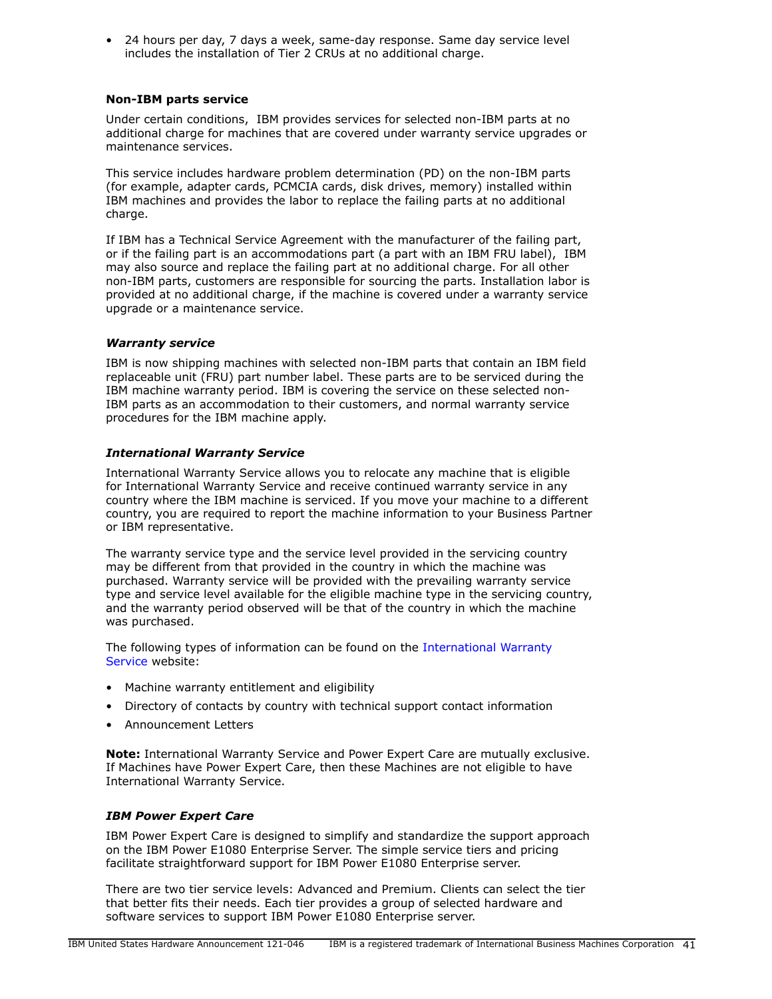• 24 hours per day, 7 days a week, same-day response. Same day service level includes the installation of Tier 2 CRUs at no additional charge.

# **Non-IBM parts service**

Under certain conditions, IBM provides services for selected non-IBM parts at no additional charge for machines that are covered under warranty service upgrades or maintenance services.

This service includes hardware problem determination (PD) on the non-IBM parts (for example, adapter cards, PCMCIA cards, disk drives, memory) installed within IBM machines and provides the labor to replace the failing parts at no additional charge.

If IBM has a Technical Service Agreement with the manufacturer of the failing part, or if the failing part is an accommodations part (a part with an IBM FRU label), IBM may also source and replace the failing part at no additional charge. For all other non-IBM parts, customers are responsible for sourcing the parts. Installation labor is provided at no additional charge, if the machine is covered under a warranty service upgrade or a maintenance service.

# *Warranty service*

IBM is now shipping machines with selected non-IBM parts that contain an IBM field replaceable unit (FRU) part number label. These parts are to be serviced during the IBM machine warranty period. IBM is covering the service on these selected non-IBM parts as an accommodation to their customers, and normal warranty service procedures for the IBM machine apply.

# *International Warranty Service*

International Warranty Service allows you to relocate any machine that is eligible for International Warranty Service and receive continued warranty service in any country where the IBM machine is serviced. If you move your machine to a different country, you are required to report the machine information to your Business Partner or IBM representative.

The warranty service type and the service level provided in the servicing country may be different from that provided in the country in which the machine was purchased. Warranty service will be provided with the prevailing warranty service type and service level available for the eligible machine type in the servicing country, and the warranty period observed will be that of the country in which the machine was purchased.

The following types of information can be found on the [International Warranty](https://www.ibm.com/systems/support/machine_warranties/iws.html) [Service](https://www.ibm.com/systems/support/machine_warranties/iws.html) website:

- Machine warranty entitlement and eligibility
- Directory of contacts by country with technical support contact information
- Announcement Letters

**Note:** International Warranty Service and Power Expert Care are mutually exclusive. If Machines have Power Expert Care, then these Machines are not eligible to have International Warranty Service.

# *IBM Power Expert Care*

IBM Power Expert Care is designed to simplify and standardize the support approach on the IBM Power E1080 Enterprise Server. The simple service tiers and pricing facilitate straightforward support for IBM Power E1080 Enterprise server.

There are two tier service levels: Advanced and Premium. Clients can select the tier that better fits their needs. Each tier provides a group of selected hardware and software services to support IBM Power E1080 Enterprise server.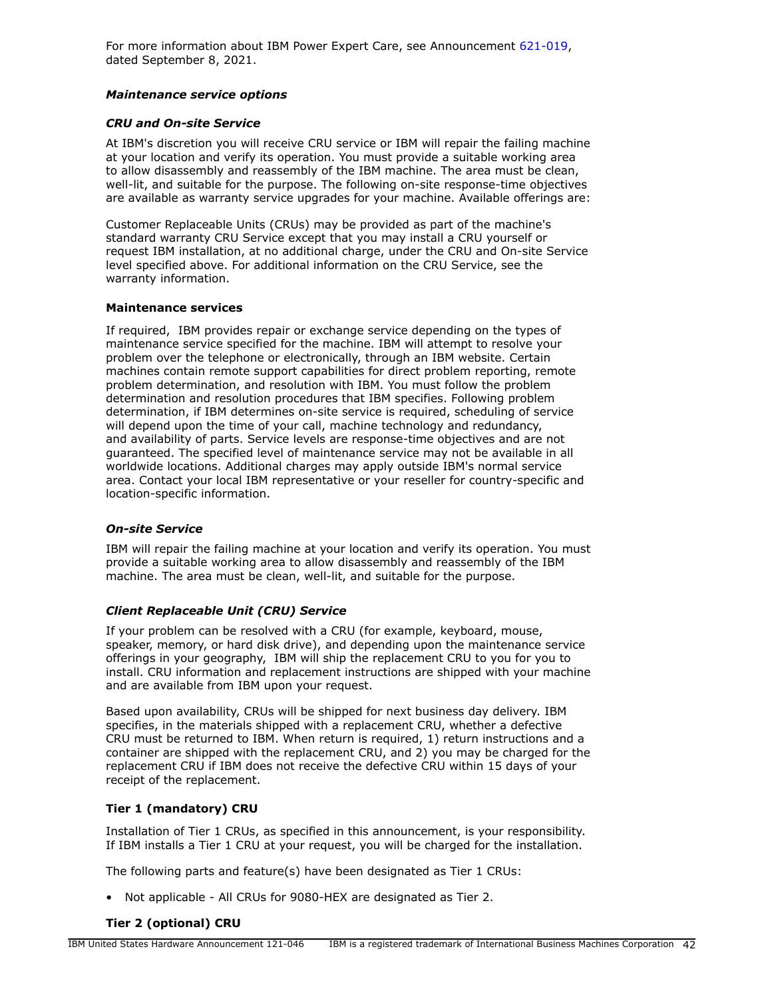For more information about IBM Power Expert Care, see Announcement [621-019,](http://www.ibm.com/common/ssi/cgi-bin/ssialias?infotype=an&subtype=ca&appname=gpateam&supplier=897&letternum=ENUS621-019) dated September 8, 2021.

# *Maintenance service options*

# *CRU and On-site Service*

At IBM's discretion you will receive CRU service or IBM will repair the failing machine at your location and verify its operation. You must provide a suitable working area to allow disassembly and reassembly of the IBM machine. The area must be clean, well-lit, and suitable for the purpose. The following on-site response-time objectives are available as warranty service upgrades for your machine. Available offerings are:

Customer Replaceable Units (CRUs) may be provided as part of the machine's standard warranty CRU Service except that you may install a CRU yourself or request IBM installation, at no additional charge, under the CRU and On-site Service level specified above. For additional information on the CRU Service, see the warranty information.

# **Maintenance services**

If required, IBM provides repair or exchange service depending on the types of maintenance service specified for the machine. IBM will attempt to resolve your problem over the telephone or electronically, through an IBM website. Certain machines contain remote support capabilities for direct problem reporting, remote problem determination, and resolution with IBM. You must follow the problem determination and resolution procedures that IBM specifies. Following problem determination, if IBM determines on-site service is required, scheduling of service will depend upon the time of your call, machine technology and redundancy, and availability of parts. Service levels are response-time objectives and are not guaranteed. The specified level of maintenance service may not be available in all worldwide locations. Additional charges may apply outside IBM's normal service area. Contact your local IBM representative or your reseller for country-specific and location-specific information.

# *On-site Service*

IBM will repair the failing machine at your location and verify its operation. You must provide a suitable working area to allow disassembly and reassembly of the IBM machine. The area must be clean, well-lit, and suitable for the purpose.

# *Client Replaceable Unit (CRU) Service*

If your problem can be resolved with a CRU (for example, keyboard, mouse, speaker, memory, or hard disk drive), and depending upon the maintenance service offerings in your geography, IBM will ship the replacement CRU to you for you to install. CRU information and replacement instructions are shipped with your machine and are available from IBM upon your request.

Based upon availability, CRUs will be shipped for next business day delivery. IBM specifies, in the materials shipped with a replacement CRU, whether a defective CRU must be returned to IBM. When return is required, 1) return instructions and a container are shipped with the replacement CRU, and 2) you may be charged for the replacement CRU if IBM does not receive the defective CRU within 15 days of your receipt of the replacement.

# **Tier 1 (mandatory) CRU**

Installation of Tier 1 CRUs, as specified in this announcement, is your responsibility. If IBM installs a Tier 1 CRU at your request, you will be charged for the installation.

The following parts and feature(s) have been designated as Tier 1 CRUs:

• Not applicable - All CRUs for 9080-HEX are designated as Tier 2.

# **Tier 2 (optional) CRU**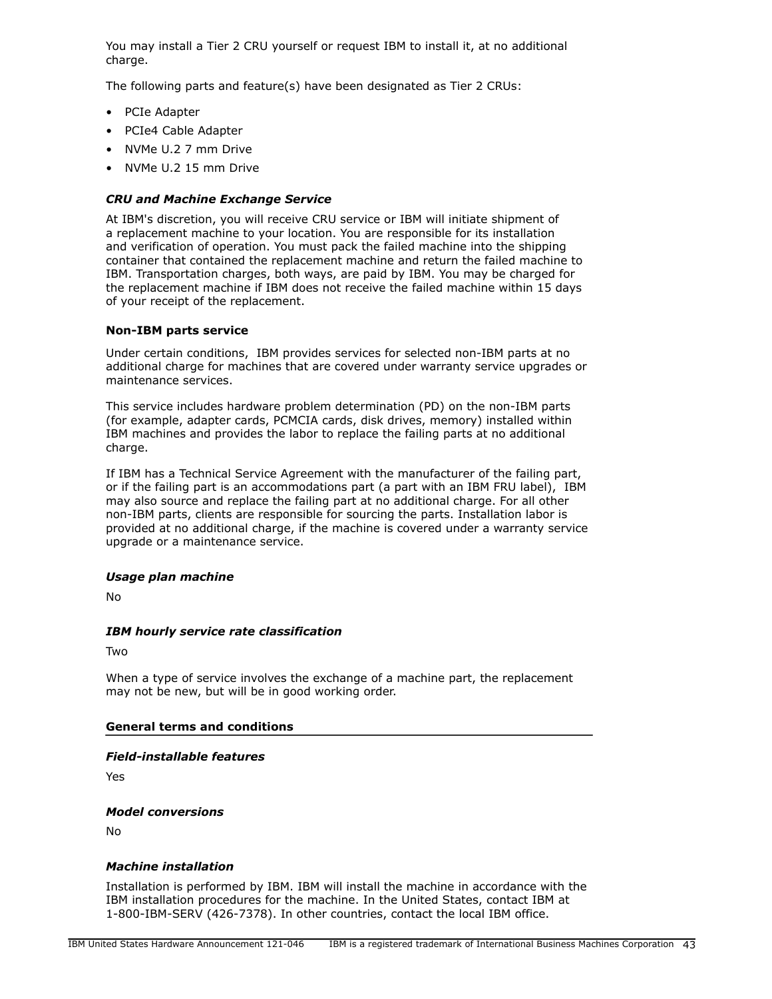You may install a Tier 2 CRU yourself or request IBM to install it, at no additional charge.

The following parts and feature(s) have been designated as Tier 2 CRUs:

- PCIe Adapter
- PCIe4 Cable Adapter
- NVMe U.2 7 mm Drive
- NVMe U.2 15 mm Drive

### *CRU and Machine Exchange Service*

At IBM's discretion, you will receive CRU service or IBM will initiate shipment of a replacement machine to your location. You are responsible for its installation and verification of operation. You must pack the failed machine into the shipping container that contained the replacement machine and return the failed machine to IBM. Transportation charges, both ways, are paid by IBM. You may be charged for the replacement machine if IBM does not receive the failed machine within 15 days of your receipt of the replacement.

### **Non-IBM parts service**

Under certain conditions, IBM provides services for selected non-IBM parts at no additional charge for machines that are covered under warranty service upgrades or maintenance services.

This service includes hardware problem determination (PD) on the non-IBM parts (for example, adapter cards, PCMCIA cards, disk drives, memory) installed within IBM machines and provides the labor to replace the failing parts at no additional charge.

If IBM has a Technical Service Agreement with the manufacturer of the failing part, or if the failing part is an accommodations part (a part with an IBM FRU label), IBM may also source and replace the failing part at no additional charge. For all other non-IBM parts, clients are responsible for sourcing the parts. Installation labor is provided at no additional charge, if the machine is covered under a warranty service upgrade or a maintenance service.

### *Usage plan machine*

No

# *IBM hourly service rate classification*

Two

When a type of service involves the exchange of a machine part, the replacement may not be new, but will be in good working order.

### **General terms and conditions**

### *Field-installable features*

Yes

### *Model conversions*

 $N<sub>0</sub>$ 

# *Machine installation*

Installation is performed by IBM. IBM will install the machine in accordance with the IBM installation procedures for the machine. In the United States, contact IBM at 1-800-IBM-SERV (426-7378). In other countries, contact the local IBM office.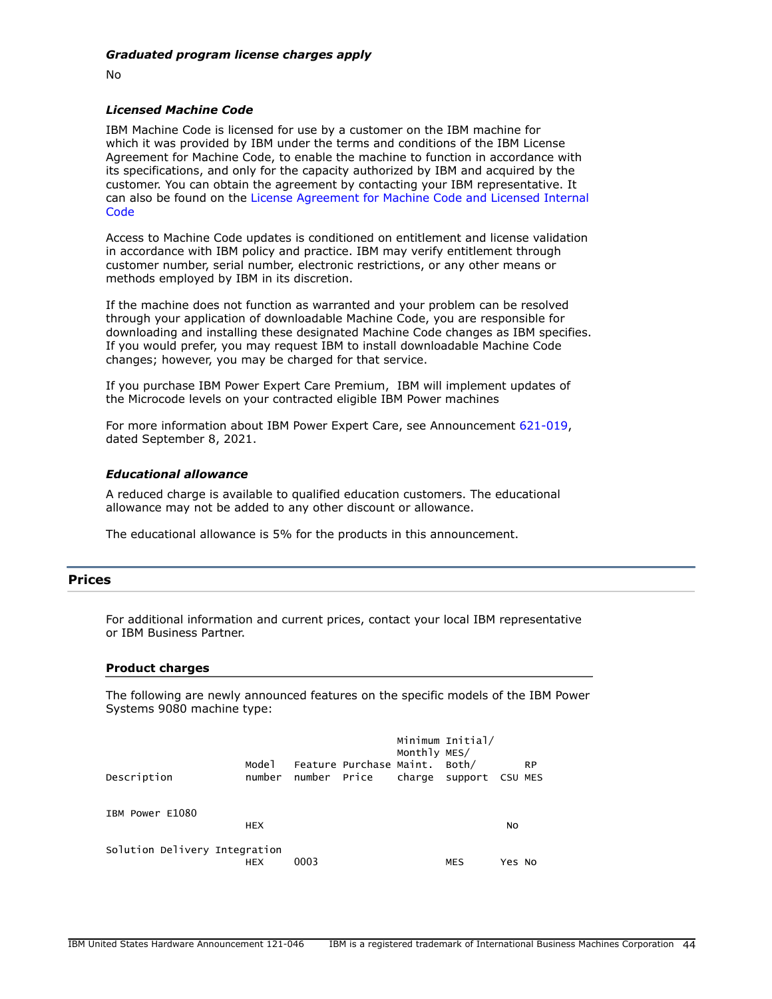No

### *Licensed Machine Code*

IBM Machine Code is licensed for use by a customer on the IBM machine for which it was provided by IBM under the terms and conditions of the IBM License Agreement for Machine Code, to enable the machine to function in accordance with its specifications, and only for the capacity authorized by IBM and acquired by the customer. You can obtain the agreement by contacting your IBM representative. It can also be found on the [License Agreement for Machine Code and Licensed Internal](http://www.ibm.com/systems/support/machine_warranties/machine_code.html) **[Code](http://www.ibm.com/systems/support/machine_warranties/machine_code.html)** 

Access to Machine Code updates is conditioned on entitlement and license validation in accordance with IBM policy and practice. IBM may verify entitlement through customer number, serial number, electronic restrictions, or any other means or methods employed by IBM in its discretion.

If the machine does not function as warranted and your problem can be resolved through your application of downloadable Machine Code, you are responsible for downloading and installing these designated Machine Code changes as IBM specifies. If you would prefer, you may request IBM to install downloadable Machine Code changes; however, you may be charged for that service.

If you purchase IBM Power Expert Care Premium, IBM will implement updates of the Microcode levels on your contracted eligible IBM Power machines

For more information about IBM Power Expert Care, see Announcement [621-019,](http://www.ibm.com/common/ssi/cgi-bin/ssialias?infotype=an&subtype=ca&appname=gpateam&supplier=897&letternum=ENUS621-019) dated September 8, 2021.

### *Educational allowance*

A reduced charge is available to qualified education customers. The educational allowance may not be added to any other discount or allowance.

The educational allowance is 5% for the products in this announcement.

# <span id="page-43-0"></span>**Prices**

For additional information and current prices, contact your local IBM representative or IBM Business Partner.

#### **Product charges**

The following are newly announced features on the specific models of the IBM Power Systems 9080 machine type:

| Description                   | Mode 1<br>number | number Price | Feature Purchase Maint. Both/ | Monthly MES/ | Minimum Initial/<br>charge support CSU-MES |        | <b>RP</b> |
|-------------------------------|------------------|--------------|-------------------------------|--------------|--------------------------------------------|--------|-----------|
| IBM Power E1080               | <b>HEX</b>       |              |                               |              |                                            | NO     |           |
| Solution Delivery Integration | <b>HEX</b>       | 0003         |                               |              | <b>MES</b>                                 | Yes No |           |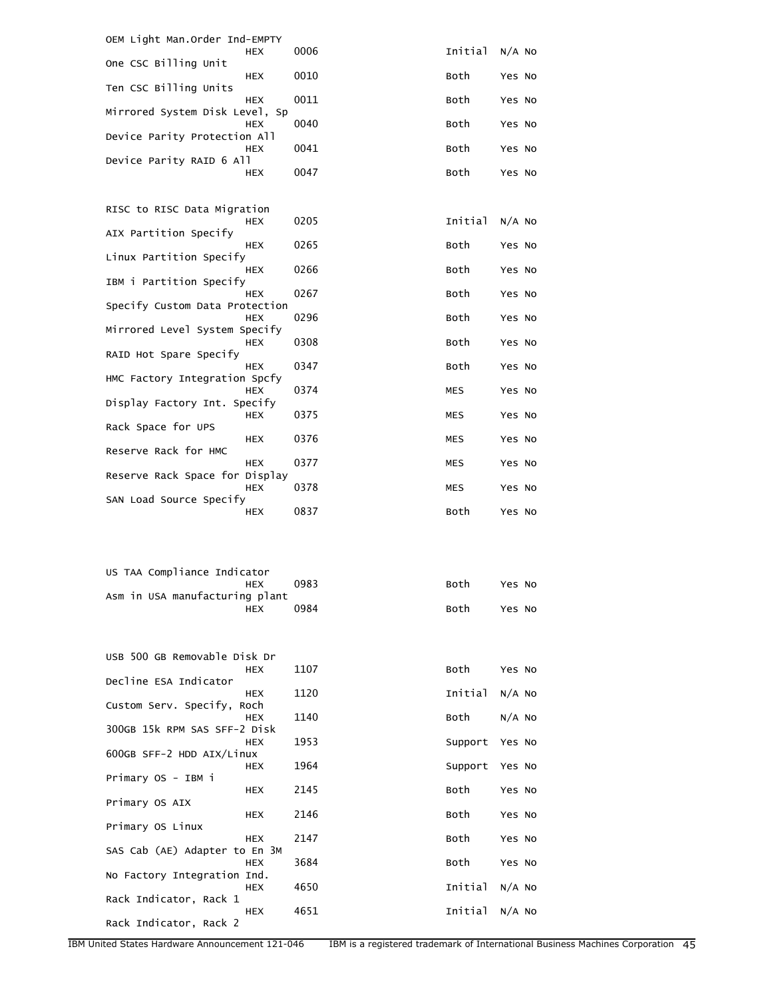| OEM Light Man.Order Ind-EMPTY                |      |         |          |
|----------------------------------------------|------|---------|----------|
| HEX<br>One CSC Billing Unit                  | 0006 | Initial | $N/A$ No |
| HEX<br>Ten CSC Billing Units                 | 0010 | Both    | Yes No   |
| <b>HEX</b><br>Mirrored System Disk Level, Sp | 0011 | Both    | Yes No   |
| HEX<br>Device Parity Protection All          | 0040 | Both    | Yes No   |
| HEX<br>Device Parity RAID 6 All              | 0041 | Both    | Yes No   |
| HEX                                          | 0047 | Both    | Yes No   |
| RISC to RISC Data Migration                  |      |         |          |
| HEX<br>AIX Partition Specify                 | 0205 | Initial | $N/A$ No |
| HEX                                          | 0265 | Both    | Yes No   |
| Linux Partition Specify<br>HEX               | 0266 | Both    | Yes No   |
| IBM i Partition Specify<br>HEX               | 0267 | Both    | Yes No   |
| Specify Custom Data Protection<br>HEX        | 0296 | Both    | Yes No   |
| Mirrored Level System Specify<br>HEX         | 0308 | Both    | Yes No   |
| RAID Hot Spare Specify<br>HEX                | 0347 | Both    | Yes No   |
| HMC Factory Integration Spcfy<br>HEX         | 0374 | MES     | Yes No   |
| Display Factory Int. Specify<br>HEX          | 0375 | MES     | Yes No   |
| Rack Space for UPS<br>HEX                    | 0376 | MES     | Yes No   |
| Reserve Rack for HMC<br>HEX                  | 0377 | MES     | Yes No   |
| Reserve Rack Space for Display<br>HEX        | 0378 | MES     | Yes No   |
| SAN Load Source Specify                      | 0837 |         |          |
| HEX                                          |      | Both    | Yes No   |
|                                              |      |         |          |
| US TAA Compliance Indicator                  |      |         |          |
| HEX<br>Asm in USA manufacturing plant        | 0983 | Both    | Yes No   |
| HEX                                          | 0984 | Both    | Yes No   |
|                                              |      |         |          |
| USB 500 GB Removable Disk Dr<br>HEX          | 1107 | Both    | Yes No   |
| Decline ESA Indicator<br>HEX                 | 1120 | Initial | $N/A$ No |
| Custom Serv. Specify, Roch<br><b>HEX</b>     | 1140 | Both    | $N/A$ No |
| 300GB 15k RPM SAS SFF-2 Disk<br>HEX          | 1953 | Support | Yes No   |
| 600GB SFF-2 HDD AIX/Linux<br>HEX             | 1964 | Support | Yes No   |
| Primary OS - IBM i                           |      |         |          |
| HEX<br>Primary OS AIX                        | 2145 | Both    | Yes No   |
| HEX<br>Primary OS Linux                      | 2146 | Both    | Yes No   |
| HEX<br>SAS Cab (AE) Adapter to En 3M         | 2147 | Both    | Yes No   |
| HEX<br>No Factory Integration Ind.           | 3684 | Both    | Yes No   |
| HEX<br>Rack Indicator, Rack 1                | 4650 | Initial | $N/A$ No |
| HEX<br>Rack Indicator, Rack 2                | 4651 | Initial | $N/A$ No |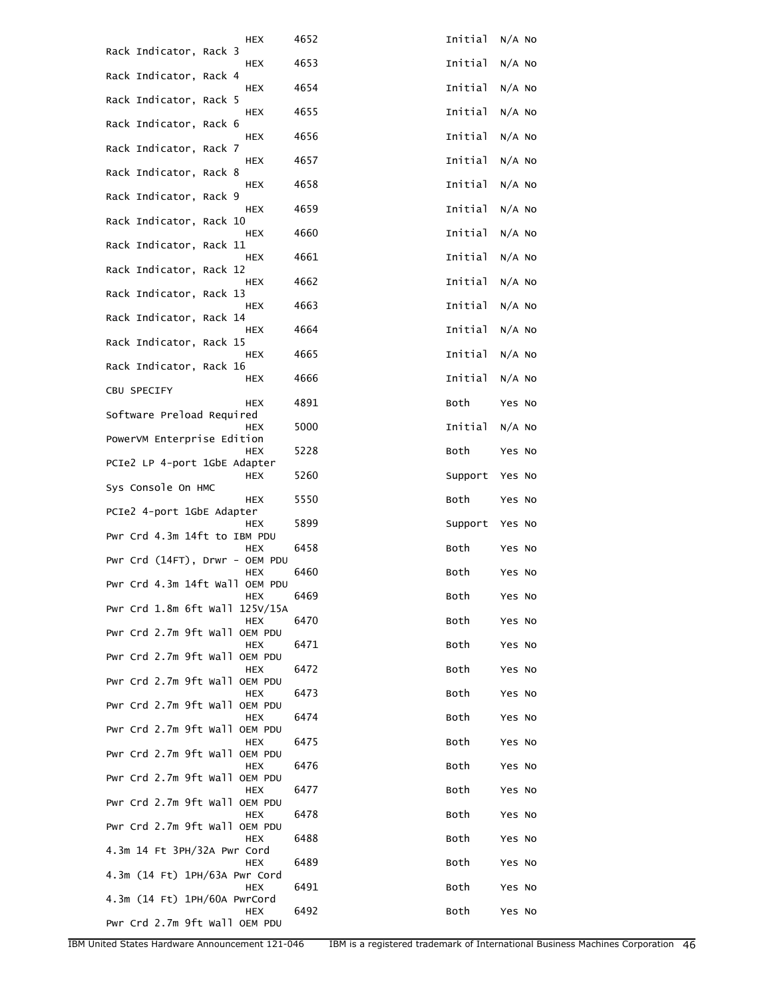| HEX                                             | 4652 | Initial | $N/A$ No |
|-------------------------------------------------|------|---------|----------|
| Rack Indicator, Rack 3<br>HEX                   | 4653 | Initial | $N/A$ No |
| Rack Indicator, Rack 4<br>HEX                   | 4654 | Initial | $N/A$ No |
| Rack Indicator, Rack 5<br>HEX                   | 4655 | Initial | $N/A$ No |
| Rack Indicator, Rack 6                          |      | Initial |          |
| HEX<br>Rack Indicator, Rack 7                   | 4656 |         | $N/A$ No |
| <b>HEX</b><br>Rack Indicator, Rack 8            | 4657 | Initial | $N/A$ No |
| HEX<br>Rack Indicator, Rack 9                   | 4658 | Initial | $N/A$ No |
| HEX<br>Rack Indicator, Rack 10                  | 4659 | Initial | $N/A$ No |
| HEX<br>Rack Indicator, Rack 11                  | 4660 | Initial | $N/A$ No |
| HEX<br>Rack Indicator, Rack 12                  | 4661 | Initial | $N/A$ No |
| HEX<br>Rack Indicator, Rack 13                  | 4662 | Initial | $N/A$ No |
| HEX<br>Rack Indicator, Rack 14                  | 4663 | Initial | $N/A$ No |
| HEX<br>Rack Indicator, Rack 15                  | 4664 | Initial | $N/A$ No |
| HEX<br>Rack Indicator, Rack 16                  | 4665 | Initial | $N/A$ No |
| <b>HEX</b><br>CBU SPECIFY                       | 4666 | Initial | $N/A$ No |
| HEX<br>Software Preload Required                | 4891 | Both    | Yes No   |
| HEX<br>PowerVM Enterprise Edition               | 5000 | Initial | $N/A$ No |
| HEX<br>PCIe2 LP 4-port 1GbE Adapter             | 5228 | Both    | Yes No   |
| HEX                                             | 5260 | Support | Yes No   |
| Sys Console On HMC<br>HEX                       | 5550 | Both    | Yes No   |
| PCIe2 4-port 1GbE Adapter<br>HEX                | 5899 | Support | Yes No   |
| Pwr Crd 4.3m 14ft to IBM PDU<br>HEX             | 6458 | Both    | Yes No   |
| Pwr Crd $(14FT)$ , Drwr - OEM PDU<br><b>HEX</b> | 6460 | Both    | Yes No   |
| Pwr Crd 4.3m 14ft Wall OEM PDU<br>HEX           | 6469 | Both    | Yes No   |
| Pwr Crd 1.8m 6ft Wall 125V/15A<br>HEX           | 6470 | Both    | Yes No   |
| Pwr Crd 2.7m 9ft Wall OEM PDU<br>HEX            | 6471 | Both    | Yes No   |
| Pwr Crd 2.7m 9ft Wall OEM PDU<br><b>HEX</b>     | 6472 | Both    | Yes No   |
| Pwr Crd 2.7m 9ft Wall OEM PDU<br>HEX            | 6473 | Both    | Yes No   |
| Pwr Crd 2.7m 9ft Wall OEM PDU<br>HEX            | 6474 | Both    | Yes No   |
| Pwr Crd 2.7m 9ft Wall OEM PDU<br>HEX            | 6475 | Both    | Yes No   |
| Pwr Crd 2.7m 9ft Wall OEM PDU<br>HEX            | 6476 | Both    | Yes No   |
| Pwr Crd 2.7m 9ft Wall OEM PDU<br>HEX            | 6477 | Both    | Yes No   |
| Pwr Crd 2.7m 9ft Wall OEM PDU<br>HEX            | 6478 | Both    | Yes No   |
| Pwr Crd 2.7m 9ft Wall OEM PDU                   |      |         |          |
| HEX<br>4.3m 14 Ft 3PH/32A Pwr Cord              | 6488 | Both    | Yes No   |
| <b>HEX</b><br>4.3m (14 Ft) 1PH/63A Pwr Cord     | 6489 | Both    | Yes No   |
| HEX<br>4.3m (14 Ft) 1PH/60A PwrCord             | 6491 | Both    | Yes No   |
| <b>HEX</b><br>Pwr Crd 2.7m 9ft Wall OEM PDU     | 6492 | Both    | Yes No   |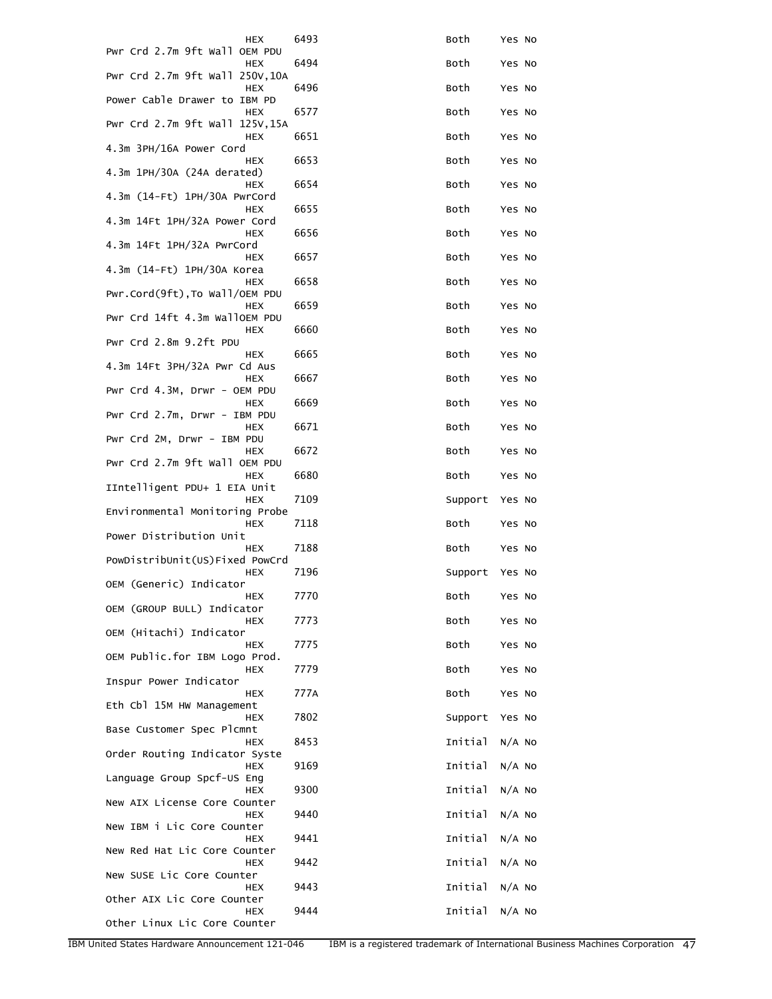| HEX                                          | 6493 | Both    | Yes No   |
|----------------------------------------------|------|---------|----------|
| Pwr Crd 2.7m 9ft Wall OEM PDU<br>HEX         | 6494 | Both    | Yes No   |
| Pwr Crd 2.7m 9ft Wall 250V,10A<br>HEX        | 6496 | Both    | Yes No   |
| Power Cable Drawer to IBM PD<br><b>HEX</b>   | 6577 | Both    | Yes No   |
| Pwr Crd 2.7m 9ft Wall 125V, 15A<br>HEX       | 6651 | Both    | Yes No   |
| 4.3m 3PH/16A Power Cord<br>HEX               | 6653 | Both    | Yes No   |
| 4.3m 1PH/30A (24A derated)<br>HEX            | 6654 | Both    | Yes No   |
| 4.3m (14-Ft) 1PH/30A PwrCord<br>HEX          | 6655 | Both    | Yes No   |
| 4.3m 14Ft 1PH/32A Power Cord<br>HEX          | 6656 | Both    | Yes No   |
| 4.3m 14Ft 1PH/32A PwrCord<br>HEX             | 6657 | Both    | Yes No   |
| 4.3m (14-Ft) 1PH/30A Korea<br>HEX            | 6658 | Both    | Yes No   |
| Pwr.Cord(9ft), To Wall/OEM PDU<br>HEX        | 6659 | Both    | Yes No   |
| Pwr Crd 14ft 4.3m WallOEM PDU<br>HEX         | 6660 | Both    | Yes No   |
| Pwr Crd 2.8m 9.2ft PDU<br>HEX                | 6665 | Both    | Yes No   |
| 4.3m 14Ft 3PH/32A Pwr Cd Aus<br>HEX          | 6667 | Both    | Yes No   |
| Pwr Crd 4.3M, Drwr - OEM PDU<br>HEX          | 6669 | Both    | Yes No   |
| Pwr Crd 2.7m, Drwr - IBM PDU<br>HEX          | 6671 | Both    | Yes No   |
| Pwr Crd 2M, Drwr - IBM PDU<br>HEX            | 6672 | Both    | Yes No   |
| Pwr Crd 2.7m 9ft Wall OEM PDU<br><b>HEX</b>  | 6680 | Both    | Yes No   |
| IIntelligent PDU+ 1 EIA Unit<br><b>HEX</b>   | 7109 | Support | Yes No   |
| Environmental Monitoring Probe<br><b>HEX</b> | 7118 | Both    | Yes No   |
| Power Distribution Unit<br>HEX               | 7188 | Both    | Yes No   |
| PowDistribUnit(US)Fixed PowCrd<br>HEX        | 7196 | Support | Yes No   |
| OEM (Generic) Indicator<br><b>HEX</b>        | 7770 | Both    | Yes No   |
| OEM (GROUP BULL) Indicator<br>HEX            | 7773 | Both    | Yes No   |
| OEM (Hitachi) Indicator<br><b>HEX</b>        | 7775 | Both    | Yes No   |
| OEM Public.for IBM Logo Prod.<br>HEX         | 7779 | Both    | Yes No   |
| Inspur Power Indicator<br>HEX                | 777A | Both    | Yes No   |
| Eth Cbl 15M HW Management<br>HEX             | 7802 | Support | Yes No   |
| Base Customer Spec Plcmnt<br>HEX             | 8453 | Initial | $N/A$ No |
| Order Routing Indicator Syste<br><b>HEX</b>  | 9169 | Initial | $N/A$ No |
| Language Group Spcf-US Eng<br><b>HEX</b>     | 9300 | Initial | $N/A$ No |
| New AIX License Core Counter                 | 9440 | Initial | $N/A$ No |
| HEX<br>New IBM i Lic Core Counter            |      |         |          |
| HEX<br>New Red Hat Lic Core Counter          | 9441 | Initial | $N/A$ No |
| HEX<br>New SUSE Lic Core Counter             | 9442 | Initial | $N/A$ No |
| HEX<br>Other AIX Lic Core Counter            | 9443 | Initial | $N/A$ No |
| HEX<br>Other Linux Lic Core Counter          | 9444 | Initial | $N/A$ No |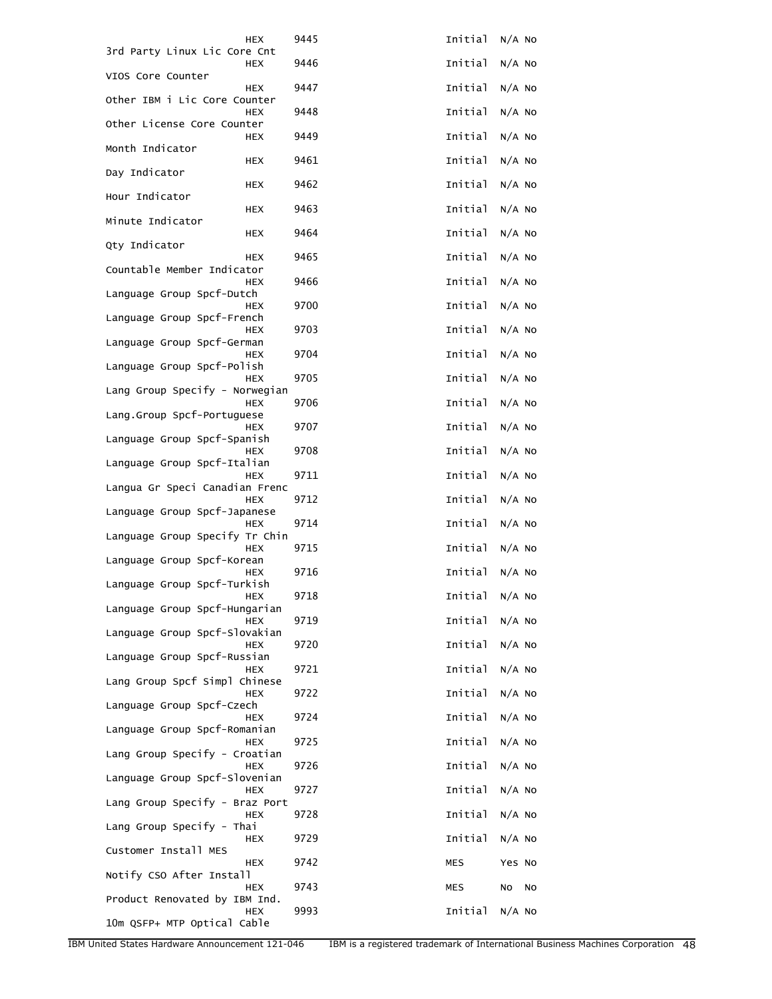| HEX                                          | 9445 | Initial        | $N/A$ No |
|----------------------------------------------|------|----------------|----------|
| 3rd Party Linux Lic Core Cnt<br><b>HEX</b>   | 9446 | Initial        | $N/A$ No |
| VIOS Core Counter<br><b>HEX</b>              | 9447 | Initial        | $N/A$ No |
| Other IBM i Lic Core Counter<br><b>HEX</b>   | 9448 | Initial        | $N/A$ No |
| Other License Core Counter<br><b>HEX</b>     | 9449 | Initial        | $N/A$ No |
| Month Indicator                              |      |                |          |
| HEX<br>Day Indicator                         | 9461 | Initial        | $N/A$ No |
| HEX<br>Hour Indicator                        | 9462 | Initial        | $N/A$ No |
| HEX<br>Minute Indicator                      | 9463 | Initial        | N/A NO   |
| HEX<br>Qty Indicator                         | 9464 | Initial        | $N/A$ No |
| HEX<br>Countable Member Indicator            | 9465 | Initial        | $N/A$ No |
| HEX<br>Language Group Spcf-Dutch             | 9466 | Initial        | $N/A$ No |
| HEX                                          | 9700 | Initial        | $N/A$ No |
| Language Group Spcf-French<br><b>HEX</b>     | 9703 | Initial        | N/A NO   |
| Language Group Spcf-German<br>HEX            | 9704 | Initial        | $N/A$ NO |
| Language Group Spcf-Polish<br><b>HEX</b>     | 9705 | Initial        | $N/A$ No |
| Lang Group Specify - Norwegian<br>HEX        | 9706 | Initial        | $N/A$ No |
| Lang.Group Spcf-Portuguese<br>HEX            | 9707 | Initial        | $N/A$ No |
| Language Group Spcf-Spanish                  |      |                |          |
| <b>HEX</b><br>Language Group Spcf-Italian    | 9708 | Initial        | $N/A$ No |
| <b>HEX</b><br>Langua Gr Speci Canadian Frenc | 9711 | Initial        | $N/A$ No |
| <b>HEX</b><br>Language Group Spcf-Japanese   | 9712 | Initial        | $N/A$ No |
| HEX<br>Language Group Specify Tr Chin        | 9714 | Initial        | $N/A$ No |
| <b>HEX</b><br>Language Group Spcf-Korean     | 9715 | Initial        | $N/A$ No |
| <b>HEX</b>                                   | 9716 | Initial        | $N/A$ No |
| Language Group Spcf-Turkish<br><b>HEX</b>    | 9718 | Initial N/A No |          |
| Language Group Spcf-Hungarian<br>HEX         | 9719 | Initial        | $N/A$ NO |
| Language Group Spcf-Slovakian<br><b>HEX</b>  | 9720 | Initial        | $N/A$ No |
| Language Group Spcf-Russian<br>HEX           | 9721 | Initial        | $N/A$ No |
| Lang Group Spcf Simpl Chinese<br><b>HEX</b>  | 9722 | Initial        | $N/A$ No |
| Language Group Spcf-Czech<br><b>HEX</b>      | 9724 | Initial        | $N/A$ No |
| Language Group Spcf-Romanian                 |      |                |          |
| HEX<br>Lang Group Specify - Croatian         | 9725 | Initial        | $N/A$ No |
| HEX<br>Language Group Spcf-Slovenian         | 9726 | Initial        | $N/A$ No |
| HEX<br>Lang Group Specify - Braz Port        | 9727 | Initial        | $N/A$ No |
| HEX<br>Lang Group Specify - Thai             | 9728 | Initial        | $N/A$ No |
| HEX<br>Customer Install MES                  | 9729 | Initial        | $N/A$ No |
| HEX<br>Notify CSO After Install              | 9742 | <b>MES</b>     | Yes No   |
| HEX                                          | 9743 | MES            | No<br>No |
| Product Renovated by IBM Ind.<br><b>HEX</b>  | 9993 | Initial        | $N/A$ No |
| 10m QSFP+ MTP Optical Cable                  |      |                |          |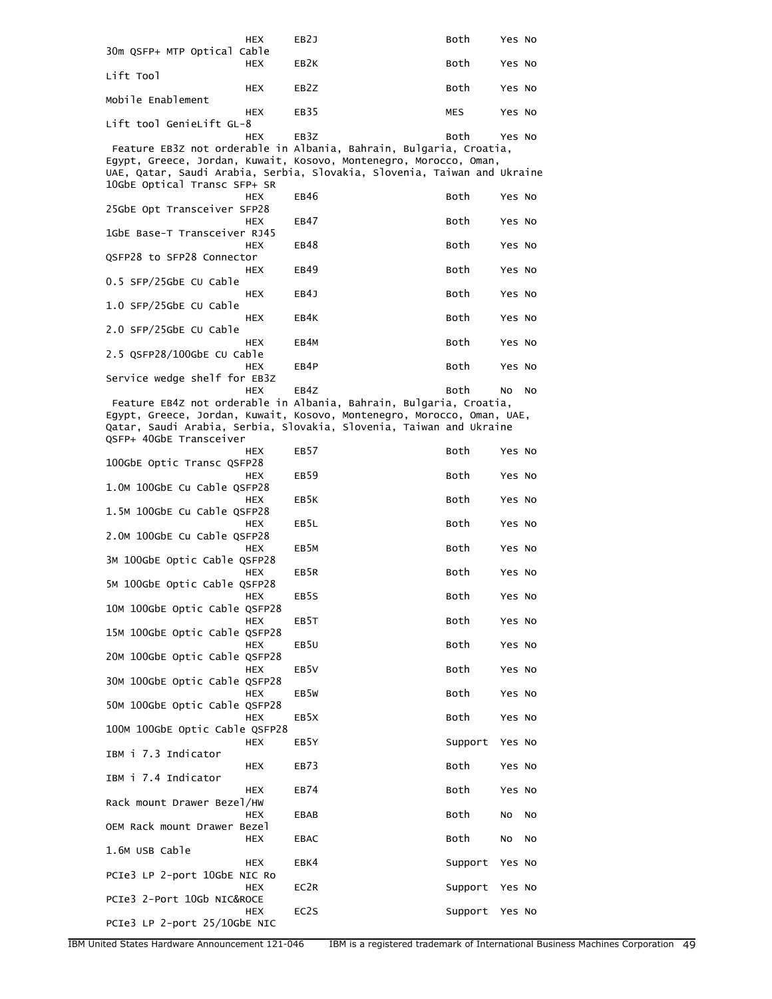|                                | HEX        | EB2J                                                                       | Both       | Yes No |    |
|--------------------------------|------------|----------------------------------------------------------------------------|------------|--------|----|
| 30m QSFP+ MTP Optical Cable    | <b>HEX</b> | EB2K                                                                       | Both       | Yes No |    |
| Lift Tool                      | <b>HEX</b> | EB <sub>2</sub> Z                                                          | Both       | Yes No |    |
| Mobile Enablement              | <b>HEX</b> | EB35                                                                       | <b>MES</b> | Yes No |    |
| Lift tool GenieLift GL-8       | HEX        | EB <sub>3</sub> Z                                                          | Both       |        |    |
|                                |            | Feature EB3Z not orderable in Albania, Bahrain, Bulgaria, Croatia,         |            | Yes No |    |
|                                |            | Egypt, Greece, Jordan, Kuwait, Kosovo, Montenegro, Morocco, Oman,          |            |        |    |
|                                |            | UAE, Qatar, Saudi Arabia, Serbia, Slovakia, Slovenia, Taiwan and Ukraine   |            |        |    |
| 10GbE Optical Transc SFP+ SR   |            | EB46                                                                       | Both       |        |    |
| 25GbE Opt Transceiver SFP28    | HEX        |                                                                            |            | Yes No |    |
|                                | <b>HEX</b> | EB47                                                                       | Both       | Yes No |    |
| 1GbE Base-T Transceiver RJ45   | <b>HEX</b> | EB48                                                                       | Both       | Yes No |    |
| QSFP28 to SFP28 Connector      |            |                                                                            |            |        |    |
| 0.5 SFP/25GbE CU Cable         | HEX        | EB49                                                                       | Both       | Yes No |    |
|                                | <b>HEX</b> | EB4J                                                                       | Both       | Yes No |    |
| 1.0 SFP/25GbE CU Cable         | <b>HEX</b> | EB4K                                                                       | Both       | Yes No |    |
| 2.0 SFP/25GbE CU Cable         |            |                                                                            |            |        |    |
|                                | <b>HEX</b> | EB4M                                                                       | Both       | Yes No |    |
| 2.5 QSFP28/100GbE CU Cable     | <b>HEX</b> | EB4P                                                                       | Both       | Yes No |    |
| Service wedge shelf for EB3Z   |            |                                                                            |            |        |    |
|                                | <b>HEX</b> | EB4Z<br>Feature EB4Z not orderable in Albania, Bahrain, Bulgaria, Croatia, | Both       | No.    | No |
|                                |            | Egypt, Greece, Jordan, Kuwait, Kosovo, Montenegro, Morocco, Oman, UAE,     |            |        |    |
|                                |            | Qatar, Saudi Arabia, Serbia, Slovakia, Slovenia, Taiwan and Ukraine        |            |        |    |
| QSFP+ 40GbE Transceiver        |            |                                                                            |            |        |    |
| 100GbE Optic Transc QSFP28     | HEX        | EB57                                                                       | Both       | Yes No |    |
| 1.0M 100GbE Cu Cable QSFP28    | <b>HEX</b> | EB59                                                                       | Both       | Yes No |    |
| 1.5M 100GbE Cu Cable QSFP28    | <b>HEX</b> | EB5K                                                                       | Both       | Yes No |    |
|                                | <b>HEX</b> | EB5L                                                                       | Both       | Yes No |    |
| 2.0M 100GbE Cu Cable QSFP28    | <b>HEX</b> | EB <sub>5</sub> M                                                          | Both       | Yes No |    |
| 3M 100GbE Optic Cable QSFP28   | HEX        | EB5R                                                                       | Both       | Yes No |    |
| 5M 100GbE Optic Cable QSFP28   |            |                                                                            |            |        |    |
| 10M 100GbE Optic Cable QSFP28  | HEX        | EB5S                                                                       | Both       | Yes No |    |
| 15M 100GbE Optic Cable QSFP28  | <b>HEX</b> | EB5T                                                                       | Both       | Yes No |    |
|                                | HEX        | EB <sub>5U</sub>                                                           | Both       | Yes No |    |
| 20M 100GbE Optic Cable QSFP28  | HEX        | EB5V                                                                       | Both       | Yes No |    |
| 30M 100GbE Optic Cable QSFP28  |            |                                                                            |            |        |    |
| 50M 100GbE Optic Cable QSFP28  | HEX        | EB <sub>5</sub> w                                                          | Both       | Yes No |    |
|                                | <b>HEX</b> | EB <sub>5</sub> X                                                          | Both       | Yes No |    |
| 100M 100GbE Optic Cable QSFP28 | <b>HEX</b> | EB5Y                                                                       | Support    | Yes No |    |
| IBM i 7.3 Indicator            |            |                                                                            |            |        |    |
| IBM i 7.4 Indicator            | HEX        | EB73                                                                       | Both       | Yes No |    |
|                                | HEX        | EB74                                                                       | Both       | Yes No |    |
| Rack mount Drawer Bezel/HW     | HEX        | EBAB                                                                       | Both       | NO     | NO |
| OEM Rack mount Drawer Bezel    |            |                                                                            |            |        |    |
|                                |            |                                                                            |            |        |    |
| 1.6M USB Cable                 | HEX        | <b>EBAC</b>                                                                | Both       | NO     | NO |
|                                | <b>HEX</b> | EBK4                                                                       | Support    | Yes No |    |
| PCIe3 LP 2-port 10GbE NIC Ro   | HEX        | EC2R                                                                       | Support    | Yes No |    |
| PCIe3 2-Port 10Gb NIC&ROCE     | HEX        | EC2S                                                                       | Support    | Yes No |    |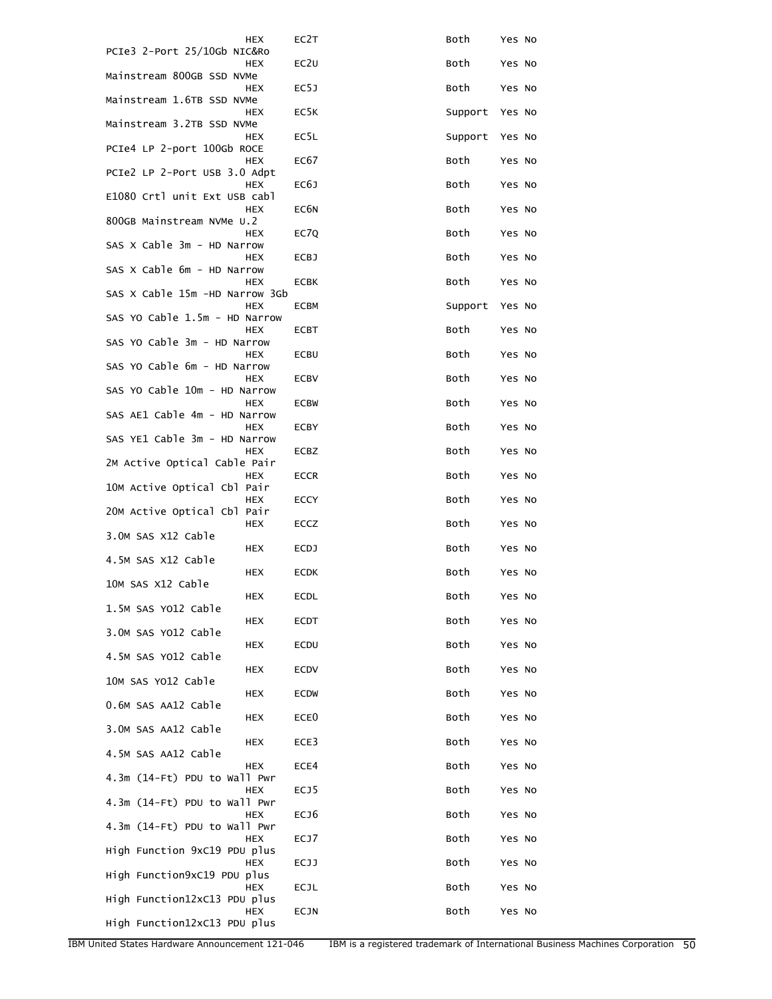| HEX                                      | EC <sub>2</sub> T | Both    | Yes No |
|------------------------------------------|-------------------|---------|--------|
| PCIe3 2-Port 25/10Gb NIC&Ro<br>HEX       | EC <sub>2</sub> U | Both    | Yes No |
| Mainstream 800GB SSD NVMe<br>HEX         | EC5J              | Both    | Yes No |
| Mainstream 1.6TB SSD NVMe<br><b>HEX</b>  | EC <sub>5</sub> K | Support | Yes No |
| Mainstream 3.2TB SSD NVMe<br>HEX         | EC5L              | Support | Yes No |
| PCIe4 LP 2-port 100Gb ROCE<br>HEX        | EC67              | Both    | Yes No |
| PCIe2 LP 2-Port USB 3.0 Adpt             |                   |         |        |
| HEX<br>E1080 Crtl unit Ext USB cabl      | EC6J              | Both    | Yes No |
| <b>HEX</b><br>800GB Mainstream NVMe U.2  | EC <sub>6</sub> N | Both    | Yes No |
| <b>HEX</b><br>SAS X Cable 3m - HD Narrow | EC7Q              | Both    | Yes No |
| HEX<br>SAS X Cable 6m - HD Narrow        | <b>ECBJ</b>       | Both    | Yes No |
| HEX<br>SAS X Cable 15m -HD Narrow 3Gb    | ECBK              | Both    | Yes No |
| HEX                                      | ECBM              | Support | Yes No |
| SAS YO Cable 1.5m - HD Narrow<br>HEX     | ECBT              | Both    | Yes No |
| SAS YO Cable 3m - HD Narrow<br>HEX       | ECBU              | Both    | Yes No |
| SAS YO Cable 6m - HD Narrow<br>HEX       | <b>ECBV</b>       | Both    | Yes No |
| SAS YO Cable 10m - HD Narrow<br>HEX      | <b>ECBW</b>       | Both    | Yes No |
| SAS AE1 Cable 4m - HD Narrow<br>HEX      | ECBY              | Both    | Yes No |
| SAS YE1 Cable 3m - HD Narrow             |                   |         |        |
| HEX<br>2M Active Optical Cable Pair      | ECBZ              | Both    | Yes No |
| HEX<br>10M Active Optical Cbl Pair       | <b>ECCR</b>       | Both    | Yes No |
| HEX<br>20M Active Optical Cbl Pair       | <b>ECCY</b>       | Both    | Yes No |
| HEX<br>3.0M SAS X12 Cable                | <b>ECCZ</b>       | Both    | Yes No |
| HEX<br>4.5M SAS X12 Cable                | <b>ECDJ</b>       | Both    | Yes No |
| HEX                                      | <b>ECDK</b>       | Both    | Yes No |
| 10M SAS X12 Cable<br><b>HEX</b>          | ECDL              | Both    | Yes No |
| 1.5M SAS YO12 Cable<br>HEX               | ECDT              | Both    | Yes No |
| 3.0M SAS YO12 Cable<br>HEX               | ECDU              | Both    | Yes No |
| 4.5M SAS YO12 Cable<br>HEX               | <b>ECDV</b>       | Both    | Yes No |
| 10M SAS YO12 Cable<br>HEX                | <b>ECDW</b>       | Both    | Yes No |
| 0.6M SAS AA12 Cable                      | ECE <sub>0</sub>  | Both    |        |
| HEX<br>3.0M SAS AA12 Cable               |                   |         | Yes No |
| HEX<br>4.5M SAS AA12 Cable               | ECE3              | Both    | Yes No |
| HEX<br>4.3m (14-Ft) PDU to Wall Pwr      | ECE4              | Both    | Yes No |
| HEX<br>4.3m (14-Ft) PDU to Wall Pwr      | ECJ5              | Both    | Yes No |
| HEX<br>4.3m (14-Ft) PDU to Wall Pwr      | ECJ6              | Both    | Yes No |
| HEX<br>High Function 9xC19 PDU plus      | ECJ7              | Both    | Yes No |
| HEX                                      | ECJJ              | Both    | Yes No |
| High Function9xC19 PDU plus<br>HEX       | ECJL              | Both    | Yes No |
| High Function12xC13 PDU plus<br>HEX      | ECJN              | Both    | Yes No |
| High Function12xC13 PDU plus             |                   |         |        |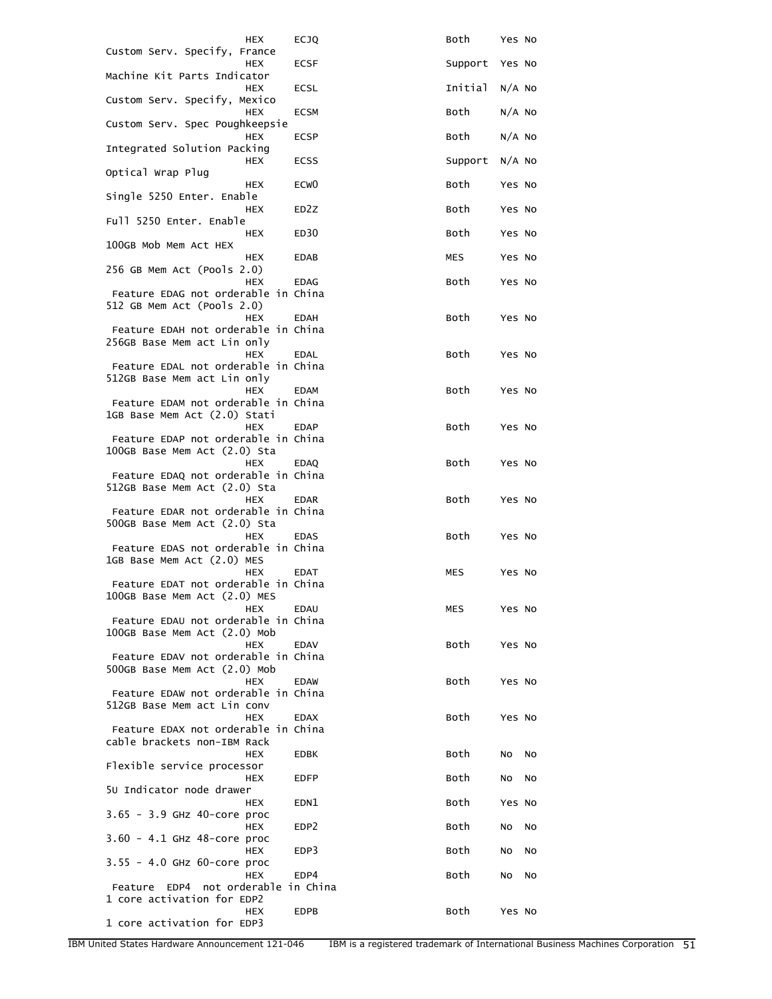| HEX                                                                               | <b>ECJQ</b>       | Both       | Yes No   |
|-----------------------------------------------------------------------------------|-------------------|------------|----------|
| Custom Serv. Specify, France<br><b>HEX</b>                                        | ECSF              | Support    | Yes No   |
| Machine Kit Parts Indicator<br><b>HEX</b>                                         | ECSL              | Initial    | $N/A$ No |
| Custom Serv. Specify, Mexico<br><b>HEX</b>                                        | <b>ECSM</b>       | Both       | $N/A$ No |
| Custom Serv. Spec Poughkeepsie<br><b>HEX</b>                                      | <b>ECSP</b>       | Both       | $N/A$ No |
| Integrated Solution Packing<br><b>HEX</b>                                         | ECSS              | Support    | $N/A$ No |
| Optical Wrap Plug<br><b>HEX</b>                                                   | ECW <sub>0</sub>  | Both       | Yes No   |
| Single 5250 Enter. Enable<br>HEX                                                  | ED <sub>2</sub> Z | Both       | Yes No   |
| Full 5250 Enter. Enable<br><b>HEX</b>                                             | ED30              | Both       | Yes No   |
| 100GB Mob Mem Act HEX                                                             |                   |            |          |
| <b>HEX</b><br>256 GB Mem Act (Pools 2.0)                                          | <b>EDAB</b>       | <b>MES</b> | Yes No   |
| <b>HEX</b><br>Feature EDAG not orderable in China<br>512 GB Mem Act (Pools 2.0)   | <b>EDAG</b>       | Both       | Yes No   |
| <b>HEX</b><br>Feature EDAH not orderable in China                                 | <b>EDAH</b>       | Both       | Yes No   |
| 256GB Base Mem act Lin only<br><b>HEX</b>                                         | EDAL              | Both       | Yes No   |
| Feature EDAL not orderable in China<br>512GB Base Mem act Lin only<br><b>HEX</b>  |                   |            |          |
| Feature EDAM not orderable in China<br>1GB Base Mem Act (2.0) Stati               | <b>EDAM</b>       | Both       | Yes No   |
| <b>HEX</b><br>Feature EDAP not orderable in China                                 | <b>EDAP</b>       | Both       | Yes No   |
| 100GB Base Mem Act (2.0) Sta<br><b>HEX</b>                                        | <b>EDAQ</b>       | Both       | Yes No   |
| Feature EDAQ not orderable in China<br>512GB Base Mem Act (2.0) Sta               |                   |            |          |
| <b>HEX</b><br>Feature EDAR not orderable in China<br>500GB Base Mem Act (2.0) Sta | <b>EDAR</b>       | Both       | Yes No   |
| <b>HEX</b><br>Feature EDAS not orderable in China<br>1GB Base Mem Act (2.0) MES   | <b>EDAS</b>       | Both       | Yes No   |
| <b>HEX</b><br>Feature EDAT not orderable in China                                 | <b>EDAT</b>       | MES        | Yes No   |
| 100GB Base Mem Act (2.0) MES<br>HEX<br>Feature EDAU not orderable in China        | EDAU              | MES        | Yes No   |
| 100GB Base Mem Act (2.0) Mob<br><b>HEX</b>                                        | <b>EDAV</b>       | Both       | Yes No   |
| Feature EDAV not orderable in China<br>500GB Base Mem Act (2.0) Mob               |                   |            |          |
| <b>HEX</b><br>Feature EDAW not orderable in China                                 | <b>EDAW</b>       | Both       | Yes No   |
| 512GB Base Mem act Lin conv<br><b>HEX</b><br>Feature EDAX not orderable in China  | <b>EDAX</b>       | Both       | Yes No   |
| cable brackets non-IBM Rack<br><b>HEX</b>                                         | EDBK              | Both       | No<br>No |
| Flexible service processor<br><b>HEX</b>                                          | EDFP              | Both       | NO<br>No |
| 50 Indicator node drawer                                                          |                   |            |          |
| HEX<br>3.65 - 3.9 GHz 40-core proc                                                | EDN1              | Both       | Yes No   |
| HEX<br>3.60 - 4.1 GHz 48-core proc                                                | EDP <sub>2</sub>  | Both       | No<br>No |
| <b>HEX</b><br>$3.55 - 4.0$ GHz 60-core proc                                       | EDP3              | Both       | No<br>No |
| <b>HEX</b><br>Feature EDP4 not orderable in China                                 | EDP4              | Both       | NO<br>No |
| 1 core activation for EDP2<br>HEX<br>1 core activation for EDP3                   | EDPB              | Both       | Yes No   |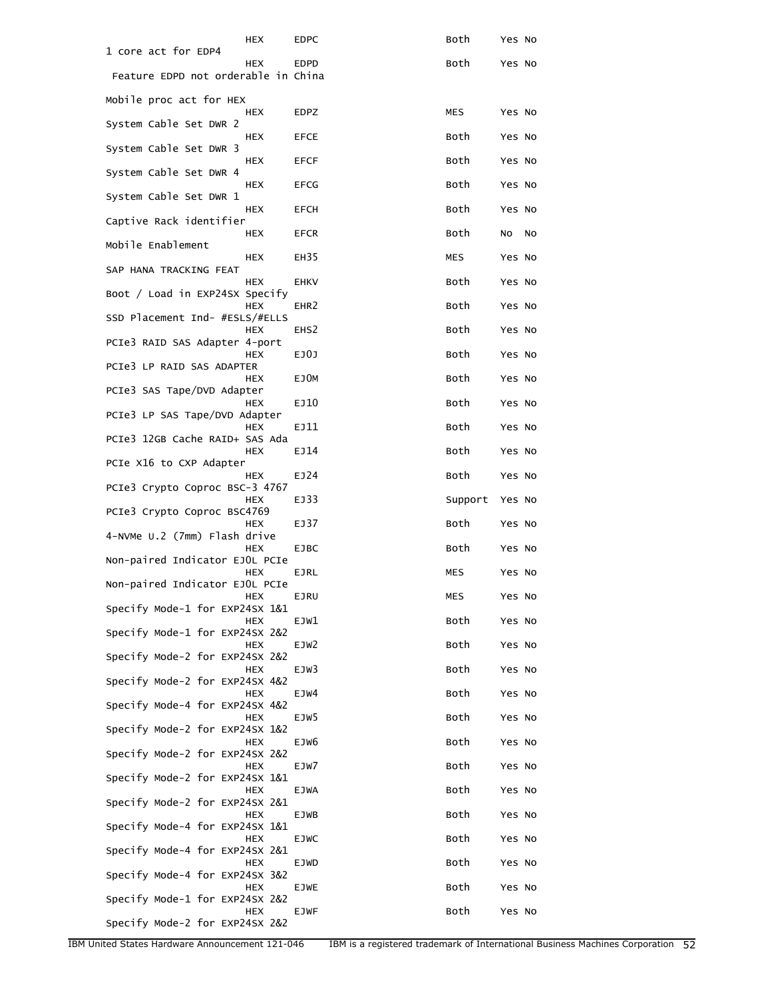| 1 core act for EDP4                 | HEX        | EDPC             | Both    | Yes No |    |
|-------------------------------------|------------|------------------|---------|--------|----|
| Feature EDPD not orderable in China | <b>HEX</b> | <b>EDPD</b>      | Both    | Yes No |    |
| Mobile proc act for HEX             |            |                  |         |        |    |
| System Cable Set DWR 2              | HEX        | <b>EDPZ</b>      | MES     | Yes No |    |
| System Cable Set DWR 3              | HEX        | <b>EFCE</b>      | Both    | Yes No |    |
| System Cable Set DWR 4              | HEX        | <b>EFCF</b>      | Both    | Yes No |    |
| System Cable Set DWR 1              | <b>HEX</b> | <b>EFCG</b>      | Both    | Yes No |    |
| Captive Rack identifier             | <b>HEX</b> | <b>EFCH</b>      | Both    | Yes No |    |
| Mobile Enablement                   | HEX        | <b>EFCR</b>      | Both    | No     | No |
| SAP HANA TRACKING FEAT              | <b>HEX</b> | EH35             | MES     | Yes No |    |
| Boot / Load in EXP24SX Specify      | <b>HEX</b> | <b>EHKV</b>      | Both    | Yes No |    |
|                                     | <b>HEX</b> | EHR <sub>2</sub> | Both    | Yes No |    |
| SSD Placement Ind- #ESLS/#ELLS      | <b>HEX</b> | EHS <sub>2</sub> | Both    | Yes No |    |
| PCIe3 RAID SAS Adapter 4-port       | <b>HEX</b> | EJ0J             | Both    | Yes No |    |
| PCIe3 LP RAID SAS ADAPTER           | HEX        | EJ0M             | Both    | Yes No |    |
| PCIe3 SAS Tape/DVD Adapter          | HEX        | EJ10             | Both    | Yes No |    |
| PCIe3 LP SAS Tape/DVD Adapter       | <b>HEX</b> | EJ11             | Both    | Yes No |    |
| PCIe3 12GB Cache RAID+ SAS Ada      | <b>HEX</b> | EJ14             | Both    | Yes No |    |
| PCIe X16 to CXP Adapter             |            |                  |         |        |    |
|                                     |            |                  |         |        |    |
| PCIe3 Crypto Coproc BSC-3 4767      | HEX        | EJ24             | Both    | Yes No |    |
| PCIe3 Crypto Coproc BSC4769         | HEX        | EJ33             | Support | Yes No |    |
| 4-NVMe U.2 (7mm) Flash drive        | HEX        | EJ37             | Both    | Yes No |    |
| Non-paired Indicator EJOL PCIe      | <b>HEX</b> | EJBC             | Both    | Yes No |    |
| Non-paired Indicator EJOL PCIe      | HEX        | EJRL             | MES     | Yes No |    |
|                                     | <b>HEX</b> | EJRU             | MES     | Yes No |    |
| Specify Mode-1 for EXP24SX 1&1      | <b>HEX</b> | EJW1             | Both    | Yes No |    |
| Specify Mode-1 for EXP24SX 2&2      | HEX        | EJW <sub>2</sub> | Both    | Yes No |    |
| Specify Mode-2 for EXP24SX 2&2      | <b>HEX</b> | EJW3             | Both    | Yes No |    |
| Specify Mode-2 for EXP24SX 4&2      | <b>HEX</b> | EJW4             | Both    | Yes No |    |
| Specify Mode-4 for EXP24SX 4&2      | HEX        | EJW5             | Both    | Yes No |    |
| Specify Mode-2 for EXP24SX 1&2      | HEX        | EJW6             | Both    | Yes No |    |
| Specify Mode-2 for EXP24SX 2&2      | HEX        | EJW7             | Both    | Yes No |    |
| Specify Mode-2 for EXP24SX 1&1      | <b>HEX</b> | EJWA             | Both    | Yes No |    |
| Specify Mode-2 for EXP24SX 2&1      | <b>HEX</b> | EJWB             | Both    | Yes No |    |
| Specify Mode-4 for EXP24SX 1&1      | HEX        | EJWC             | Both    | Yes No |    |
| Specify Mode-4 for EXP24SX 2&1      | <b>HEX</b> | EJWD             | Both    | Yes No |    |
| Specify Mode-4 for EXP24SX 3&2      | HEX        | EJWE             | Both    | Yes No |    |
| Specify Mode-1 for EXP24SX 2&2      | HEX        | EJWF             | Both    | Yes No |    |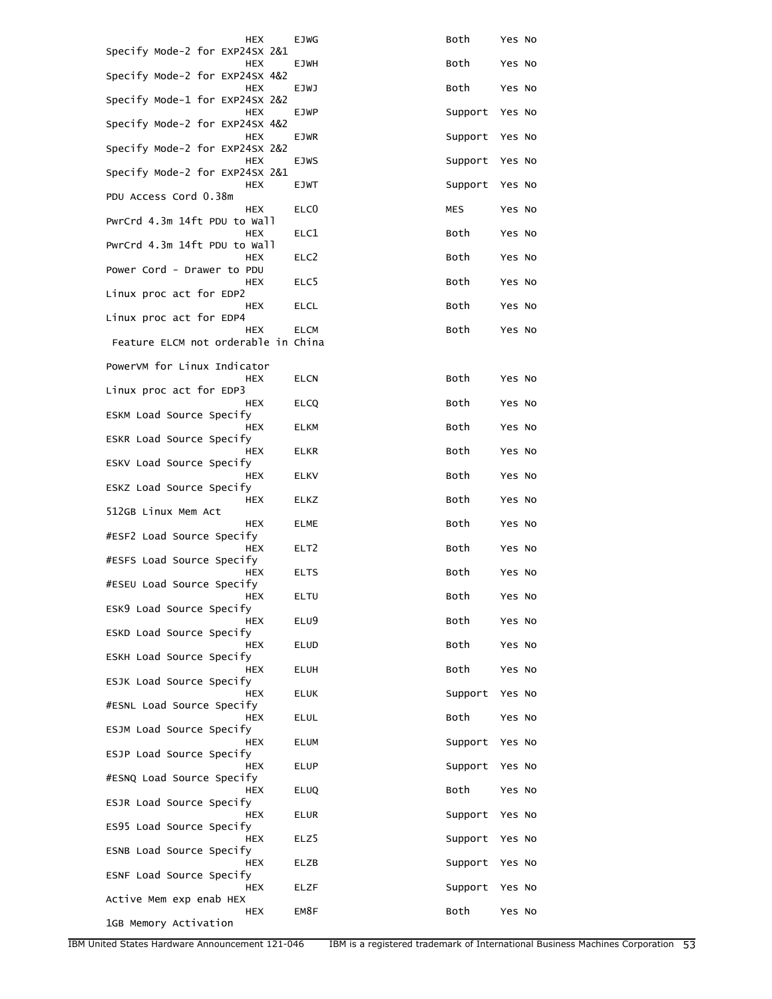| HEX                                               | EJWG             | Both    | Yes No |
|---------------------------------------------------|------------------|---------|--------|
| Specify Mode-2 for EXP24SX 2&1<br>HEX             | EJWH             | Both    | Yes No |
| Specify Mode-2 for EXP24SX 4&2<br>HEX             | EJWJ             | Both    | Yes No |
| Specify Mode-1 for EXP24SX 2&2<br><b>HEX</b>      | EJWP             | Support | Yes No |
| Specify Mode-2 for EXP24SX 4&2<br>HEX             | EJWR             | Support | Yes No |
| Specify Mode-2 for EXP24SX 2&2<br>HEX             | <b>EJWS</b>      | Support | Yes No |
| Specify Mode-2 for EXP24SX 2&1                    |                  |         |        |
| HEX<br>PDU Access Cord 0.38m                      | <b>EJWT</b>      | Support | Yes No |
| <b>HEX</b><br>PwrCrd 4.3m 14ft PDU to Wall        | ELC <sub>0</sub> | MES     | Yes No |
| <b>HEX</b><br>PwrCrd 4.3m 14ft PDU to Wall        | ELC1             | Both    | Yes No |
| HEX<br>Power Cord - Drawer to PDU                 | ELC2             | Both    | Yes No |
| HEX<br>Linux proc act for EDP2                    | ELC5             | Both    | Yes No |
| HEX<br>Linux proc act for EDP4                    | ELCL             | Both    | Yes No |
| <b>HFX</b><br>Feature ELCM not orderable in China | <b>ELCM</b>      | Both    | Yes No |
| PowerVM for Linux Indicator                       |                  |         |        |
| HEX                                               | ELCN             | Both    | Yes No |
| Linux proc act for EDP3<br>HEX                    | ELCQ             | Both    | Yes No |
| ESKM Load Source Specify<br>HEX                   | ELKM             | Both    | Yes No |
| ESKR Load Source Specify<br>HEX                   | ELKR             | Both    | Yes No |
| ESKV Load Source Specify<br>HEX                   | ELKV             | Both    | Yes No |
| ESKZ Load Source Specify<br>HEX                   | ELKZ             | Both    | Yes No |
| 512GB Linux Mem Act<br>HEX                        | ELME             | Both    | Yes No |
| #ESF2 Load Source Specify<br>HEX                  | ELT <sub>2</sub> | Both    | Yes No |
| #ESFS Load Source Specify<br>HEX                  | <b>ELTS</b>      | Both    | Yes No |
| #ESEU Load Source Specify<br>HEX                  | ELTU             | Both    | Yes No |
| ESK9 Load Source Specify<br>HEX                   | ELU9             | Both    | Yes No |
| ESKD Load Source Specify                          |                  |         | Yes No |
| HEX<br>ESKH Load Source Specify                   | ELUD             | Both    |        |
| HEX<br>ESJK Load Source Specify                   | ELUH             | Both    | Yes No |
| HEX<br>#ESNL Load Source Specify                  | <b>ELUK</b>      | Support | Yes No |
| HEX<br>ESJM Load Source Specify                   | ELUL             | Both    | Yes No |
| HEX<br>ESJP Load Source Specify                   | ELUM             | Support | Yes No |
| HEX<br>#ESNQ Load Source Specify                  | ELUP             | Support | Yes No |
| HEX<br>ESJR Load Source Specify                   | <b>ELUQ</b>      | Both    | Yes No |
| HEX<br>ES95 Load Source Specify                   | ELUR             | Support | Yes No |
| HEX<br>ESNB Load Source Specify                   | ELZ5             | Support | Yes No |
| HEX<br>ESNF Load Source Specify                   | ELZB             | Support | Yes No |
| HEX<br>Active Mem exp enab HEX                    | ELZF             | Support | Yes No |
| HEX<br>1GB Memory Activation                      | EM8F             | Both    | Yes No |
|                                                   |                  |         |        |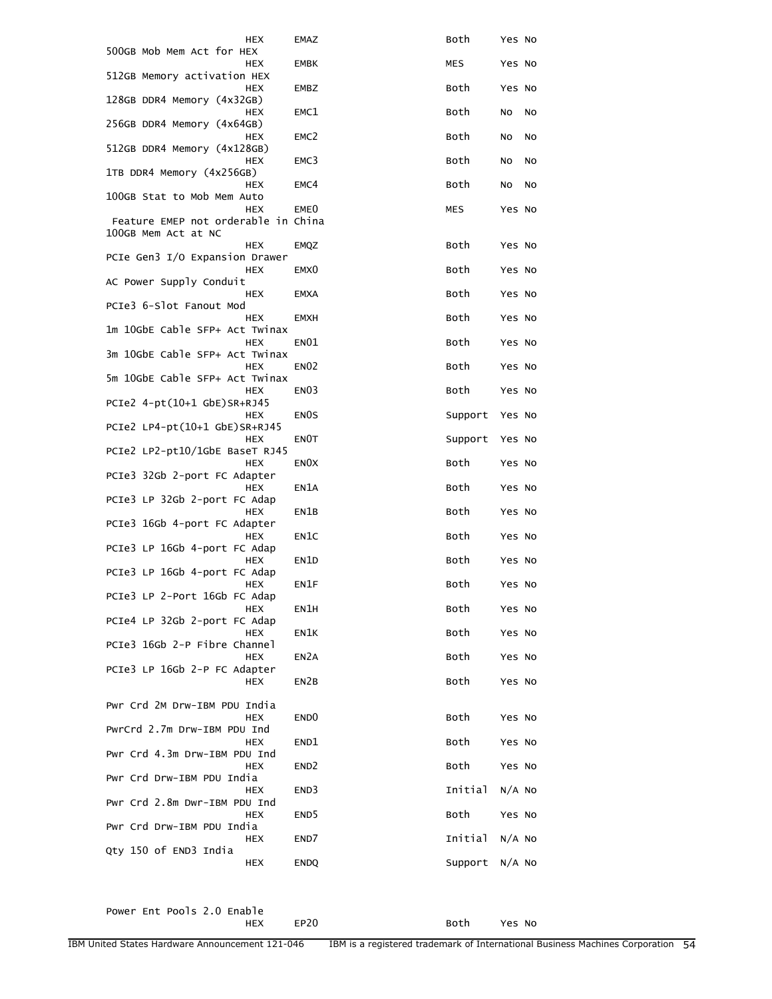| HEX                                               | EMAZ              | Both       | Yes No   |
|---------------------------------------------------|-------------------|------------|----------|
| 500GB Mob Mem Act for HEX<br>HEX                  | <b>EMBK</b>       | <b>MES</b> | Yes No   |
| 512GB Memory activation HEX<br><b>HEX</b>         | EMBZ              | Both       | Yes No   |
| 128GB DDR4 Memory (4x32GB)<br><b>HEX</b>          | EMC1              | Both       | No<br>No |
| 256GB DDR4 Memory (4x64GB)                        |                   |            |          |
| <b>HEX</b><br>512GB DDR4 Memory (4x128GB)         | EMC <sub>2</sub>  | Both       | No<br>No |
| HEX<br>1TB DDR4 Memory (4x256GB)                  | EMC3              | Both       | No<br>No |
| HEX<br>100GB Stat to Mob Mem Auto                 | EMC4              | Both       | No<br>No |
| <b>HEX</b><br>Feature EMEP not orderable in China | EME0              | <b>MES</b> | Yes No   |
| 100GB Mem Act at NC<br>HEX                        |                   | Both       |          |
| PCIe Gen3 I/O Expansion Drawer                    | EMQZ              |            | Yes No   |
| HEX<br>AC Power Supply Conduit                    | EMX <sub>0</sub>  | Both       | Yes No   |
| HEX<br>PCIe3 6-Slot Fanout Mod                    | <b>EMXA</b>       | Both       | Yes No   |
| <b>HEX</b><br>1m 10GbE Cable SFP+ Act Twinax      | EMXH              | Both       | Yes No   |
| HEX<br>3m 10GbE Cable SFP+ Act Twinax             | EN01              | Both       | Yes No   |
| <b>HEX</b>                                        | <b>EN02</b>       | Both       | Yes No   |
| 5m 10GbE Cable SFP+ Act Twinax<br>HEX             | EN <sub>03</sub>  | Both       | Yes No   |
| PCIe2 4-pt(10+1 GbE)SR+RJ45<br>HEX                | EN <sub>0</sub> S | Support    | Yes No   |
| PCIe2 LP4-pt(10+1 GbE)SR+RJ45<br><b>HEX</b>       | EN0T              | Support    | Yes No   |
| PCIe2 LP2-pt10/1GbE BaseT RJ45<br>HEX             | EN <sub>O</sub> X | Both       | Yes No   |
| PCIe3 32Gb 2-port FC Adapter<br><b>HEX</b>        | EN1A              | Both       | Yes No   |
| PCIe3 LP 32Gb 2-port FC Adap<br><b>HEX</b>        | EN1B              | Both       | Yes No   |
| PCIe3 16Gb 4-port FC Adapter                      |                   |            |          |
| <b>HEX</b><br>PCIe3 LP 16Gb 4-port FC Adap        | EN1C              | Both       | Yes No   |
| <b>HEX</b><br>PCIe3 LP 16Gb 4-port FC Adap        | EN1D              | Both       | Yes No   |
| HEX<br>PCIe3 LP 2-Port 16Gb FC Adap               | EN1F              | Both       | Yes No   |
| HEX<br>PCIe4 LP 32Gb 2-port FC Adap               | EN1H              | Both       | Yes No   |
| HEX<br>PCIe3 16Gb 2-P Fibre Channel               | EN1K              | Both       | Yes No   |
| <b>HEX</b>                                        | EN <sub>2</sub> A | Both       | Yes No   |
| PCIe3 LP 16Gb 2-P FC Adapter<br><b>HEX</b>        | EN2B              | Both       | Yes No   |
| Pwr Crd 2M Drw-IBM PDU India                      |                   |            |          |
| <b>HEX</b><br>PwrCrd 2.7m Drw-IBM PDU Ind         | END <sub>0</sub>  | Both       | Yes No   |
| HEX<br>Pwr Crd 4.3m Drw-IBM PDU Ind               | END1              | Both       | Yes No   |
| HEX<br>Pwr Crd Drw-IBM PDU India                  | END <sub>2</sub>  | Both       | Yes No   |
| HEX<br>Pwr Crd 2.8m Dwr-IBM PDU Ind               | END3              | Initial    | $N/A$ No |
| HEX                                               | END <sub>5</sub>  | Both       | Yes No   |
| Pwr Crd Drw-IBM PDU India<br>HEX                  | END7              | Initial    | $N/A$ No |
| Qty 150 of END3 India<br>HEX                      | <b>ENDQ</b>       | Support    | $N/A$ No |

Power Ent Pools 2.0 Enable<br>HEX

EP20 Both Yes No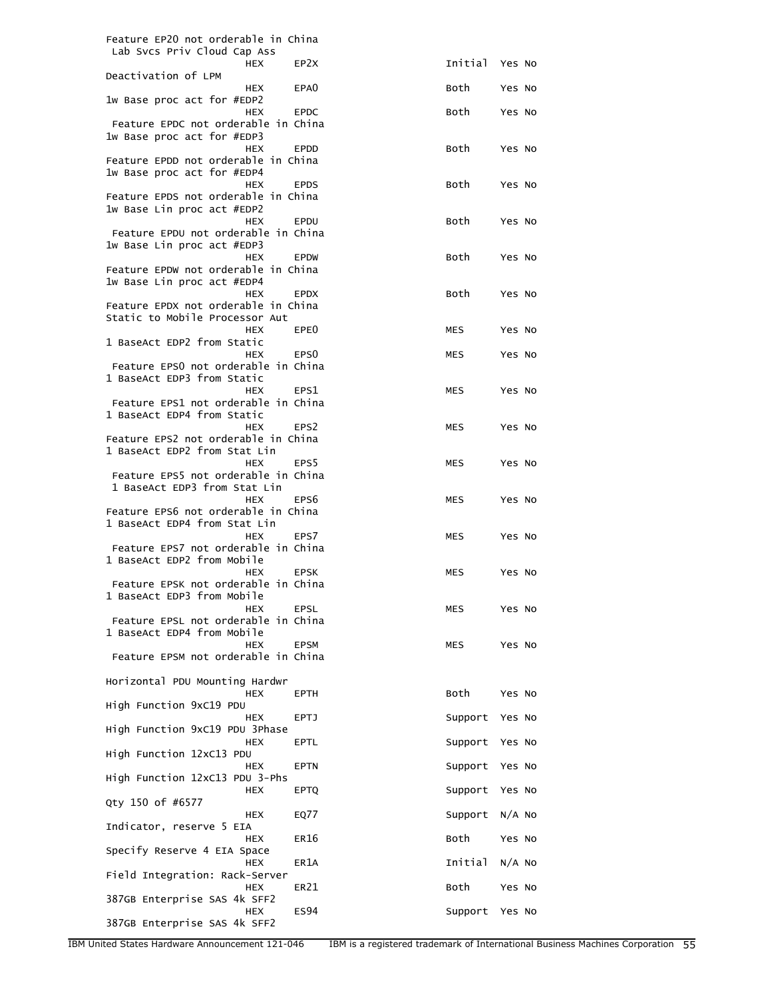| Feature EP20 not orderable in China                               |                  |                |          |  |
|-------------------------------------------------------------------|------------------|----------------|----------|--|
| Lab Svcs Priv Cloud Cap Ass<br><b>HEX</b>                         | EP <sub>2X</sub> | Initial Yes No |          |  |
| Deactivation of LPM                                               |                  |                |          |  |
| <b>HEX</b><br>1w Base proc act for #EDP2                          | EPA0             | Both           | Yes No   |  |
| <b>HEX</b><br>Feature EPDC not orderable in China                 | <b>EPDC</b>      | Both           | Yes No   |  |
| 1w Base proc act for #EDP3                                        |                  |                |          |  |
| <b>HEX</b><br>Feature EPDD not orderable in China                 | <b>EPDD</b>      | Both           | Yes No   |  |
| 1w Base proc act for #EDP4                                        |                  |                |          |  |
| <b>HEX</b><br>Feature EPDS not orderable in China                 | <b>EPDS</b>      | Both           | Yes No   |  |
| 1w Base Lin proc act #EDP2                                        |                  |                |          |  |
| <b>HEX</b><br>Feature EPDU not orderable in China                 | EPDU             | Both           | Yes No   |  |
| 1w Base Lin proc act #EDP3                                        |                  |                |          |  |
| <b>HEX</b><br>Feature EPDW not orderable in China                 | <b>EPDW</b>      | Both           | Yes No   |  |
| 1w Base Lin proc act #EDP4                                        |                  |                |          |  |
| <b>HEX</b><br>Feature EPDX not orderable in China                 | <b>EPDX</b>      | Both           | Yes No   |  |
| Static to Mobile Processor Aut                                    |                  |                |          |  |
| <b>HEX</b>                                                        | EPE0             | MES            | Yes No   |  |
| 1 BaseAct EDP2 from Static<br><b>HEX</b>                          | EPS <sub>0</sub> | MES            | Yes No   |  |
| Feature EPSO not orderable in China<br>1 BaseAct EDP3 from Static |                  |                |          |  |
| <b>HEX</b>                                                        | EPS1             | MES            | Yes No   |  |
| Feature EPS1 not orderable in China                               |                  |                |          |  |
| 1 BaseAct EDP4 from Static<br><b>HEX</b>                          | EPS <sub>2</sub> | MES            | Yes No   |  |
| Feature EPS2 not orderable in China                               |                  |                |          |  |
| 1 BaseAct EDP2 from Stat Lin<br><b>HEX</b>                        | EPS <sub>5</sub> | MES            | Yes No   |  |
| Feature EPS5 not orderable in China                               |                  |                |          |  |
| 1 BaseAct EDP3 from Stat Lin<br><b>HEX</b>                        | EPS <sub>6</sub> | MES            | Yes No   |  |
| Feature EPS6 not orderable in China                               |                  |                |          |  |
| 1 BaseAct EDP4 from Stat Lin<br><b>HEX</b>                        | EPS7             | MES            | Yes No   |  |
| Feature EPS7 not orderable in China<br>1 BaseAct EDP2 from Mobile |                  |                |          |  |
| <b>HEX</b>                                                        | <b>EPSK</b>      | MES            | Yes No   |  |
| Feature EPSK not orderable in China<br>1 BaseAct EDP3 from Mobile |                  |                |          |  |
| HEX                                                               | <b>EPSL</b>      | MES            | Yes No   |  |
| Feature EPSL not orderable in China<br>1 BaseAct EDP4 from Mobile |                  |                |          |  |
| <b>HEX</b>                                                        | <b>EPSM</b>      | MES            | Yes No   |  |
| Feature EPSM not orderable in China                               |                  |                |          |  |
| Horizontal PDU Mounting Hardwr<br>HEX                             | <b>EPTH</b>      | Both           | Yes No   |  |
| High Function 9xC19 PDU                                           |                  |                |          |  |
| <b>HEX</b><br>High Function 9xC19 PDU 3Phase                      | <b>EPTJ</b>      | Support        | Yes No   |  |
| HEX<br>High Function 12xC13 PDU                                   | EPTL             | Support        | Yes No   |  |
| HEX<br>High Function 12xC13 PDU 3-Phs                             | <b>EPTN</b>      | Support        | Yes No   |  |
| <b>HEX</b><br>Qty 150 of #6577                                    | <b>EPTQ</b>      | Support        | Yes No   |  |
| HEX                                                               | EQ77             | Support        | $N/A$ No |  |
| Indicator, reserve 5 EIA<br><b>HEX</b>                            | ER16             | Both           | Yes No   |  |
| Specify Reserve 4 EIA Space<br><b>HEX</b>                         | ER1A             | Initial        | $N/A$ No |  |
| Field Integration: Rack-Server<br>HEX                             | ER21             | Both           | Yes No   |  |
| 387GB Enterprise SAS 4k SFF2                                      |                  |                |          |  |
| HEX<br>387GB Enterprise SAS 4k SFF2                               | <b>ES94</b>      | Support        | Yes No   |  |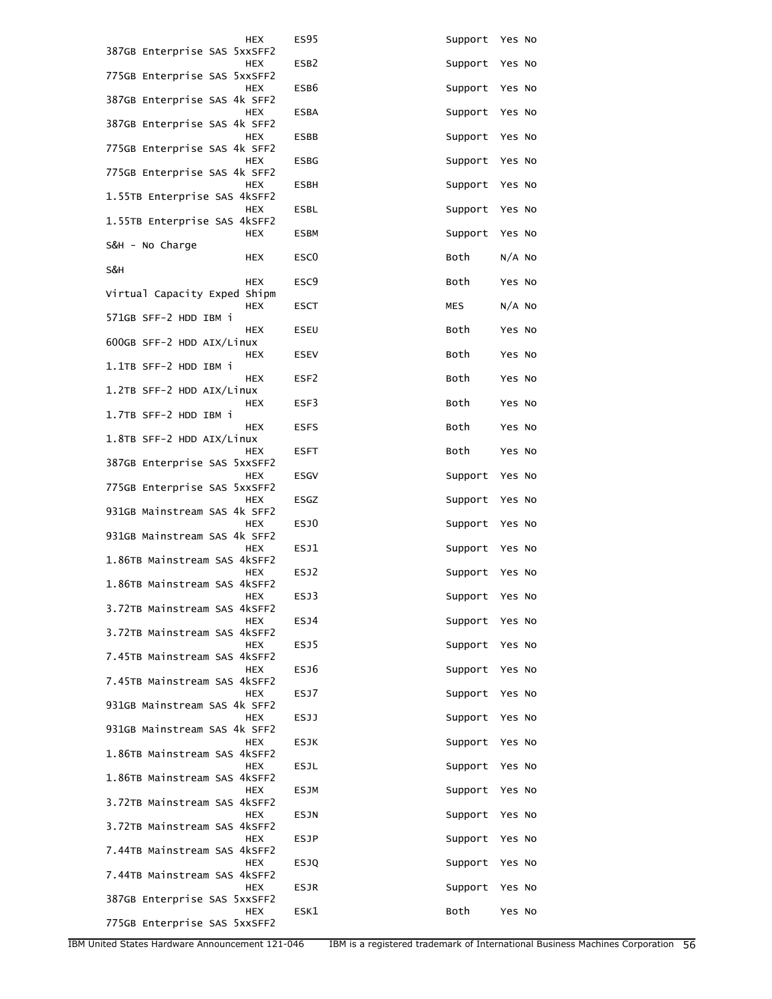| <b>HEX</b>                                 | <b>ES95</b>      | Support    | Yes No   |
|--------------------------------------------|------------------|------------|----------|
| 387GB Enterprise SAS 5xxSFF2<br><b>HEX</b> | ESB <sub>2</sub> | Support    | Yes No   |
| 775GB Enterprise SAS 5xxSFF2<br><b>HEX</b> | ESB6             | Support    | Yes No   |
| 387GB Enterprise SAS 4k SFF2               |                  |            |          |
| <b>HEX</b><br>387GB Enterprise SAS 4k SFF2 | <b>ESBA</b>      | Support    | Yes No   |
| <b>HEX</b><br>775GB Enterprise SAS 4k SFF2 | <b>ESBB</b>      | Support    | Yes No   |
| <b>HEX</b><br>775GB Enterprise SAS 4k SFF2 | <b>ESBG</b>      | Support    | Yes No   |
| <b>HEX</b><br>1.55TB Enterprise SAS 4kSFF2 | <b>ESBH</b>      | Support    | Yes No   |
| <b>HEX</b><br>1.55TB Enterprise SAS 4kSFF2 | <b>ESBL</b>      | Support    | Yes No   |
| <b>HEX</b><br>S&H - No Charge              | <b>ESBM</b>      | Support    | Yes No   |
| HEX<br>S&H                                 | ESC <sub>0</sub> | Both       | $N/A$ No |
| <b>HEX</b><br>Virtual Capacity Exped Shipm | ESC <sub>9</sub> | Both       | Yes No   |
| <b>HEX</b>                                 | ESCT             | <b>MES</b> | $N/A$ No |
| 571GB SFF-2 HDD IBM i<br><b>HEX</b>        | <b>ESEU</b>      | Both       | Yes No   |
| 600GB SFF-2 HDD AIX/Linux<br><b>HEX</b>    | <b>ESEV</b>      | Both       | Yes No   |
| 1.1TB SFF-2 HDD IBM i<br>HEX               | ESF <sub>2</sub> | Both       | Yes No   |
| 1.2TB SFF-2 HDD AIX/Linux<br><b>HEX</b>    | ESF3             | Both       | Yes No   |
| 1.7TB SFF-2 HDD IBM i                      |                  |            |          |
| <b>HEX</b><br>1.8TB SFF-2 HDD AIX/Linux    | <b>ESFS</b>      | Both       | Yes No   |
| HEX<br>387GB Enterprise SAS 5xxSFF2        | <b>ESFT</b>      | Both       | Yes No   |
| <b>HEX</b><br>775GB Enterprise SAS 5xxSFF2 | <b>ESGV</b>      | Support    | Yes No   |
| <b>HEX</b><br>931GB Mainstream SAS 4k SFF2 | ESGZ             | Support    | Yes No   |
| <b>HEX</b><br>931GB Mainstream SAS 4k SFF2 | ESJ0             | Support    | Yes No   |
| <b>HEX</b><br>1.86TB Mainstream SAS 4kSFF2 | ESJ1             | Support    | Yes No   |
| <b>HEX</b><br>1.86TB Mainstream SAS 4kSFF2 | ESJ2             | Support    | Yes No   |
| HEX<br>3.72TB Mainstream SAS 4kSFF2        | ESJ3             | Support    | Yes No   |
| <b>HEX</b>                                 | ESJ4             | Support    | Yes No   |
| 3.72TB Mainstream SAS 4kSFF2<br><b>HEX</b> | ESJ5             | Support    | Yes No   |
| 7.45TB Mainstream SAS 4kSFF2<br><b>HEX</b> | ESJ6             | Support    | Yes No   |
| 7.45TB Mainstream SAS 4kSFF2<br><b>HEX</b> | ESJ7             | Support    | Yes No   |
| 931GB Mainstream SAS 4k SFF2<br><b>HEX</b> | <b>ESJJ</b>      | Support    | Yes No   |
| 931GB Mainstream SAS 4k SFF2<br><b>HEX</b> | <b>ESJK</b>      | Support    | Yes No   |
| 1.86TB Mainstream SAS 4kSFF2               |                  |            |          |
| <b>HEX</b><br>1.86TB Mainstream SAS 4kSFF2 | <b>ESJL</b>      | Support    | Yes No   |
| HEX<br>3.72TB Mainstream SAS 4kSFF2        | <b>ESJM</b>      | Support    | Yes No   |
| <b>HEX</b><br>3.72TB Mainstream SAS 4kSFF2 | <b>ESJN</b>      | Support    | Yes No   |
| <b>HEX</b><br>7.44TB Mainstream SAS 4kSFF2 | <b>ESJP</b>      | Support    | Yes No   |
| <b>HEX</b><br>7.44TB Mainstream SAS 4kSFF2 | <b>ESJQ</b>      | Support    | Yes No   |
| HEX<br>387GB Enterprise SAS 5xxSFF2        | <b>ESJR</b>      | Support    | Yes No   |
| <b>HEX</b><br>775GB Enterprise SAS 5xxSFF2 | ESK1             | Both       | Yes No   |
|                                            |                  |            |          |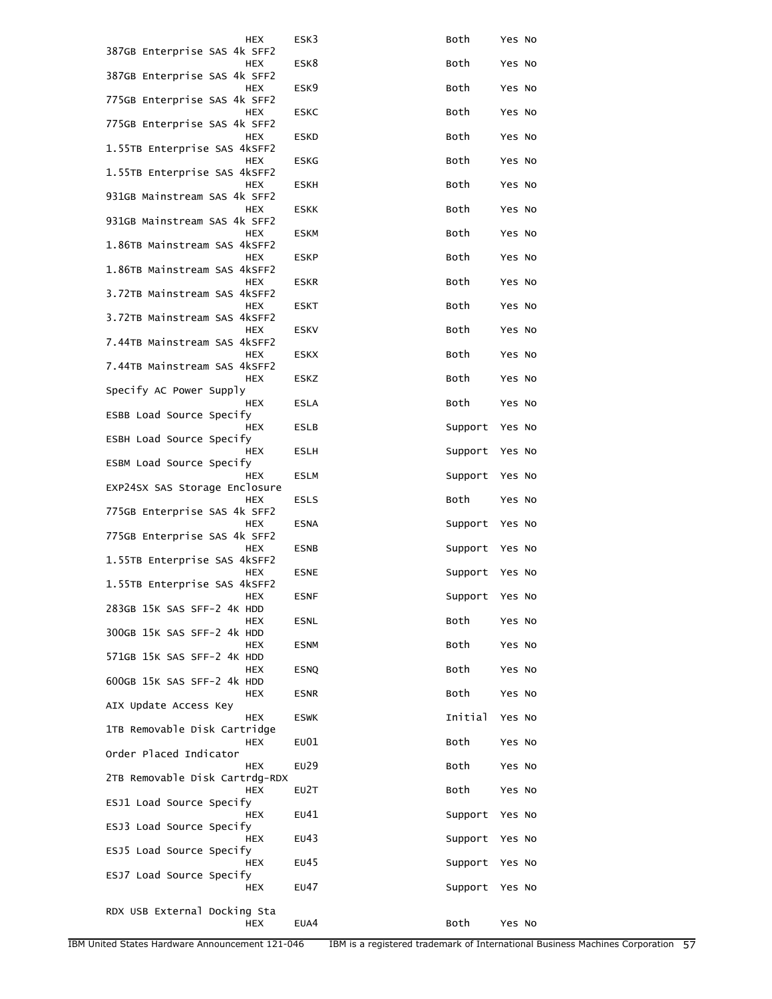| HEX                                        | ESK3        | Both    | Yes No |
|--------------------------------------------|-------------|---------|--------|
| 387GB Enterprise SAS 4k SFF2<br>HEX        | ESK8        | Both    | Yes No |
| 387GB Enterprise SAS 4k SFF2<br>HEX        | ESK9        | Both    | Yes No |
| 775GB Enterprise SAS 4k SFF2<br><b>HEX</b> | <b>ESKC</b> | Both    |        |
| 775GB Enterprise SAS 4k SFF2               |             |         | Yes No |
| <b>HEX</b><br>1.55TB Enterprise SAS 4kSFF2 | <b>ESKD</b> | Both    | Yes No |
| <b>HEX</b><br>1.55TB Enterprise SAS 4kSFF2 | <b>ESKG</b> | Both    | Yes No |
| HEX<br>931GB Mainstream SAS 4k SFF2        | <b>ESKH</b> | Both    | Yes No |
| HEX<br>931GB Mainstream SAS 4k SFF2        | <b>ESKK</b> | Both    | Yes No |
| <b>HEX</b><br>1.86TB Mainstream SAS 4kSFF2 | <b>ESKM</b> | Both    | Yes No |
| HEX                                        | <b>ESKP</b> | Both    | Yes No |
| 1.86TB Mainstream SAS 4kSFF2<br><b>HEX</b> | <b>ESKR</b> | Both    | Yes No |
| 3.72TB Mainstream SAS 4kSFF2<br>HEX        | <b>ESKT</b> | Both    | Yes No |
| 3.72TB Mainstream SAS 4kSFF2<br>HEX        | <b>ESKV</b> | Both    | Yes No |
| 7.44TB Mainstream SAS 4kSFF2<br><b>HEX</b> | <b>ESKX</b> | Both    | Yes No |
| 7.44TB Mainstream SAS 4kSFF2               |             |         |        |
| <b>HEX</b><br>Specify AC Power Supply      | ESKZ        | Both    | Yes No |
| HEX<br>ESBB Load Source Specify            | <b>ESLA</b> | Both    | Yes No |
| HEX<br>ESBH Load Source Specify            | ESLB        | Support | Yes No |
| HEX<br>ESBM Load Source Specify            | <b>ESLH</b> | Support | Yes No |
| HEX<br>EXP24SX SAS Storage Enclosure       | <b>ESLM</b> | Support | Yes No |
| <b>HEX</b><br>775GB Enterprise SAS 4k SFF2 | <b>ESLS</b> | Both    | Yes No |
| <b>HEX</b>                                 | <b>ESNA</b> | Support | Yes No |
| 775GB Enterprise SAS 4k SFF2<br><b>HEX</b> | <b>ESNB</b> | Support | Yes No |
| 1.55TB Enterprise SAS 4kSFF2<br>HEX        | <b>ESNE</b> | Support | Yes No |
| 1.55TB Enterprise SAS 4kSFF2<br><b>HEX</b> | <b>ESNF</b> | Support | Yes No |
| 283GB 15K SAS SFF-2 4K HDD<br><b>HEX</b>   | <b>ESNL</b> | Both    | Yes No |
| 300GB 15K SAS SFF-2 4k HDD<br>HEX          | <b>ESNM</b> | Both    | Yes No |
| 571GB 15K SAS SFF-2 4K HDD                 |             |         |        |
| <b>HEX</b><br>600GB 15K SAS SFF-2 4k HDD   | <b>ESNQ</b> | Both    | Yes No |
| HEX<br>AIX Update Access Key               | <b>ESNR</b> | Both    | Yes No |
| <b>HEX</b><br>1TB Removable Disk Cartridge | <b>ESWK</b> | Initial | Yes No |
| HEX<br>Order Placed Indicator              | EU01        | Both    | Yes No |
| HEX<br>2TB Removable Disk Cartrdg-RDX      | EU29        | Both    | Yes No |
| <b>HEX</b>                                 | EU2T        | Both    | Yes No |
| ESJ1 Load Source Specify<br>HEX            | EU41        | Support | Yes No |
| ESJ3 Load Source Specify<br>HEX            | EU43        | Support | Yes No |
| ESJ5 Load Source Specify<br>HEX            | EU45        | Support | Yes No |
| ESJ7 Load Source Specify<br>HEX            | EU47        | Support | Yes No |
| RDX USB External Docking Sta               |             |         |        |
| HEX                                        | EUA4        | Both    | Yes No |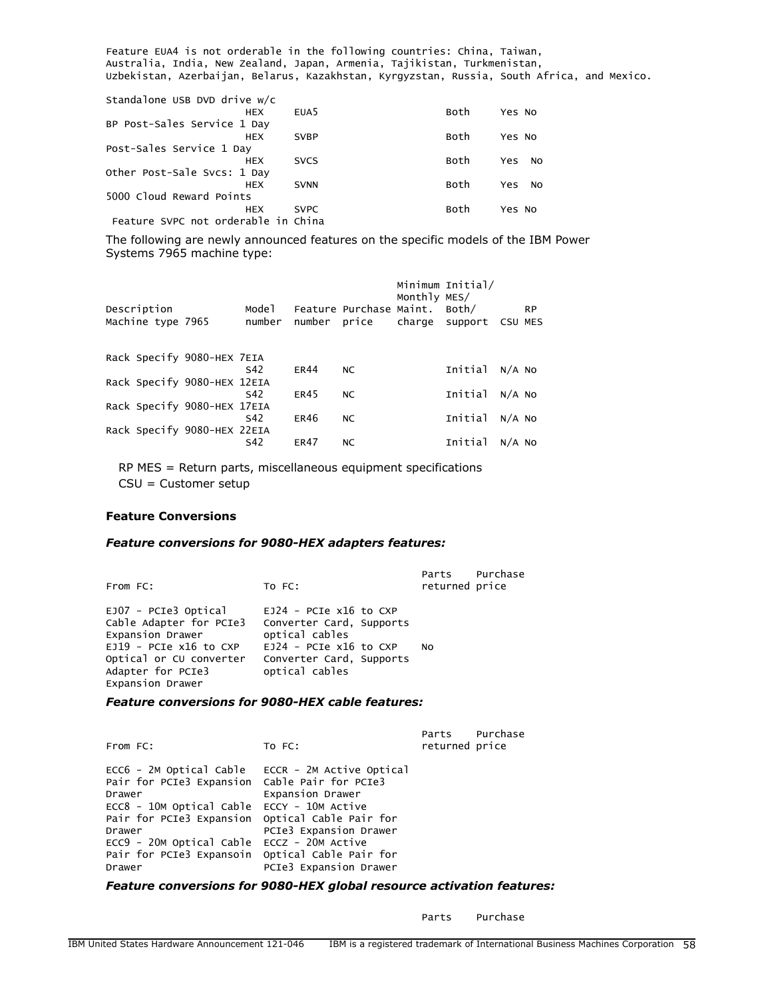Feature EUA4 is not orderable in the following countries: China, Taiwan, Australia, India, New Zealand, Japan, Armenia, Tajikistan, Turkmenistan, Uzbekistan, Azerbaijan, Belarus, Kazakhstan, Kyrgyzstan, Russia, South Africa, and Mexico.

| Standalone USB DVD drive w/c        |                  |      |                  |
|-------------------------------------|------------------|------|------------------|
| <b>HEX</b>                          | EUA <sub>5</sub> | Both | Yes No           |
| BP Post-Sales Service 1 Day         |                  |      |                  |
| <b>HEX</b>                          | <b>SVBP</b>      | Both | Yes No           |
| Post-Sales Service 1 Day            |                  |      |                  |
| <b>HEX</b>                          | <b>SVCS</b>      | Both | Yes.<br>NO       |
| Other Post-Sale Svcs: 1 Day         |                  |      |                  |
| <b>HEX</b>                          | <b>SVNN</b>      | Both | <b>Yes</b><br>NO |
| 5000 Cloud Reward Points            |                  |      |                  |
| <b>HEX</b>                          | <b>SVPC</b>      | Both | Yes No           |
| Feature SVPC not orderable in China |                  |      |                  |

The following are newly announced features on the specific models of the IBM Power Systems 7965 machine type:

| Machine type 7965 | Mode 1<br>number |                                                                                                                                |             |                     |         |                                                                                                   | <b>RP</b>                                               |
|-------------------|------------------|--------------------------------------------------------------------------------------------------------------------------------|-------------|---------------------|---------|---------------------------------------------------------------------------------------------------|---------------------------------------------------------|
|                   |                  |                                                                                                                                |             |                     |         |                                                                                                   |                                                         |
|                   |                  |                                                                                                                                |             |                     |         |                                                                                                   |                                                         |
|                   | S42              | <b>FR45</b>                                                                                                                    | <b>NC</b>   |                     | Initial |                                                                                                   |                                                         |
|                   |                  |                                                                                                                                |             |                     |         |                                                                                                   |                                                         |
|                   | S42              | <b>FR46</b>                                                                                                                    | <b>NC</b>   |                     | Initial |                                                                                                   |                                                         |
|                   | S42              | <b>ER47</b>                                                                                                                    | NC          |                     | Initial |                                                                                                   |                                                         |
|                   |                  | Rack Specify 9080-HEX 7EIA<br>S42<br>Rack Specify 9080-HEX 12EIA<br>Rack Specify 9080-HEX 17EIA<br>Rack Specify 9080-HEX 22EIA | <b>FR44</b> | number price<br>NC. |         | Minimum Initial/<br>Monthly MES/<br>Feature Purchase Maint. Both/<br>charge<br>support<br>Initial | CSU MES<br>$N/A$ NO<br>$N/A$ NO<br>$N/A$ NO<br>$N/A$ NO |

RP MES = Return parts, miscellaneous equipment specifications CSU = Customer setup

### **Feature Conversions**

#### *Feature conversions for 9080-HEX adapters features:*

| From FC:                                                                                                                                                            | TO FC:                                                                                                                                           | returned price | Parts Purchase |
|---------------------------------------------------------------------------------------------------------------------------------------------------------------------|--------------------------------------------------------------------------------------------------------------------------------------------------|----------------|----------------|
| EJ07 - PCIe3 Optical<br>Cable Adapter for PCIe3<br>Expansion Drawer<br>$EJ19$ - PCIe x16 to CXP<br>Optical or CU converter<br>Adapter for PCIe3<br>Expansion Drawer | $EJ24$ - PCIe x16 to CXP<br>Converter Card, Supports<br>optical cables<br>$EJ24$ - PCIe x16 to CXP<br>Converter Card, Supports<br>optical cables | NO.            |                |

### *Feature conversions for 9080-HEX cable features:*

| From FC:                   |                                                                                          | TO FC:                                                                                                                                                                                                                                                                              | Parts<br>returned price | Purchase |
|----------------------------|------------------------------------------------------------------------------------------|-------------------------------------------------------------------------------------------------------------------------------------------------------------------------------------------------------------------------------------------------------------------------------------|-------------------------|----------|
| Drawer<br>Drawer<br>Drawer | ECC8 - 10M Optical Cable ECCY - 10M Active<br>ECC9 - 20M Optical Cable ECCZ - 20M Active | $ECC6 - 2M$ Optical Cable $ECCR - 2M$ Active Optical<br>Pair for PCIe3 Expansion Cable Pair for PCIe3<br>Expansion Drawer<br>Pair for PCIe3 Expansion Optical Cable Pair for<br>PCIe3 Expansion Drawer<br>Pair for PCIe3 Expansoin Optical Cable Pair for<br>PCIe3 Expansion Drawer |                         |          |

#### *Feature conversions for 9080-HEX global resource activation features:*

Parts Purchase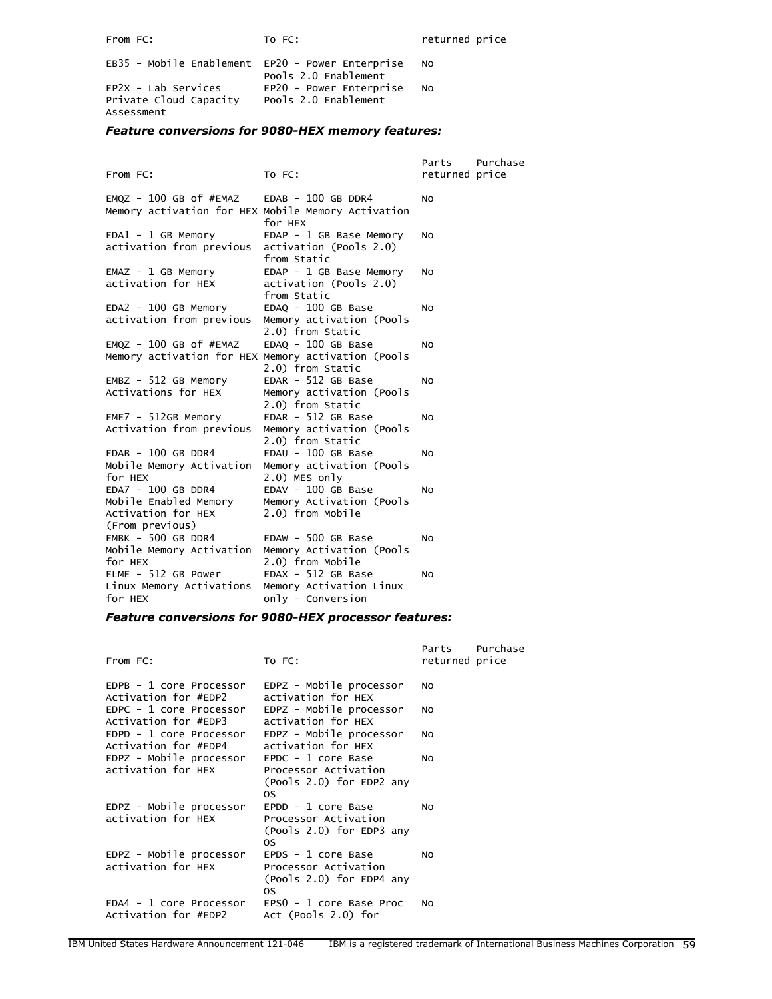From FC: To FC: The FC: The Property returned price

| EB35 - Mobile Enablement EP20 - Power Enterprise | Pools 2.0 Enablement                            | N <sub>O</sub> |
|--------------------------------------------------|-------------------------------------------------|----------------|
| $EP2X - Lab$ Services<br>Private Cloud Capacity  | EP20 - Power Enterprise<br>Pools 2.0 Enablement | N <sub>O</sub> |
| Assessment                                       |                                                 |                |

# *Feature conversions for 9080-HEX memory features:*

|                                                    |                                                   | Parts          | Purchase |
|----------------------------------------------------|---------------------------------------------------|----------------|----------|
| From FC:                                           | TO FC:                                            | returned price |          |
| $EMQZ - 100 GB of #EMAZ$                           | $EDAB - 100 GB DDR4$                              | NO.            |          |
| Memory activation for HEX Mobile Memory Activation |                                                   |                |          |
|                                                    | for HEX                                           |                |          |
| $EDA1 - 1 GB Memory$                               | EDAP - 1 GB Base Memory                           | NO.            |          |
| activation from previous                           | activation (Pools 2.0)<br>from Static             |                |          |
|                                                    |                                                   | NO.            |          |
| $EMAZ - 1 GB Memory$<br>activation for HEX         | EDAP - 1 GB Base Memory<br>activation (Pools 2.0) |                |          |
|                                                    | from Static                                       |                |          |
| $EDA2 - 100 GB Memory$                             | $EDAQ - 100 GB Base$                              | NO.            |          |
| activation from previous                           | Memory activation (Pools                          |                |          |
|                                                    | 2.0) from Static                                  |                |          |
| $EMQZ - 100$ GB of $#EMAZ$                         | EDAQ - 100 GB Base                                | <b>NO</b>      |          |
| Memory activation for HEX Memory activation (Pools |                                                   |                |          |
|                                                    | 2.0) from Static                                  |                |          |
| $EMBZ - 512$ GB Memory                             | $EDAR - 512 GB Base$                              | NO.            |          |
| Activations for HEX                                | Memory activation (Pools<br>2.0) from Static      |                |          |
| $EME7 - 512GB Memory$                              | $EDAR - 512 GB Base$                              | NO.            |          |
| Activation from previous                           | Memory activation (Pools                          |                |          |
|                                                    | 2.0) from Static                                  |                |          |
| $EDAB - 100 GB DDR4$                               | EDAU - 100 GB Base                                | NO.            |          |
| Mobile Memory Activation                           | Memory activation (Pools                          |                |          |
| for HEX                                            | $2.0)$ MES only                                   |                |          |
| EDA7 - 100 GB DDR4                                 | EDAV - 100 GB Base                                | NO.            |          |
| Mobile Enabled Memory                              | Memory Activation (Pools                          |                |          |
| Activation for HEX                                 | 2.0) from Mobile                                  |                |          |
| (From previous)                                    |                                                   |                |          |
| EMBK - 500 GB DDR4<br>Mobile Memory Activation     | $EDAW - 500 GB Base$<br>Memory Activation (Pools  | NO.            |          |
| for HEX                                            | 2.0) from Mobile                                  |                |          |
| ELME - 512 GB Power                                | $EDAX - 512 GB Base$                              | NO.            |          |
| Linux Memory Activations                           | Memory Activation Linux                           |                |          |
| for HEX                                            | only - Conversion                                 |                |          |

# *Feature conversions for 9080-HEX processor features:*

| From FC:                                        | TO FC:                                                                           | Parts<br>returned price | Purchase |
|-------------------------------------------------|----------------------------------------------------------------------------------|-------------------------|----------|
| EDPB - 1 core Processor<br>Activation for #EDP2 | EDPZ - Mobile processor<br>activation for HEX                                    | N <sub>O</sub>          |          |
| EDPC - 1 core Processor<br>Activation for #EDP3 | EDPZ - Mobile processor<br>activation for HEX                                    | N <sub>O</sub>          |          |
| EDPD - 1 core Processor<br>Activation for #EDP4 | EDPZ - Mobile processor<br>activation for HEX                                    | NO                      |          |
| EDPZ - Mobile processor<br>activation for HEX   | EPDC - 1 core Base<br>Processor Activation<br>(Pools 2.0) for EDP2 any<br>0S     | N <sub>O</sub>          |          |
| EDPZ - Mobile processor<br>activation for HEX   | $E PDD - 1$ core Base<br>Processor Activation<br>(Pools 2.0) for EDP3 any<br>OS. | No                      |          |
| EDPZ - Mobile processor<br>activation for HEX   | EPDS - 1 core Base<br>Processor Activation<br>(Pools 2.0) for EDP4 any<br>OS.    | N <sub>O</sub>          |          |
| EDA4 - 1 core Processor<br>Activation for #EDP2 | EPSO - 1 core Base Proc<br>Act (Pools 2.0) for                                   | N <sub>O</sub>          |          |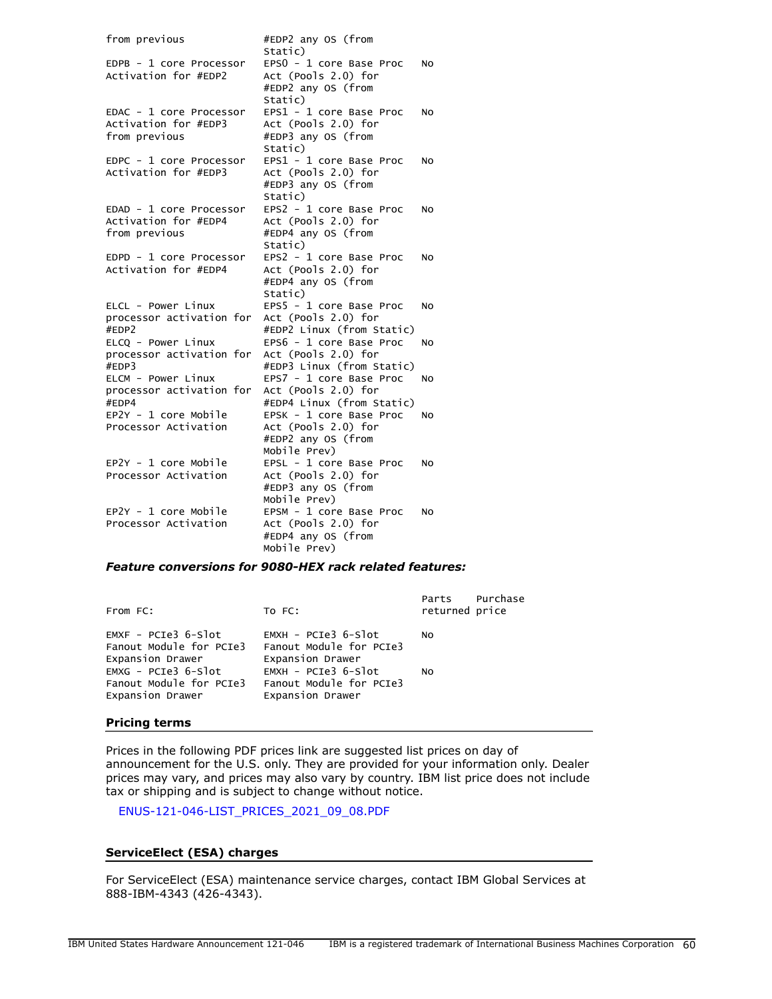| from previous                                                    | #EDP2 any OS (from<br>Static)                                                        |           |
|------------------------------------------------------------------|--------------------------------------------------------------------------------------|-----------|
| EDPB - 1 core Processor<br>Activation for #EDP2                  | EPSO - 1 core Base Proc<br>Act (Pools 2.0) for<br>#EDP2 any OS (from<br>Static)      | NO        |
| EDAC - 1 core Processor<br>Activation for #EDP3<br>from previous | EPS1 - 1 core Base Proc<br>Act (Pools 2.0) for<br>#EDP3 any OS (from<br>Static)      | NO        |
| EDPC - 1 core Processor<br>Activation for #EDP3                  | EPS1 - 1 core Base Proc<br>Act (Pools 2.0) for<br>#EDP3 any OS (from<br>Static)      | NO        |
| EDAD - 1 core Processor<br>Activation for #EDP4<br>from previous | EPS2 - 1 core Base Proc<br>Act (Pools 2.0) for<br>#EDP4 any OS (from<br>Static)      | NO        |
| EDPD - 1 core Processor<br>Activation for #EDP4                  | EPS2 - 1 core Base Proc<br>Act (Pools 2.0) for<br>#EDP4 any OS (from<br>Static)      | NO        |
| ELCL - Power Linux<br>processor activation for<br>#EDP2          | EPS5 - 1 core Base Proc<br>Act (Pools 2.0) for<br>#EDP2 Linux (from Static)          | NO        |
| ELCO - Power Linux<br>processor activation for<br>#EDP3          | EPS6 - 1 core Base Proc<br>Act (Pools 2.0) for<br>#EDP3 Linux (from Static)          | NO        |
| ELCM - Power Linux<br>processor activation for<br>#EDP4          | EPS7 - 1 core Base Proc<br>Act (Pools 2.0) for<br>#EDP4 Linux (from Static)          | NO        |
| EP2Y - 1 core Mobile<br>Processor Activation                     | EPSK - 1 core Base Proc<br>Act (Pools 2.0) for<br>#EDP2 any OS (from<br>Mobile Prev) | NO        |
| EP2Y - 1 core Mobile<br>Processor Activation                     | EPSL - 1 core Base Proc<br>Act (Pools 2.0) for<br>#EDP3 any OS (from<br>Mobile Prev) | <b>NO</b> |
| EP2Y - 1 core Mobile<br>Processor Activation                     | EPSM - 1 core Base Proc<br>Act (Pools 2.0) for<br>#EDP4 any OS (from<br>Mobile Prev) | NO        |

### *Feature conversions for 9080-HEX rack related features:*

| From FC:                                                             | TO FC:                                                               | Purchase<br>Parts<br>returned price |
|----------------------------------------------------------------------|----------------------------------------------------------------------|-------------------------------------|
| $EMXF - PCIE3 6-Slot$<br>Fanout Module for PCIe3<br>Expansion Drawer | $EMXH - PCIe3 6-SIot$<br>Fanout Module for PCIe3<br>Expansion Drawer | N <sub>O</sub>                      |
| $EMXG - PCIe3 6-Slot$<br>Fanout Module for PCIe3<br>Expansion Drawer | EMXH - PCIe3 6-Slot<br>Fanout Module for PCIe3<br>Expansion Drawer   | N <sub>O</sub>                      |

#### **Pricing terms**

Prices in the following PDF prices link are suggested list prices on day of announcement for the U.S. only. They are provided for your information only. Dealer prices may vary, and prices may also vary by country. IBM list price does not include tax or shipping and is subject to change without notice.

[ENUS-121-046-LIST\\_PRICES\\_2021\\_09\\_08.PDF](#page-0-1)

# **ServiceElect (ESA) charges**

For ServiceElect (ESA) maintenance service charges, contact IBM Global Services at 888-IBM-4343 (426-4343).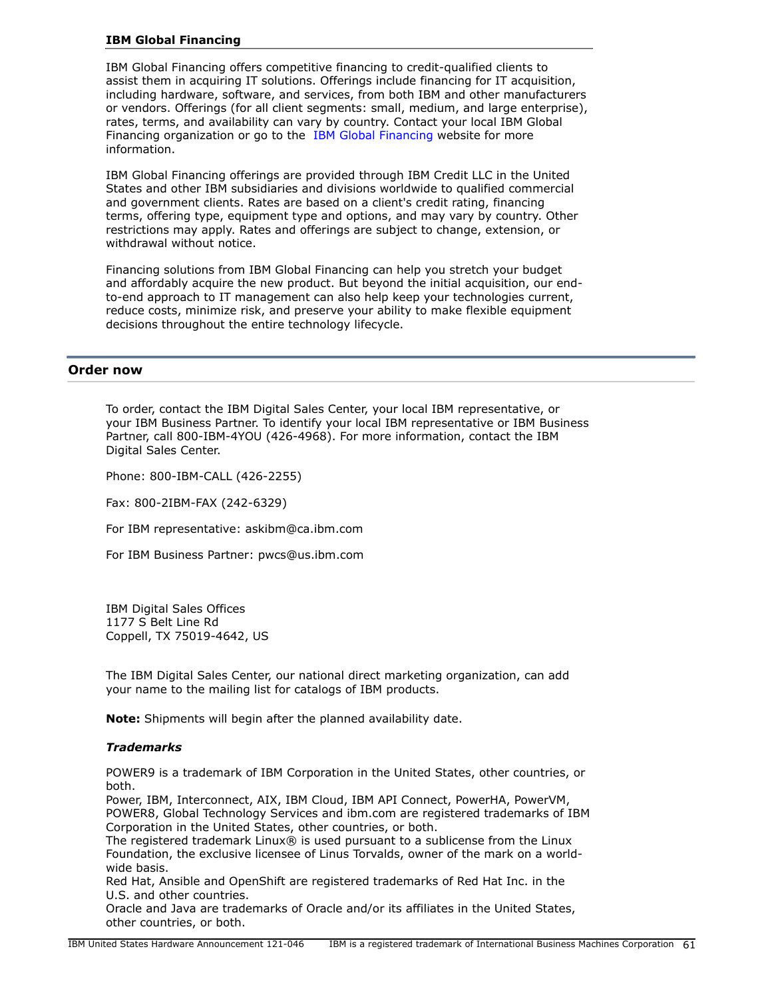### **IBM Global Financing**

IBM Global Financing offers competitive financing to credit-qualified clients to assist them in acquiring IT solutions. Offerings include financing for IT acquisition, including hardware, software, and services, from both IBM and other manufacturers or vendors. Offerings (for all client segments: small, medium, and large enterprise), rates, terms, and availability can vary by country. Contact your local IBM Global Financing organization or go to the [IBM Global Financing](http://www.ibm.com/financing) website for more information.

IBM Global Financing offerings are provided through IBM Credit LLC in the United States and other IBM subsidiaries and divisions worldwide to qualified commercial and government clients. Rates are based on a client's credit rating, financing terms, offering type, equipment type and options, and may vary by country. Other restrictions may apply. Rates and offerings are subject to change, extension, or withdrawal without notice.

Financing solutions from IBM Global Financing can help you stretch your budget and affordably acquire the new product. But beyond the initial acquisition, our endto-end approach to IT management can also help keep your technologies current, reduce costs, minimize risk, and preserve your ability to make flexible equipment decisions throughout the entire technology lifecycle.

### <span id="page-60-0"></span>**Order now**

To order, contact the IBM Digital Sales Center, your local IBM representative, or your IBM Business Partner. To identify your local IBM representative or IBM Business Partner, call 800-IBM-4YOU (426-4968). For more information, contact the IBM Digital Sales Center.

Phone: 800-IBM-CALL (426-2255)

Fax: 800-2IBM-FAX (242-6329)

For IBM representative: askibm@ca.ibm.com

For IBM Business Partner: pwcs@us.ibm.com

IBM Digital Sales Offices 1177 S Belt Line Rd Coppell, TX 75019-4642, US

The IBM Digital Sales Center, our national direct marketing organization, can add your name to the mailing list for catalogs of IBM products.

**Note:** Shipments will begin after the planned availability date.

### *Trademarks*

POWER9 is a trademark of IBM Corporation in the United States, other countries, or both.

Power, IBM, Interconnect, AIX, IBM Cloud, IBM API Connect, PowerHA, PowerVM, POWER8, Global Technology Services and ibm.com are registered trademarks of IBM Corporation in the United States, other countries, or both.

The registered trademark Linux® is used pursuant to a sublicense from the Linux Foundation, the exclusive licensee of Linus Torvalds, owner of the mark on a worldwide basis.

Red Hat, Ansible and OpenShift are registered trademarks of Red Hat Inc. in the U.S. and other countries.

Oracle and Java are trademarks of Oracle and/or its affiliates in the United States, other countries, or both.